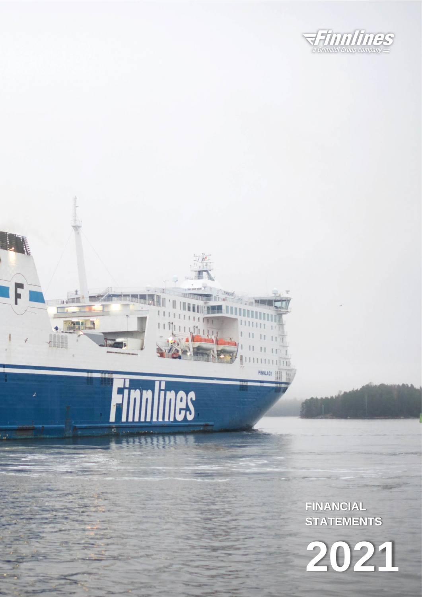

 $18$ 

Finnlines

 $\frac{1}{\sqrt{2}}$ 

**AND** 

**FINANCIAL STATEMENTS**

**2021**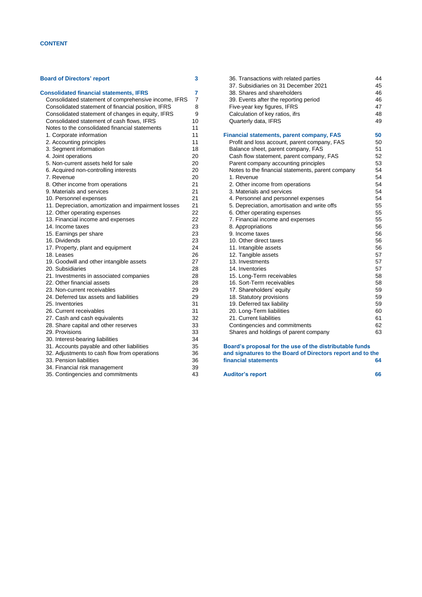# **CONTENT**

# **[Board of Directors' report](#page-2-0) 3 [Consolidated financial statements, IFRS](#page-6-0) 7** [Consolidated statement of comprehensive income, IFRS](#page-6-1) 7 [Consolidated statement of financial position, IFRS](#page-7-0) 8 [Consolidated statement of changes in equity, IFRS](#page-8-0) 9 [Consolidated statement of cash flows, IFRS](#page-9-0) [Notes to the consolidated financial statements](#page-10-0) 11 [1. Corporate information](#page-10-1) 11 [2. Accounting principles](#page-10-2) 11 [3. Segment information](#page-17-0) 18 [4. Joint operations](#page-19-0) 20 [5. Non-current assets held for sale](#page-19-1) 20 [6. Acquired non-controlling interests](#page-19-2) 20<br>
7. Revenue 20 [7. Revenue](#page-19-3) [8. Other income from operations](#page-20-0) 21 9. [Materials and services](#page-20-1) 21 [10. Personnel expenses](#page-20-2)<br>11. Depreciation. amortization and impairment losses 21 [11. Depreciation, amortization and impairment losses](#page-20-3) [12. Other operating expenses](#page-21-0) **22** [13. Financial income and expenses](#page-21-1) 22 [14. Income taxes](#page-22-0) 23<br>15. Farnings per share 23 [15. Earnings per share](#page-22-1) [16. Dividends](#page-22-2) 23 [17. Property, plant and equipment](#page-23-0) 24 [18. Leases](#page-25-0) 26<br>19. Goodwill and other intangible assets 27 [19. Goodwill and other intangible assets](#page-26-0) [20. Subsidiaries](#page-27-0) 28 [21. Investments in associated companies](#page-27-1) 28<br>22. Other financial assets 28 [22. Other financial assets](#page-27-2) 28<br>23. Non-current receivables 29 [23. Non-current receivables](#page-28-0) [24. Deferred tax assets and liabilities](#page-28-1) 29 [25. Inventories](#page-30-0) 31 [26. Current receivables](#page-30-1) 31 [27. Cash and cash equivalents](#page-31-0) 32 [28. Share capital and other reserves](#page-31-1) 33 [29. Provisions](#page-32-0) 33 [30. Interest-bearing liabilities](#page-33-0) 34<br>31. Accounts payable and other liabilities 35 [31. Accounts payable and other liabilities](#page-34-0)

[32. Adjustments to cash flow from operations](#page-35-0) 36<br>35. Pension liabilities 36

[34. Financial risk management](#page-38-0) 39 [35. Contingencies and commitments](#page-42-0) 43

[33. Pension liabilities](#page-35-1)

| 36. Transactions with related parties | 44 |
|---------------------------------------|----|
| 37. Subsidiaries on 31 December 2021  | 45 |
| 38. Shares and shareholders           | 46 |
| 39. Events after the reporting period | 46 |
| Five-year key figures, IFRS           | 47 |
| Calculation of key ratios, ifrs       | 48 |
| Quarterly data, IFRS                  | 49 |
|                                       |    |

# **[Financial statements, parent company, FAS](#page-49-0) 50**

| Profit and loss account, parent company, FAS      | 50 |
|---------------------------------------------------|----|
| Balance sheet, parent company, FAS                | 51 |
| Cash flow statement, parent company, FAS          | 52 |
| Parent company accounting principles              | 53 |
| Notes to the financial statements, parent company | 54 |
| 1. Revenue                                        | 54 |
| 2. Other income from operations                   | 54 |
| 3. Materials and services                         | 54 |
| 4. Personnel and personnel expenses               | 54 |
| 5. Depreciation, amortisation and write offs      | 55 |
| 6. Other operating expenses                       | 55 |
| 7. Financial income and expenses                  | 55 |
| 8. Appropriations                                 | 56 |
| 9. Income taxes                                   | 56 |
| 10. Other direct taxes                            | 56 |
| 11. Intangible assets                             | 56 |
| 12. Tangible assets                               | 57 |
| 13. Investments                                   | 57 |
| 14. Inventories                                   | 57 |
| 15. Long-Term receivables                         | 58 |
| 16. Sort-Term receivables                         | 58 |
| 17. Shareholders' equity                          | 59 |
| 18. Statutory provisions                          | 59 |
| 19. Deferred tax liability                        | 59 |
| 20. Long-Term liabilities                         | 60 |
| 21. Current liabilities                           | 61 |
| Contingencies and commitments                     | 62 |
| Shares and holdings of parent company             | 63 |
|                                                   |    |

**[Board's proposal for the use of the distributable funds](#page-63-0)  [and signatures to the Board of Directors report and to the](#page-63-0)  [financial statements](#page-63-0) 64**

| <b>Auditor's report</b> | 66 |
|-------------------------|----|
|                         |    |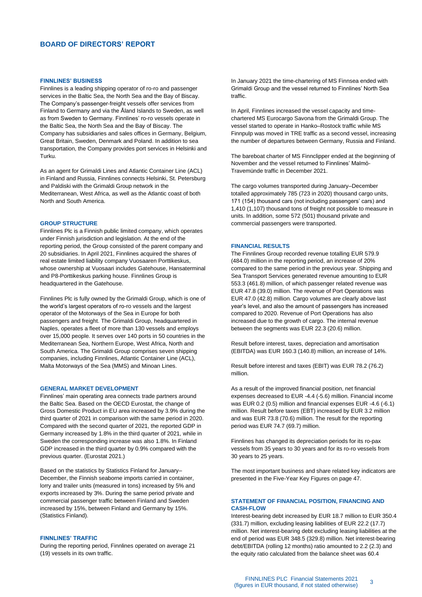# <span id="page-2-0"></span>**BOARD OF DIRECTORS' REPORT**

#### **FINNLINES' BUSINESS**

Finnlines is a leading shipping operator of ro-ro and passenger services in the Baltic Sea, the North Sea and the Bay of Biscay. The Company's passenger-freight vessels offer services from Finland to Germany and via the Åland Islands to Sweden, as well as from Sweden to Germany. Finnlines' ro-ro vessels operate in the Baltic Sea, the North Sea and the Bay of Biscay. The Company has subsidiaries and sales offices in Germany, Belgium, Great Britain, Sweden, Denmark and Poland. In addition to sea transportation, the Company provides port services in Helsinki and Turku.

As an agent for Grimaldi Lines and Atlantic Container Line (ACL) in Finland and Russia, Finnlines connects Helsinki, St. Petersburg and Paldiski with the Grimaldi Group network in the Mediterranean, West Africa, as well as the Atlantic coast of both North and South America.

### **GROUP STRUCTURE**

Finnlines Plc is a Finnish public limited company, which operates under Finnish jurisdiction and legislation. At the end of the reporting period, the Group consisted of the parent company and 20 subsidiaries. In April 2021, Finnlines acquired the shares of real estate limited liability company Vuosaaren Porttikeskus, whose ownership at Vuosaari includes Gatehouse, Hansaterminal and P8-Porttikeskus parking house. Finnlines Group is headquartered in the Gatehouse.

Finnlines Plc is fully owned by the Grimaldi Group, which is one of the world's largest operators of ro-ro vessels and the largest operator of the Motorways of the Sea in Europe for both passengers and freight. The Grimaldi Group, headquartered in Naples, operates a fleet of more than 130 vessels and employs over 15,000 people. It serves over 140 ports in 50 countries in the Mediterranean Sea, Northern Europe, West Africa, North and South America. The Grimaldi Group comprises seven shipping companies, including Finnlines, Atlantic Container Line (ACL), Malta Motorways of the Sea (MMS) and Minoan Lines.

#### **GENERAL MARKET DEVELOPMENT**

Finnlines' main operating area connects trade partners around the Baltic Sea. Based on the OECD Eurostat, the change of Gross Domestic Product in EU area increased by 3.9% during the third quarter of 2021 in comparison with the same period in 2020. Compared with the second quarter of 2021, the reported GDP in Germany increased by 1.8% in the third quarter of 2021, while in Sweden the corresponding increase was also 1.8%. In Finland GDP increased in the third quarter by 0.9% compared with the previous quarter. (Eurostat 2021.)

Based on the statistics by Statistics Finland for January– December, the Finnish seaborne imports carried in container, lorry and trailer units (measured in tons) increased by 5% and exports increased by 3%. During the same period private and commercial passenger traffic between Finland and Sweden increased by 15%, between Finland and Germany by 15%. (Statistics Finland).

#### **FINNLINES' TRAFFIC**

During the reporting period, Finnlines operated on average 21 (19) vessels in its own traffic.

In January 2021 the time-chartering of MS Finnsea ended with Grimaldi Group and the vessel returned to Finnlines' North Sea traffic.

In April, Finnlines increased the vessel capacity and timechartered MS Eurocargo Savona from the Grimaldi Group. The vessel started to operate in Hanko–Rostock traffic while MS Finnpulp was moved in TRE traffic as a second vessel, increasing the number of departures between Germany, Russia and Finland.

The bareboat charter of MS Finnclipper ended at the beginning of November and the vessel returned to Finnlines' Malmö-Travemünde traffic in December 2021.

The cargo volumes transported during January–December totalled approximately 785 (723 in 2020) thousand cargo units, 171 (154) thousand cars (not including passengers' cars) and 1,410 (1,107) thousand tons of freight not possible to measure in units. In addition, some 572 (501) thousand private and commercial passengers were transported.

#### **FINANCIAL RESULTS**

The Finnlines Group recorded revenue totalling EUR 579.9 (484.0) million in the reporting period, an increase of 20% compared to the same period in the previous year. Shipping and Sea Transport Services generated revenue amounting to EUR 553.3 (461.8) million, of which passenger related revenue was EUR 47.8 (39.0) million. The revenue of Port Operations was EUR 47.0 (42.8) million. Cargo volumes are clearly above last year's level, and also the amount of passengers has increased compared to 2020. Revenue of Port Operations has also increased due to the growth of cargo. The internal revenue between the segments was EUR 22.3 (20.6) million.

Result before interest, taxes, depreciation and amortisation (EBITDA) was EUR 160.3 (140.8) million, an increase of 14%.

Result before interest and taxes (EBIT) was EUR 78.2 (76.2) million.

As a result of the improved financial position, net financial expenses decreased to EUR -4.4 (-5.6) million. Financial income was EUR 0.2 (0.5) million and financial expenses EUR -4.6 (-6.1) million. Result before taxes (EBT) increased by EUR 3.2 million and was EUR 73.8 (70.6) million. The result for the reporting period was EUR 74.7 (69.7) million.

Finnlines has changed its depreciation periods for its ro-pax vessels from 35 years to 30 years and for its ro-ro vessels from 30 years to 25 years.

The most important business and share related key indicators are presented in the Five-Year Key Figures on page 47.

# **STATEMENT OF FINANCIAL POSITION, FINANCING AND CASH-FLOW**

Interest-bearing debt increased by EUR 18.7 million to EUR 350.4 (331.7) million, excluding leasing liabilities of EUR 22.2 (17.7) million. Net interest-bearing debt excluding leasing liabilities at the end of period was EUR 348.5 (329.8) million. Net interest-bearing debt/EBITDA (rolling 12 months) ratio amounted to 2.2 (2.3) and the equity ratio calculated from the balance sheet was 60.4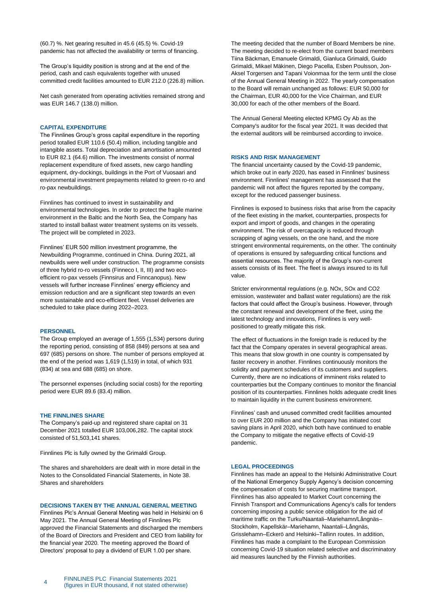(60.7) %. Net gearing resulted in 45.6 (45.5) %. Covid-19 pandemic has not affected the availability or terms of financing.

The Group's liquidity position is strong and at the end of the period, cash and cash equivalents together with unused committed credit facilities amounted to EUR 212.0 (226.8) million.

Net cash generated from operating activities remained strong and was EUR 146.7 (138.0) million.

### **CAPITAL EXPENDITURE**

The Finnlines Group's gross capital expenditure in the reporting period totalled EUR 110.6 (50.4) million, including tangible and intangible assets. Total depreciation and amortisation amounted to EUR 82.1 (64.6) million. The investments consist of normal replacement expenditure of fixed assets, new cargo handling equipment, dry-dockings, buildings in the Port of Vuosaari and environmental investment prepayments related to green ro-ro and ro-pax newbuildings.

Finnlines has continued to invest in sustainability and environmental technologies. In order to protect the fragile marine environment in the Baltic and the North Sea, the Company has started to install ballast water treatment systems on its vessels. The project will be completed in 2023.

Finnlines' EUR 500 million investment programme, the Newbuilding Programme, continued in China. During 2021, all newbuilds were well under construction. The programme consists of three hybrid ro-ro vessels (Finneco I, II, III) and two ecoefficient ro-pax vessels (Finnsirus and Finncanopus). New vessels will further increase Finnlines' energy efficiency and emission reduction and are a significant step towards an even more sustainable and eco-efficient fleet. Vessel deliveries are scheduled to take place during 2022–2023.

### **PERSONNEL**

The Group employed an average of 1,555 (1,534) persons during the reporting period, consisting of 858 (849) persons at sea and 697 (685) persons on shore. The number of persons employed at the end of the period was 1,619 (1,519) in total, of which 931 (834) at sea and 688 (685) on shore.

The personnel expenses (including social costs) for the reporting period were EUR 89.6 (83.4) million.

#### **THE FINNLINES SHARE**

The Company's paid-up and registered share capital on 31 December 2021 totalled EUR 103,006,282. The capital stock consisted of 51,503,141 shares.

Finnlines Plc is fully owned by the Grimaldi Group.

The shares and shareholders are dealt with in more detail in the Notes to the Consolidated Financial Statements, in Note 38. Shares and shareholders

#### **DECISIONS TAKEN BY THE ANNUAL GENERAL MEETING**

Finnlines Plc's Annual General Meeting was held in Helsinki on 6 May 2021. The Annual General Meeting of Finnlines Plc approved the Financial Statements and discharged the members of the Board of Directors and President and CEO from liability for the financial year 2020. The meeting approved the Board of Directors' proposal to pay a dividend of EUR 1.00 per share.

The meeting decided that the number of Board Members be nine. The meeting decided to re-elect from the current board members Tiina Bäckman, Emanuele Grimaldi, Gianluca Grimaldi, Guido Grimaldi, Mikael Mäkinen, Diego Pacella, Esben Poulsson, Jon-Aksel Torgersen and Tapani Voionmaa for the term until the close of the Annual General Meeting in 2022. The yearly compensation to the Board will remain unchanged as follows: EUR 50,000 for the Chairman, EUR 40,000 for the Vice Chairman, and EUR 30,000 for each of the other members of the Board.

The Annual General Meeting elected KPMG Oy Ab as the Company's auditor for the fiscal year 2021. It was decided that the external auditors will be reimbursed according to invoice.

#### **RISKS AND RISK MANAGEMENT**

The financial uncertainty caused by the Covid-19 pandemic, which broke out in early 2020, has eased in Finnlines' business environment. Finnlines' management has assessed that the pandemic will not affect the figures reported by the company, except for the reduced passenger business.

Finnlines is exposed to business risks that arise from the capacity of the fleet existing in the market, counterparties, prospects for export and import of goods, and changes in the operating environment. The risk of overcapacity is reduced through scrapping of aging vessels, on the one hand, and the more stringent environmental requirements, on the other. The continuity of operations is ensured by safeguarding critical functions and essential resources. The majority of the Group's non-current assets consists of its fleet. The fleet is always insured to its full value.

Stricter environmental regulations (e.g. NOx, SOx and CO2 emission, wastewater and ballast water regulations) are the risk factors that could affect the Group's business. However, through the constant renewal and development of the fleet, using the latest technology and innovations, Finnlines is very wellpositioned to greatly mitigate this risk.

The effect of fluctuations in the foreign trade is reduced by the fact that the Company operates in several geographical areas. This means that slow growth in one country is compensated by faster recovery in another. Finnlines continuously monitors the solidity and payment schedules of its customers and suppliers. Currently, there are no indications of imminent risks related to counterparties but the Company continues to monitor the financial position of its counterparties. Finnlines holds adequate credit lines to maintain liquidity in the current business environment.

Finnlines' cash and unused committed credit facilities amounted to over EUR 200 million and the Company has initiated cost saving plans in April 2020, which both have continued to enable the Company to mitigate the negative effects of Covid-19 pandemic.

#### **LEGAL PROCEEDINGS**

Finnlines has made an appeal to the Helsinki Administrative Court of the National Emergency Supply Agency's decision concerning the compensation of costs for securing maritime transport. Finnlines has also appealed to Market Court concerning the Finnish Transport and Communications Agency's calls for tenders concerning imposing a public service obligation for the aid of maritime traffic on the Turku/Naantali–Mariehamn/Långnäs– Stockholm, Kapellskär–Mariehamn, Naantali–Långnäs, Grisslehamn–Eckerö and Helsinki–Tallinn routes. In addition, Finnlines has made a complaint to the European Commission concerning Covid-19 situation related selective and discriminatory aid measures launched by the Finnish authorities.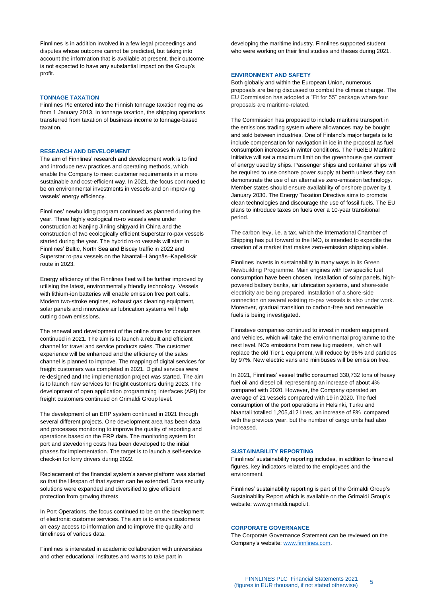Finnlines is in addition involved in a few legal proceedings and disputes whose outcome cannot be predicted, but taking into account the information that is available at present, their outcome is not expected to have any substantial impact on the Group's profit.

#### **TONNAGE TAXATION**

Finnlines Plc entered into the Finnish tonnage taxation regime as from 1 January 2013. In tonnage taxation, the shipping operations transferred from taxation of business income to tonnage-based taxation.

### **RESEARCH AND DEVELOPMENT**

The aim of Finnlines' research and development work is to find and introduce new practices and operating methods, which enable the Company to meet customer requirements in a more sustainable and cost-efficient way. In 2021, the focus continued to be on environmental investments in vessels and on improving vessels' energy efficiency.

Finnlines' newbuilding program continued as planned during the year. Three highly ecological ro-ro vessels were under construction at Nanjing Jinling shipyard in China and the construction of two ecologically efficient Superstar ro-pax vessels started during the year. The hybrid ro-ro vessels will start in Finnlines' Baltic, North Sea and Biscay traffic in 2022 and Superstar ro-pax vessels on the Naantali–Långnäs–Kapellskär route in 2023.

Energy efficiency of the Finnlines fleet will be further improved by utilising the latest, environmentally friendly technology. Vessels with lithium-ion batteries will enable emission free port calls. Modern two-stroke engines, exhaust gas cleaning equipment, solar panels and innovative air lubrication systems will help cutting down emissions.

The renewal and development of the online store for consumers continued in 2021. The aim is to launch a rebuilt and efficient channel for travel and service products sales. The customer experience will be enhanced and the efficiency of the sales channel is planned to improve. The mapping of digital services for freight customers was completed in 2021. Digital services were re-designed and the implementation project was started. The aim is to launch new services for freight customers during 2023. The development of open application programming interfaces (API) for freight customers continued on Grimaldi Group level.

The development of an ERP system continued in 2021 through several different projects. One development area has been data and processes monitoring to improve the quality of reporting and operations based on the ERP data. The monitoring system for port and stevedoring costs has been developed to the initial phases for implementation. The target is to launch a self-service check-in for lorry drivers during 2022.

Replacement of the financial system's server platform was started so that the lifespan of that system can be extended. Data security solutions were expanded and diversified to give efficient protection from growing threats.

In Port Operations, the focus continued to be on the development of electronic customer services. The aim is to ensure customers an easy access to information and to improve the quality and timeliness of various data.

Finnlines is interested in academic collaboration with universities and other educational institutes and wants to take part in

developing the maritime industry. Finnlines supported student who were working on their final studies and theses during 2021.

# **ENVIRONMENT AND SAFETY**

Both globally and within the European Union, numerous proposals are being discussed to combat the climate change. The EU Commission has adopted a "Fit for 55" package where four proposals are maritime-related.

The Commission has proposed to include maritime transport in the emissions trading system where allowances may be bought and sold between industries. One of Finland's major targets is to include compensation for navigation in ice in the proposal as fuel consumption increases in winter conditions. The FuelEU Maritime Initiative will set a maximum limit on the greenhouse gas content of energy used by ships. Passenger ships and container ships will be required to use onshore power supply at berth unless they can demonstrate the use of an alternative zero-emission technology. Member states should ensure availability of onshore power by 1 January 2030. The Energy Taxation Directive aims to promote clean technologies and discourage the use of fossil fuels. The EU plans to introduce taxes on fuels over a 10-year transitional period.

The carbon levy, i.e. a tax, which the International Chamber of Shipping has put forward to the IMO, is intended to expedite the creation of a market that makes zero-emission shipping viable.

Finnlines invests in sustainability in many ways in its Green Newbuilding Programme. Main engines with low specific fuel consumption have been chosen. Installation of solar panels, highpowered battery banks, air lubrication systems, and shore-side electricity are being prepared. Installation of a shore-side connection on several existing ro-pax vessels is also under work. Moreover, gradual transition to carbon-free and renewable fuels is being investigated.

Finnsteve companies continued to invest in modern equipment and vehicles, which will take the environmental programme to the next level. NOx emissions from new tug masters, which will replace the old Tier 1 equipment, will reduce by 96% and particles by 97%. New electric vans and minibuses will be emission free.

In 2021, Finnlines' vessel traffic consumed 330,732 tons of heavy fuel oil and diesel oil, representing an increase of about 4% compared with 2020. However, the Company operated an average of 21 vessels compared with 19 in 2020. The fuel consumption of the port operations in Helsinki, Turku and Naantali totalled 1,205,412 litres, an increase of 8% compared with the previous year, but the number of cargo units had also increased.

#### **SUSTAINABILITY REPORTING**

Finnlines' sustainability reporting includes, in addition to financial figures, key indicators related to the employees and the environment.

Finnlines' sustainability reporting is part of the Grimaldi Group's Sustainability Report which is available on the Grimaldi Group's website: www.grimaldi.napoli.it.

### **CORPORATE GOVERNANCE**

The Corporate Governance Statement can be reviewed on the Company's website: [www.finnlines.com.](http://www.finnlines.com/)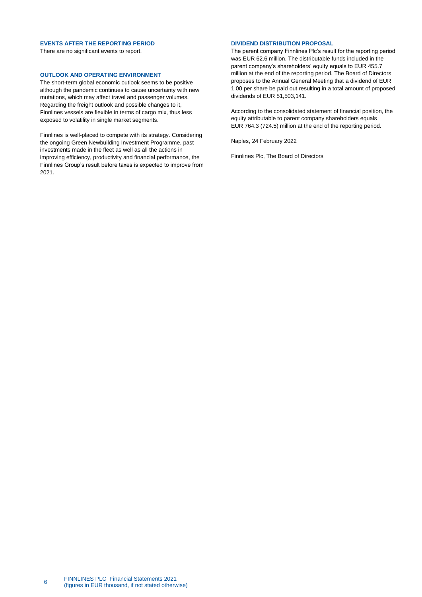# **EVENTS AFTER THE REPORTING PERIOD**

There are no significant events to report.

# **OUTLOOK AND OPERATING ENVIRONMENT**

The short-term global economic outlook seems to be positive although the pandemic continues to cause uncertainty with new mutations, which may affect travel and passenger volumes. Regarding the freight outlook and possible changes to it, Finnlines vessels are flexible in terms of cargo mix, thus less exposed to volatility in single market segments.

Finnlines is well-placed to compete with its strategy. Considering the ongoing Green Newbuilding Investment Programme, past investments made in the fleet as well as all the actions in improving efficiency, productivity and financial performance, the Finnlines Group's result before taxes is expected to improve from 2021.

# **DIVIDEND DISTRIBUTION PROPOSAL**

The parent company Finnlines Plc's result for the reporting period was EUR 62.6 million. The distributable funds included in the parent company's shareholders' equity equals to EUR 455.7 million at the end of the reporting period. The Board of Directors proposes to the Annual General Meeting that a dividend of EUR 1.00 per share be paid out resulting in a total amount of proposed dividends of EUR 51,503,141.

According to the consolidated statement of financial position, the equity attributable to parent company shareholders equals EUR 764.3 (724.5) million at the end of the reporting period.

Naples, 24 February 2022

Finnlines Plc, The Board of Directors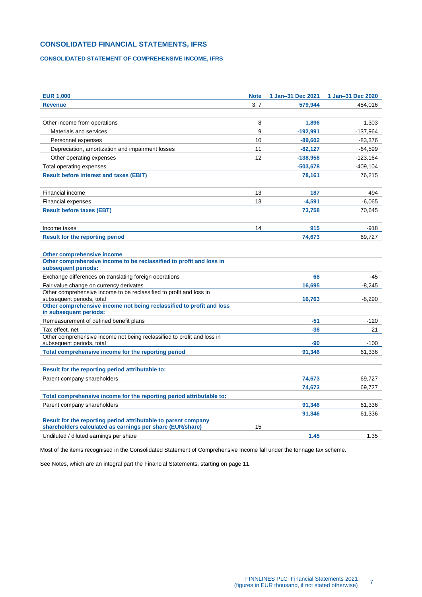# <span id="page-6-0"></span>**CONSOLIDATED FINANCIAL STATEMENTS, IFRS**

# <span id="page-6-1"></span>**CONSOLIDATED STATEMENT OF COMPREHENSIVE INCOME, IFRS**

| <b>EUR 1,000</b>                                                                                                            | <b>Note</b> | 1 Jan-31 Dec 2021 | 1 Jan-31 Dec 2020 |
|-----------------------------------------------------------------------------------------------------------------------------|-------------|-------------------|-------------------|
| <b>Revenue</b>                                                                                                              | 3, 7        | 579.944           | 484.016           |
|                                                                                                                             |             |                   |                   |
| Other income from operations                                                                                                | 8           | 1,896             | 1,303             |
| Materials and services                                                                                                      | 9           | $-192,991$        | $-137,964$        |
| Personnel expenses                                                                                                          | 10          | $-89,602$         | $-83,376$         |
| Depreciation, amortization and impairment losses                                                                            | 11          | $-82,127$         | -64,599           |
| Other operating expenses                                                                                                    | 12          | $-138.958$        | $-123,164$        |
| Total operating expenses                                                                                                    |             | $-503,678$        | $-409, 104$       |
| <b>Result before interest and taxes (EBIT)</b>                                                                              |             | 78,161            | 76,215            |
| <b>Financial income</b>                                                                                                     | 13          | 187               | 494               |
| <b>Financial expenses</b>                                                                                                   | 13          | $-4,591$          | $-6,065$          |
| <b>Result before taxes (EBT)</b>                                                                                            |             | 73,758            | 70,645            |
| Income taxes                                                                                                                | 14          | 915               | $-918$            |
| <b>Result for the reporting period</b>                                                                                      |             | 74,673            | 69,727            |
| Other comprehensive income<br>Other comprehensive income to be reclassified to profit and loss in<br>subsequent periods:    |             |                   |                   |
| Exchange differences on translating foreign operations                                                                      |             | 68                | -45               |
| Fair value change on currency derivates                                                                                     |             | 16,695            | $-8,245$          |
| Other comprehensive income to be reclassified to profit and loss in<br>subsequent periods, total                            |             | 16,763            | $-8,290$          |
| Other comprehensive income not being reclassified to profit and loss<br>in subsequent periods:                              |             |                   |                   |
| Remeasurement of defined benefit plans                                                                                      |             | $-51$             | $-120$            |
| Tax effect, net                                                                                                             |             | -38               | 21                |
| Other comprehensive income not being reclassified to profit and loss in<br>subsequent periods, total                        |             | $-90$             | $-100$            |
| Total comprehensive income for the reporting period                                                                         |             | 91,346            | 61,336            |
| Result for the reporting period attributable to:                                                                            |             |                   |                   |
| Parent company shareholders                                                                                                 |             | 74,673            | 69,727            |
|                                                                                                                             |             | 74,673            | 69,727            |
| Total comprehensive income for the reporting period attributable to:                                                        |             |                   |                   |
| Parent company shareholders                                                                                                 |             | 91,346            | 61,336            |
|                                                                                                                             |             | 91.346            | 61,336            |
| Result for the reporting period attributable to parent company<br>shareholders calculated as earnings per share (EUR/share) | 15          |                   |                   |
| Undiluted / diluted earnings per share                                                                                      |             | 1.45              | 1.35              |

Most of the items recognised in the Consolidated Statement of Comprehensive Income fall under the tonnage tax scheme.

See Notes, which are an integral part the Financial Statements, starting on page 11.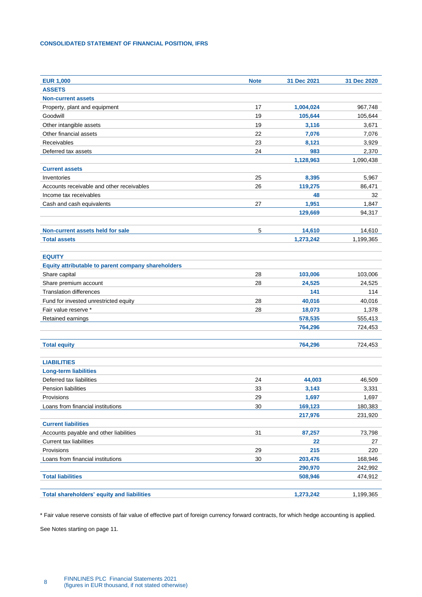# <span id="page-7-0"></span>**CONSOLIDATED STATEMENT OF FINANCIAL POSITION, IFRS**

| <b>EUR 1,000</b>                                   | <b>Note</b> | 31 Dec 2021 | 31 Dec 2020 |
|----------------------------------------------------|-------------|-------------|-------------|
| <b>ASSETS</b>                                      |             |             |             |
| <b>Non-current assets</b>                          |             |             |             |
| Property, plant and equipment                      | 17          | 1,004,024   | 967,748     |
| Goodwill                                           | 19          | 105,644     | 105,644     |
| Other intangible assets                            | 19          | 3,116       | 3,671       |
| Other financial assets                             | 22          | 7,076       | 7,076       |
| Receivables                                        | 23          | 8,121       | 3,929       |
| Deferred tax assets                                | 24          | 983         | 2,370       |
|                                                    |             | 1,128,963   | 1,090,438   |
| <b>Current assets</b>                              |             |             |             |
| Inventories                                        | 25          | 8,395       | 5,967       |
| Accounts receivable and other receivables          | 26          | 119,275     | 86,471      |
| Income tax receivables                             |             | 48          | 32          |
| Cash and cash equivalents                          | 27          | 1,951       | 1,847       |
|                                                    |             | 129,669     | 94,317      |
|                                                    |             |             |             |
| Non-current assets held for sale                   | 5           | 14,610      | 14,610      |
| <b>Total assets</b>                                |             | 1,273,242   | 1,199,365   |
| <b>EQUITY</b>                                      |             |             |             |
| Equity attributable to parent company shareholders |             |             |             |
| Share capital                                      | 28          | 103,006     | 103,006     |
| Share premium account                              | 28          | 24,525      | 24,525      |
| <b>Translation differences</b>                     |             | 141         | 114         |
| Fund for invested unrestricted equity              | 28          | 40,016      | 40,016      |
| Fair value reserve *                               | 28          | 18,073      | 1,378       |
| Retained earnings                                  |             | 578,535     | 555,413     |
|                                                    |             | 764,296     | 724,453     |
|                                                    |             |             |             |
| <b>Total equity</b>                                |             | 764,296     | 724,453     |
| <b>LIABILITIES</b>                                 |             |             |             |
| <b>Long-term liabilities</b>                       |             |             |             |
| Deferred tax liabilities                           | 24          | 44,003      | 46,509      |
| Pension liabilities                                | 33          | 3,143       | 3,331       |
| Provisions                                         | 29          | 1,697       | 1,697       |
| Loans from financial institutions                  | 30          | 169,123     | 180,383     |
|                                                    |             | 217,976     | 231,920     |
| <b>Current liabilities</b>                         |             |             |             |
| Accounts payable and other liabilities             | 31          | 87,257      | 73,798      |
| Current tax liabilities                            |             | 22          | 27          |
| Provisions                                         | 29          | 215         | 220         |
| Loans from financial institutions                  | 30          | 203,476     | 168,946     |
|                                                    |             | 290,970     | 242,992     |
| <b>Total liabilities</b>                           |             | 508,946     | 474,912     |
|                                                    |             |             |             |
| <b>Total shareholders' equity and liabilities</b>  |             | 1,273,242   | 1,199,365   |

\* Fair value reserve consists of fair value of effective part of foreign currency forward contracts, for which hedge accounting is applied.

See Notes starting on page 11.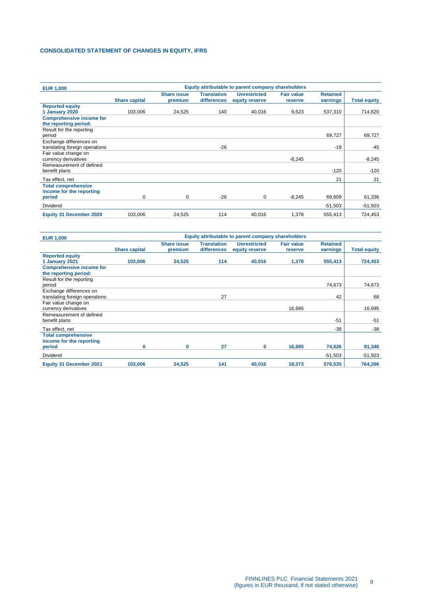# <span id="page-8-0"></span>**CONSOLIDATED STATEMENT OF CHANGES IN EQUITY, IFRS**

| <b>EUR 1,000</b>                                          | Equity attributable to parent company shareholders |                               |                                   |                                       |                              |                             |                     |
|-----------------------------------------------------------|----------------------------------------------------|-------------------------------|-----------------------------------|---------------------------------------|------------------------------|-----------------------------|---------------------|
|                                                           | <b>Share capital</b>                               | <b>Share issue</b><br>premium | <b>Translation</b><br>differences | <b>Unrestricted</b><br>equity reserve | <b>Fair value</b><br>reserve | <b>Retained</b><br>earnings | <b>Total equity</b> |
| <b>Reported equity</b>                                    |                                                    |                               |                                   |                                       |                              |                             |                     |
| 1 January 2020                                            | 103,006                                            | 24,525                        | 140                               | 40,016                                | 9,623                        | 537,310                     | 714,620             |
| <b>Comprehensive income for</b><br>the reporting period:  |                                                    |                               |                                   |                                       |                              |                             |                     |
| Result for the reporting<br>period                        |                                                    |                               |                                   |                                       |                              | 69,727                      | 69,727              |
| Exchange differences on<br>translating foreign operations |                                                    |                               | $-26$                             |                                       |                              | $-19$                       | $-45$               |
| Fair value change on<br>currency derivatives              |                                                    |                               |                                   |                                       | $-8.245$                     |                             | $-8,245$            |
| Remeasurement of defined<br>benefit plans                 |                                                    |                               |                                   |                                       |                              | $-120$                      | $-120$              |
| Tax effect, net                                           |                                                    |                               |                                   |                                       |                              | 21                          | 21                  |
| <b>Total comprehensive</b><br>income for the reporting    |                                                    |                               |                                   |                                       |                              |                             |                     |
| period                                                    | 0                                                  | 0                             | $-26$                             | 0                                     | $-8,245$                     | 69,609                      | 61,336              |
| <b>Dividend</b>                                           |                                                    |                               |                                   |                                       |                              | $-51,503$                   | $-51,503$           |
| <b>Equity 31 December 2020</b>                            | 103,006                                            | 24,525                        | 114                               | 40,016                                | 1,378                        | 555,413                     | 724,453             |

| <b>EUR 1,000</b>                                          | Equity attributable to parent company shareholders |                               |                                   |                                       |                              |                             |                     |
|-----------------------------------------------------------|----------------------------------------------------|-------------------------------|-----------------------------------|---------------------------------------|------------------------------|-----------------------------|---------------------|
|                                                           | <b>Share capital</b>                               | <b>Share issue</b><br>premium | <b>Translation</b><br>differences | <b>Unrestricted</b><br>equity reserve | <b>Fair value</b><br>reserve | <b>Retained</b><br>earnings | <b>Total equity</b> |
| <b>Reported equity</b><br>1 January 2021                  | 103,006                                            | 24,525                        | 114                               | 40,016                                | 1,378                        | 555,413                     | 724,453             |
| <b>Comprehensive income for</b><br>the reporting period:  |                                                    |                               |                                   |                                       |                              |                             |                     |
| Result for the reporting<br>period                        |                                                    |                               |                                   |                                       |                              | 74,673                      | 74,673              |
| Exchange differences on<br>translating foreign operations |                                                    |                               | 27                                |                                       |                              | 42                          | 68                  |
| Fair value change on<br>currency derivatives              |                                                    |                               |                                   |                                       | 16.695                       |                             | 16,695              |
| Remeasurement of defined<br>benefit plans                 |                                                    |                               |                                   |                                       |                              | $-51$                       | $-51$               |
| Tax effect, net                                           |                                                    |                               |                                   |                                       |                              | $-38$                       | $-38$               |
| <b>Total comprehensive</b><br>income for the reporting    |                                                    |                               |                                   |                                       |                              |                             |                     |
| period                                                    | 0                                                  | 0                             | 27                                | 0                                     | 16,695                       | 74,626                      | 91,346              |
| <b>Dividend</b>                                           |                                                    |                               |                                   |                                       |                              | $-51,503$                   | $-51,503$           |
| <b>Equity 31 December 2021</b>                            | 103,006                                            | 24,525                        | 141                               | 40,016                                | 18,073                       | 578,535                     | 764,296             |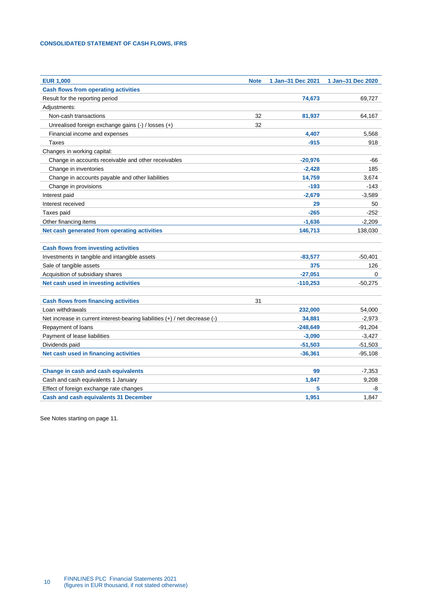# <span id="page-9-0"></span>**CONSOLIDATED STATEMENT OF CASH FLOWS, IFRS**

| <b>EUR 1,000</b>                                                            | <b>Note</b> | 1 Jan-31 Dec 2021 | 1 Jan-31 Dec 2020 |
|-----------------------------------------------------------------------------|-------------|-------------------|-------------------|
| <b>Cash flows from operating activities</b>                                 |             |                   |                   |
| Result for the reporting period                                             |             | 74,673            | 69,727            |
| Adjustments:                                                                |             |                   |                   |
| Non-cash transactions                                                       | 32          | 81,937            | 64,167            |
| Unrealised foreign exchange gains (-) / losses (+)                          | 32          |                   |                   |
| Financial income and expenses                                               |             | 4,407             | 5,568             |
| Taxes                                                                       |             | $-915$            | 918               |
| Changes in working capital:                                                 |             |                   |                   |
| Change in accounts receivable and other receivables                         |             | $-20,976$         | -66               |
| Change in inventories                                                       |             | $-2,428$          | 185               |
| Change in accounts payable and other liabilities                            |             | 14,759            | 3,674             |
| Change in provisions                                                        |             | $-193$            | $-143$            |
| Interest paid                                                               |             | $-2,679$          | $-3,589$          |
| Interest received                                                           |             | 29                | 50                |
| Taxes paid                                                                  |             | $-265$            | $-252$            |
| Other financing items                                                       |             | $-1,636$          | $-2,209$          |
| Net cash generated from operating activities                                |             | 146,713           | 138,030           |
|                                                                             |             |                   |                   |
| <b>Cash flows from investing activities</b>                                 |             |                   |                   |
| Investments in tangible and intangible assets                               |             | $-83,577$         | $-50,401$         |
| Sale of tangible assets                                                     |             | 375               | 126               |
| Acquisition of subsidiary shares                                            |             | $-27,051$         | 0                 |
| Net cash used in investing activities                                       |             | $-110,253$        | $-50,275$         |
|                                                                             |             |                   |                   |
| <b>Cash flows from financing activities</b>                                 | 31          |                   |                   |
| Loan withdrawals                                                            |             | 232,000           | 54,000            |
| Net increase in current interest-bearing liabilities (+) / net decrease (-) |             | 34,881            | $-2,973$          |
| Repayment of loans                                                          |             | $-248,649$        | $-91,204$         |
| Payment of lease liabilities                                                |             | $-3,090$          | $-3,427$          |
| Dividends paid                                                              |             | $-51,503$         | $-51,503$         |
| Net cash used in financing activities                                       |             | $-36,361$         | $-95,108$         |
|                                                                             |             |                   |                   |
| Change in cash and cash equivalents                                         |             | 99                | $-7,353$          |
| Cash and cash equivalents 1 January                                         |             | 1,847             | 9,208             |
| Effect of foreign exchange rate changes                                     |             | 5                 | -8                |
| <b>Cash and cash equivalents 31 December</b>                                |             | 1,951             | 1,847             |

See Notes starting on page 11.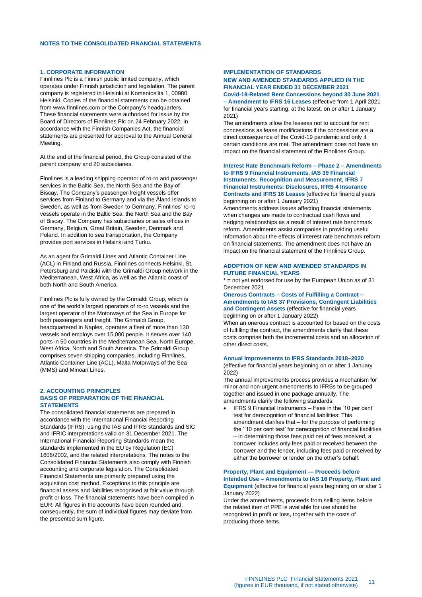#### <span id="page-10-1"></span><span id="page-10-0"></span>**1. CORPORATE INFORMATION**

Finnlines Plc is a Finnish public limited company, which operates under Finnish jurisdiction and legislation. The parent company is registered in Helsinki at Komentosilta 1, 00980 Helsinki. Copies of the financial statements can be obtained from www.finnlines.com or the Company's headquarters. These financial statements were authorised for issue by the Board of Directors of Finnlines Plc on 24 February 2022. In accordance with the Finnish Companies Act, the financial statements are presented for approval to the Annual General Meeting.

At the end of the financial period, the Group consisted of the parent company and 20 subsidiaries.

Finnlines is a leading shipping operator of ro-ro and passenger services in the Baltic Sea, the North Sea and the Bay of Biscay. The Company's passenger-freight vessels offer services from Finland to Germany and via the Åland Islands to Sweden, as well as from Sweden to Germany. Finnlines' ro-ro vessels operate in the Baltic Sea, the North Sea and the Bay of Biscay. The Company has subsidiaries or sales offices in Germany, Belgium, Great Britain, Sweden, Denmark and Poland. In addition to sea transportation, the Company provides port services in Helsinki and Turku.

As an agent for Grimaldi Lines and Atlantic Container Line (ACL) in Finland and Russia, Finnlines connects Helsinki, St. Petersburg and Paldiski with the Grimaldi Group network in the Mediterranean, West Africa, as well as the Atlantic coast of both North and South America.

Finnlines Plc is fully owned by the Grimaldi Group, which is one of the world's largest operators of ro-ro vessels and the largest operator of the Motorways of the Sea in Europe for both passengers and freight. The Grimaldi Group, headquartered in Naples, operates a fleet of more than 130 vessels and employs over 15,000 people. It serves over 140 ports in 50 countries in the Mediterranean Sea, North Europe, West Africa, North and South America. The Grimaldi Group comprises seven shipping companies, including Finnlines, Atlantic Container Line (ACL), Malta Motorways of the Sea (MMS) and Minoan Lines.

#### <span id="page-10-2"></span>**2. ACCOUNTING PRINCIPLES BASIS OF PREPARATION OF THE FINANCIAL STATEMENTS**

The consolidated financial statements are prepared in accordance with the International Financial Reporting Standards (IFRS), using the IAS and IFRS standards and SIC and IFRIC interpretations valid on 31 December 2021. The International Financial Reporting Standards mean the standards implemented in the EU by Regulation (EC) 1606/2002, and the related interpretations. The notes to the Consolidated Financial Statements also comply with Finnish accounting and corporate legislation. The Consolidated Financial Statements are primarily prepared using the acquisition cost method. Exceptions to this principle are financial assets and liabilities recognised at fair value through profit or loss. The financial statements have been compiled in EUR. All figures in the accounts have been rounded and, consequently, the sum of individual figures may deviate from the presented sum figure.

### **IMPLEMENTATION OF STANDARDS**

#### **NEW AND AMENDED STANDARDS APPLIED IN THE FINANCIAL YEAR ENDED 31 DECEMBER 2021 Covid-19-Related Rent Concessions beyond 30 June 2021**

**– Amendment to IFRS 16 Leases** (effective from 1 April 2021 for financial years starting, at the latest, on or after 1 January 2021)

The amendments allow the lessees not to account for rent concessions as lease modifications if the concessions are a direct consequence of the Covid-19 pandemic and only if certain conditions are met. The amendment does not have an impact on the financial statement of the Finnlines Group.

#### **Interest Rate Benchmark Reform – Phase 2 – Amendments to IFRS 9 Financial Instruments, IAS 39 Financial Instruments: Recognition and Measurement, IFRS 7 Financial Instruments: Disclosures, IFRS 4 Insurance Contracts and IFRS 16 Leases** (effective for financial years beginning on or after 1 January 2021)

Amendments address issues affecting financial statements when changes are made to contractual cash flows and hedging relationships as a result of interest rate benchmark reform. Amendments assist companies in providing useful information about the effects of interest rate benchmark reform on financial statements. The amendment does not have an impact on the financial statement of the Finnlines Group.

#### **ADOPTION OF NEW AND AMENDED STANDARDS IN FUTURE FINANCIAL YEARS**

 $*$  = not yet endorsed for use by the European Union as of 31 December 2021

**Onerous Contracts – Costs of Fulfilling a Contract – Amendments to IAS 37 Provisions, Contingent Liabilities and Contingent Assets** (effective for financial years beginning on or after 1 January 2022)

When an onerous contract is accounted for based on the costs of fulfilling the contract, the amendments clarify that these costs comprise both the incremental costs and an allocation of other direct costs.

#### **Annual Improvements to IFRS Standards 2018–2020**

(effective for financial years beginning on or after 1 January 2022)

The annual improvements process provides a mechanism for minor and non-urgent amendments to IFRSs to be grouped together and issued in one package annually. The amendments clarify the following standards:

• IFRS 9 Financial Instruments – Fees in the '10 per cent' test for derecognition of financial liabilities: This amendment clarifies that – for the purpose of performing the ''10 per cent test' for derecognition of financial liabilities – in determining those fees paid net of fees received, a borrower includes only fees paid or received between the borrower and the lender, including fees paid or received by either the borrower or lender on the other's behalf.

### **Property, Plant and Equipment — Proceeds before Intended Use – Amendments to IAS 16 Property, Plant and Equipment** (effective for financial years beginning on or after 1 January 2022)

Under the amendments, proceeds from selling items before the related item of PPE is available for use should be recognized in profit or loss, together with the costs of producing those items.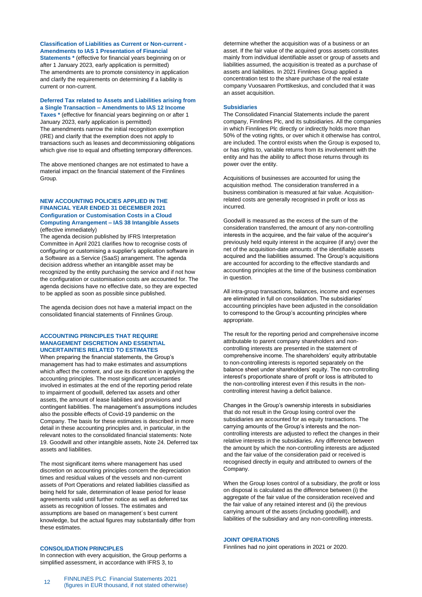# **Classification of Liabilities as Current or Non-current - Amendments to IAS 1 Presentation of Financial**

**Statements \*** (effective for financial years beginning on or after 1 January 2023, early application is permitted) The amendments are to promote consistency in application and clarify the requirements on determining if a liability is current or non-current.

#### **Deferred Tax related to Assets and Liabilities arising from a Single Transaction – Amendments to IAS 12 Income**

**Taxes \*** (effective for financial years beginning on or after 1 January 2023, early application is permitted) The amendments narrow the initial recognition exemption (IRE) and clarify that the exemption does not apply to transactions such as leases and decommissioning obligations which give rise to equal and offsetting temporary differences.

The above mentioned changes are not estimated to have a material impact on the financial statement of the Finnlines Group.

#### **NEW ACCOUNTING POLICIES APPLIED IN THE FINANCIAL YEAR ENDED 31 DECEMBER 2021 Configuration or Customisation Costs in a Cloud Computing Arrangement – IAS 38 Intangible Assets** (effective immediately)

The agenda decision published by IFRS Interpretation Committee in April 2021 clarifies how to recognise costs of configuring or customising a supplier's application software in a Software as a Service (SaaS) arrangement. The agenda decision address whether an intangible asset may be recognized by the entity purchasing the service and if not how the configuration or customisation costs are accounted for. The agenda decisions have no effective date, so they are expected to be applied as soon as possible since published.

The agenda decision does not have a material impact on the consolidated financial statements of Finnlines Group.

#### **ACCOUNTING PRINCIPLES THAT REQUIRE MANAGEMENT DISCRETION AND ESSENTIAL UNCERTAINTIES RELATED TO ESTIMATES**

When preparing the financial statements, the Group's management has had to make estimates and assumptions which affect the content, and use its discretion in applying the accounting principles. The most significant uncertainties involved in estimates at the end of the reporting period relate to impairment of goodwill, deferred tax assets and other assets, the amount of lease liabilities and provisions and contingent liabilities. The management's assumptions includes also the possible effects of Covid-19 pandemic on the Company. The basis for these estimates is described in more detail in these accounting principles and, in particular, in the relevant notes to the consolidated financial statements: Note 19. Goodwill and other intangible assets, Note 24. Deferred tax assets and liabilities.

The most significant items where management has used discretion on accounting principles concern the depreciation times and residual values of the vessels and non-current assets of Port Operations and related liabilities classified as being held for sale, determination of lease period for lease agreements valid until further notice as well as deferred tax assets as recognition of losses. The estimates and assumptions are based on management´s best current knowledge, but the actual figures may substantially differ from these estimates.

#### **CONSOLIDATION PRINCIPLES**

In connection with every acquisition, the Group performs a simplified assessment, in accordance with IFRS 3, to

determine whether the acquisition was of a business or an asset. If the fair value of the acquired gross assets constitutes mainly from individual identifiable asset or group of assets and liabilities assumed, the acquisition is treated as a purchase of assets and liabilities. In 2021 Finnlines Group applied a concentration test to the share purchase of the real estate company Vuosaaren Porttikeskus, and concluded that it was an asset acquisition.

#### **Subsidiaries**

The Consolidated Financial Statements include the parent company, Finnlines Plc, and its subsidiaries. All the companies in which Finnlines Plc directly or indirectly holds more than 50% of the voting rights, or over which it otherwise has control, are included. The control exists when the Group is exposed to, or has rights to, variable returns from its involvement with the entity and has the ability to affect those returns through its power over the entity.

Acquisitions of businesses are accounted for using the acquisition method. The consideration transferred in a business combination is measured at fair value. Acquisitionrelated costs are generally recognised in profit or loss as incurred.

Goodwill is measured as the excess of the sum of the consideration transferred, the amount of any non-controlling interests in the acquiree, and the fair value of the acquirer's previously held equity interest in the acquiree (if any) over the net of the acquisition-date amounts of the identifiable assets acquired and the liabilities assumed. The Group's acquisitions are accounted for according to the effective standards and accounting principles at the time of the business combination in question.

All intra-group transactions, balances, income and expenses are eliminated in full on consolidation. The subsidiaries' accounting principles have been adjusted in the consolidation to correspond to the Group's accounting principles where appropriate.

The result for the reporting period and comprehensive income attributable to parent company shareholders and noncontrolling interests are presented in the statement of comprehensive income. The shareholders' equity attributable to non-controlling interests is reported separately on the balance sheet under shareholders' equity. The non-controlling interest's proportionate share of profit or loss is attributed to the non-controlling interest even if this results in the noncontrolling interest having a deficit balance.

Changes in the Group's ownership interests in subsidiaries that do not result in the Group losing control over the subsidiaries are accounted for as equity transactions. The carrying amounts of the Group's interests and the noncontrolling interests are adjusted to reflect the changes in their relative interests in the subsidiaries. Any difference between the amount by which the non-controlling interests are adjusted and the fair value of the consideration paid or received is recognised directly in equity and attributed to owners of the Company.

When the Group loses control of a subsidiary, the profit or loss on disposal is calculated as the difference between (i) the aggregate of the fair value of the consideration received and the fair value of any retained interest and (ii) the previous carrying amount of the assets (including goodwill), and liabilities of the subsidiary and any non-controlling interests.

### **JOINT OPERATIONS**

Finnlines had no joint operations in 2021 or 2020.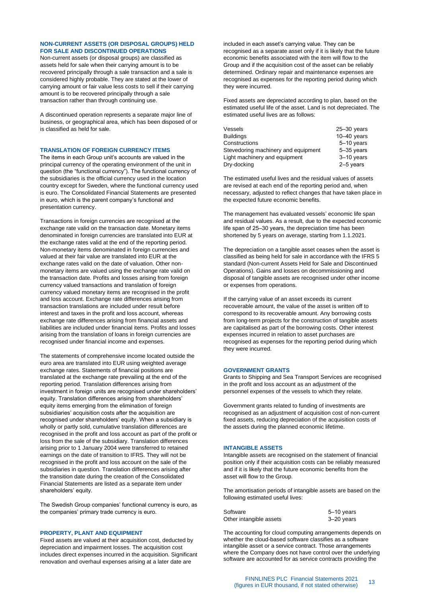### **NON-CURRENT ASSETS (OR DISPOSAL GROUPS) HELD FOR SALE AND DISCONTINUED OPERATIONS**

Non-current assets (or disposal groups) are classified as assets held for sale when their carrying amount is to be recovered principally through a sale transaction and a sale is considered highly probable. They are stated at the lower of carrying amount or fair value less costs to sell if their carrying amount is to be recovered principally through a sale transaction rather than through continuing use.

A discontinued operation represents a separate major line of business, or geographical area, which has been disposed of or is classified as held for sale.

#### **TRANSLATION OF FOREIGN CURRENCY ITEMS**

The items in each Group unit's accounts are valued in the principal currency of the operating environment of the unit in question (the "functional currency"). The functional currency of the subsidiaries is the official currency used in the location country except for Sweden, where the functional currency used is euro. The Consolidated Financial Statements are presented in euro, which is the parent company's functional and presentation currency.

Transactions in foreign currencies are recognised at the exchange rate valid on the transaction date. Monetary items denominated in foreign currencies are translated into EUR at the exchange rates valid at the end of the reporting period. Non-monetary items denominated in foreign currencies and valued at their fair value are translated into EUR at the exchange rates valid on the date of valuation. Other nonmonetary items are valued using the exchange rate valid on the transaction date. Profits and losses arising from foreign currency valued transactions and translation of foreign currency valued monetary items are recognised in the profit and loss account. Exchange rate differences arising from transaction translations are included under result before interest and taxes in the profit and loss account, whereas exchange rate differences arising from financial assets and liabilities are included under financial items. Profits and losses arising from the translation of loans in foreign currencies are recognised under financial income and expenses.

The statements of comprehensive income located outside the euro area are translated into EUR using weighted average exchange rates. Statements of financial positions are translated at the exchange rate prevailing at the end of the reporting period. Translation differences arising from investment in foreign units are recognised under shareholders' equity. Translation differences arising from shareholders' equity items emerging from the elimination of foreign subsidiaries' acquisition costs after the acquisition are recognised under shareholders' equity. When a subsidiary is wholly or partly sold, cumulative translation differences are recognised in the profit and loss account as part of the profit or loss from the sale of the subsidiary. Translation differences arising prior to 1 January 2004 were transferred to retained earnings on the date of transition to IFRS. They will not be recognised in the profit and loss account on the sale of the subsidiaries in question. Translation differences arising after the transition date during the creation of the Consolidated Financial Statements are listed as a separate item under shareholders' equity.

The Swedish Group companies' functional currency is euro, as the companies' primary trade currency is euro.

#### **PROPERTY, PLANT AND EQUIPMENT**

Fixed assets are valued at their acquisition cost, deducted by depreciation and impairment losses. The acquisition cost includes direct expenses incurred in the acquisition. Significant renovation and overhaul expenses arising at a later date are

included in each asset's carrying value. They can be recognised as a separate asset only if it is likely that the future economic benefits associated with the item will flow to the Group and if the acquisition cost of the asset can be reliably determined. Ordinary repair and maintenance expenses are recognised as expenses for the reporting period during which they were incurred.

Fixed assets are depreciated according to plan, based on the estimated useful life of the asset. Land is not depreciated. The estimated useful lives are as follows:

| Vessels                             | $25 - 30$ years |
|-------------------------------------|-----------------|
| <b>Buildings</b>                    | $10-40$ years   |
| Constructions                       | 5-10 years      |
| Stevedoring machinery and equipment | $5 - 35$ years  |
| Light machinery and equipment       | $3-10$ years    |
| Dry-docking                         | $2-5$ years     |

The estimated useful lives and the residual values of assets are revised at each end of the reporting period and, when necessary, adjusted to reflect changes that have taken place in the expected future economic benefits.

The management has evaluated vessels' economic life span and residual values. As a result, due to the expected economic life span of 25-30 years, the depreciation time has been shortened by 5 years on average, starting from 1.1.2021.

The depreciation on a tangible asset ceases when the asset is classified as being held for sale in accordance with the IFRS 5 standard (Non-current Assets Held for Sale and Discontinued Operations). Gains and losses on decommissioning and disposal of tangible assets are recognised under other income or expenses from operations.

If the carrying value of an asset exceeds its current recoverable amount, the value of the asset is written off to correspond to its recoverable amount. Any borrowing costs from long-term projects for the construction of tangible assets are capitalised as part of the borrowing costs. Other interest expenses incurred in relation to asset purchases are recognised as expenses for the reporting period during which they were incurred.

#### **GOVERNMENT GRANTS**

Grants to Shipping and Sea Transport Services are recognised in the profit and loss account as an adjustment of the personnel expenses of the vessels to which they relate.

Government grants related to funding of investments are recognised as an adjustment of acquisition cost of non-current fixed assets, reducing depreciation of the acquisition costs of the assets during the planned economic lifetime.

#### **INTANGIBLE ASSETS**

Intangible assets are recognised on the statement of financial position only if their acquisition costs can be reliably measured and if it is likely that the future economic benefits from the asset will flow to the Group.

The amortisation periods of intangible assets are based on the following estimated useful lives:

| Software                | 5-10 years |
|-------------------------|------------|
| Other intangible assets | 3-20 years |

The accounting for cloud computing arrangements depends on whether the cloud-based software classifies as a software intangible asset or a service contract. Those arrangements where the Company does not have control over the underlying software are accounted for as service contracts providing the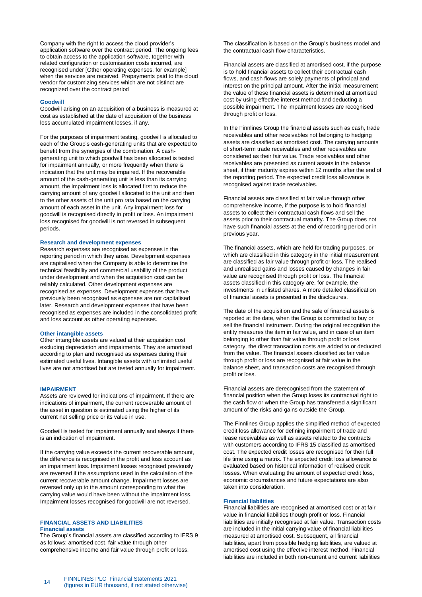Company with the right to access the cloud provider's application software over the contract period. The ongoing fees to obtain access to the application software, together with related configuration or customisation costs incurred, are recognised under [Other operating expenses, for example] when the services are received. Prepayments paid to the cloud vendor for customizing services which are not distinct are recognized over the contract period

#### **Goodwill**

Goodwill arising on an acquisition of a business is measured at cost as established at the date of acquisition of the business less accumulated impairment losses, if any.

For the purposes of impairment testing, goodwill is allocated to each of the Group's cash-generating units that are expected to benefit from the synergies of the combination. A cashgenerating unit to which goodwill has been allocated is tested for impairment annually, or more frequently when there is indication that the unit may be impaired. If the recoverable amount of the cash-generating unit is less than its carrying amount, the impairment loss is allocated first to reduce the carrying amount of any goodwill allocated to the unit and then to the other assets of the unit pro rata based on the carrying amount of each asset in the unit. Any impairment loss for goodwill is recognised directly in profit or loss. An impairment loss recognised for goodwill is not reversed in subsequent periods.

#### **Research and development expenses**

Research expenses are recognised as expenses in the reporting period in which they arise. Development expenses are capitalised when the Company is able to determine the technical feasibility and commercial usability of the product under development and when the acquisition cost can be reliably calculated. Other development expenses are recognised as expenses. Development expenses that have previously been recognised as expenses are not capitalised later. Research and development expenses that have been recognised as expenses are included in the consolidated profit and loss account as other operating expenses.

#### **Other intangible assets**

Other intangible assets are valued at their acquisition cost excluding depreciation and impairments. They are amortised according to plan and recognised as expenses during their estimated useful lives. Intangible assets with unlimited useful lives are not amortised but are tested annually for impairment.

#### **IMPAIRMENT**

Assets are reviewed for indications of impairment. If there are indications of impairment, the current recoverable amount of the asset in question is estimated using the higher of its current net selling price or its value in use.

Goodwill is tested for impairment annually and always if there is an indication of impairment.

If the carrying value exceeds the current recoverable amount, the difference is recognised in the profit and loss account as an impairment loss. Impairment losses recognised previously are reversed if the assumptions used in the calculation of the current recoverable amount change. Impairment losses are reversed only up to the amount corresponding to what the carrying value would have been without the impairment loss. Impairment losses recognised for goodwill are not reversed.

#### **FINANCIAL ASSETS AND LIABILITIES Financial assets**

The Group's financial assets are classified according to IFRS 9 as follows: amortised cost, fair value through other comprehensive income and fair value through profit or loss.

The classification is based on the Group's business model and the contractual cash flow characteristics.

Financial assets are classified at amortised cost, if the purpose is to hold financial assets to collect their contractual cash flows, and cash flows are solely payments of principal and interest on the principal amount. After the initial measurement the value of these financial assets is determined at amortised cost by using effective interest method and deducting a possible impairment. The impairment losses are recognised through profit or loss.

In the Finnlines Group the financial assets such as cash, trade receivables and other receivables not belonging to hedging assets are classified as amortised cost. The carrying amounts of short-term trade receivables and other receivables are considered as their fair value. Trade receivables and other receivables are presented as current assets in the balance sheet, if their maturity expires within 12 months after the end of the reporting period. The expected credit loss allowance is recognised against trade receivables.

Financial assets are classified at fair value through other comprehensive income, if the purpose is to hold financial assets to collect their contractual cash flows and sell the assets prior to their contractual maturity. The Group does not have such financial assets at the end of reporting period or in previous year.

The financial assets, which are held for trading purposes, or which are classified in this category in the initial measurement are classified as fair value through profit or loss. The realised and unrealised gains and losses caused by changes in fair value are recognised through profit or loss. The financial assets classified in this category are, for example, the investments in unlisted shares. A more detailed classification of financial assets is presented in the disclosures.

The date of the acquisition and the sale of financial assets is reported at the date, when the Group is committed to buy or sell the financial instrument. During the original recognition the entity measures the item in fair value, and in case of an item belonging to other than fair value through profit or loss category, the direct transaction costs are added to or deducted from the value. The financial assets classified as fair value through profit or loss are recognised at fair value in the balance sheet, and transaction costs are recognised through profit or loss.

Financial assets are derecognised from the statement of financial position when the Group loses its contractual right to the cash flow or when the Group has transferred a significant amount of the risks and gains outside the Group.

The Finnlines Group applies the simplified method of expected credit loss allowance for defining impairment of trade and lease receivables as well as assets related to the contracts with customers according to IFRS 15 classified as amortised cost. The expected credit losses are recognised for their full life time using a matrix. The expected credit loss allowance is evaluated based on historical information of realised credit losses. When evaluating the amount of expected credit loss, economic circumstances and future expectations are also taken into consideration.

#### **Financial liabilities**

Financial liabilities are recognised at amortised cost or at fair value in financial liabilities though profit or loss. Financial liabilities are initially recognised at fair value. Transaction costs are included in the initial carrying value of financial liabilities measured at amortised cost. Subsequent, all financial liabilities, apart from possible hedging liabilities, are valued at amortised cost using the effective interest method. Financial liabilities are included in both non-current and current liabilities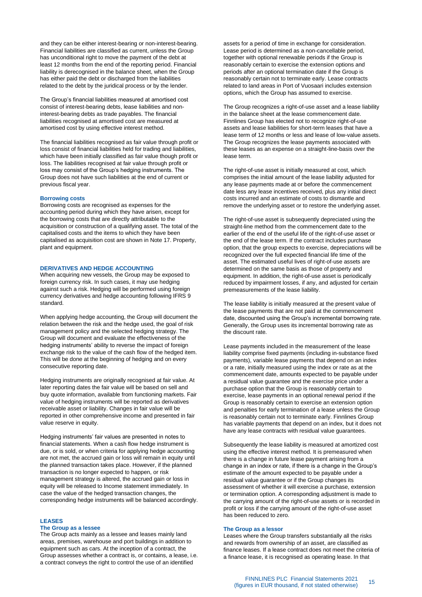and they can be either interest-bearing or non-interest-bearing. Financial liabilities are classified as current, unless the Group has unconditional right to move the payment of the debt at least 12 months from the end of the reporting period. Financial liability is derecognised in the balance sheet, when the Group has either paid the debt or discharged from the liabilities related to the debt by the juridical process or by the lender.

The Group's financial liabilities measured at amortised cost consist of interest-bearing debts, lease liabilities and noninterest-bearing debts as trade payables. The financial liabilities recognised at amortised cost are measured at amortised cost by using effective interest method.

The financial liabilities recognised as fair value through profit or loss consist of financial liabilities held for trading and liabilities, which have been initially classified as fair value though profit or loss. The liabilities recognised at fair value through profit or loss may consist of the Group's hedging instruments. The Group does not have such liabilities at the end of current or previous fiscal year.

# **Borrowing costs**

Borrowing costs are recognised as expenses for the accounting period during which they have arisen, except for the borrowing costs that are directly attributable to the acquisition or construction of a qualifying asset. The total of the capitalised costs and the items to which they have been capitalised as acquisition cost are shown in Note 17. Property, plant and equipment.

#### **DERIVATIVES AND HEDGE ACCOUNTING**

When acquiring new vessels, the Group may be exposed to foreign currency risk. In such cases, it may use hedging against such a risk. Hedging will be performed using foreign currency derivatives and hedge accounting following IFRS 9 standard.

When applying hedge accounting, the Group will document the relation between the risk and the hedge used, the goal of risk management policy and the selected hedging strategy. The Group will document and evaluate the effectiveness of the hedging instruments' ability to reverse the impact of foreign exchange risk to the value of the cash flow of the hedged item. This will be done at the beginning of hedging and on every consecutive reporting date.

Hedging instruments are originally recognised at fair value. At later reporting dates the fair value will be based on sell and buy quote information, available from functioning markets. Fair value of hedging instruments will be reported as derivatives receivable asset or liability. Changes in fair value will be reported in other comprehensive income and presented in fair value reserve in equity.

Hedging instruments' fair values are presented in notes to financial statements. When a cash flow hedge instrument is due, or is sold, or when criteria for applying hedge accounting are not met, the accrued gain or loss will remain in equity until the planned transaction takes place. However, if the planned transaction is no longer expected to happen, or risk management strategy is altered, the accrued gain or loss in equity will be released to Income statement immediately. In case the value of the hedged transaction changes, the corresponding hedge instruments will be balanced accordingly.

#### **LEASES**

#### **The Group as a lessee**

The Group acts mainly as a lessee and leases mainly land areas, premises, warehouse and port buildings in addition to equipment such as cars. At the inception of a contract, the Group assesses whether a contract is, or contains, a lease, i.e. a contract conveys the right to control the use of an identified

assets for a period of time in exchange for consideration. Lease period is determined as a non-cancellable period, together with optional renewable periods if the Group is reasonably certain to exercise the extension options and periods after an optional termination date if the Group is reasonably certain not to terminate early. Lease contracts related to land areas in Port of Vuosaari includes extension options, which the Group has assumed to exercise.

The Group recognizes a right-of-use asset and a lease liability in the balance sheet at the lease commencement date. Finnlines Group has elected not to recognize right-of-use assets and lease liabilities for short-term leases that have a lease term of 12 months or less and lease of low-value assets. The Group recognizes the lease payments associated with these leases as an expense on a straight-line-basis over the lease term.

The right-of-use asset is initially measured at cost, which comprises the initial amount of the lease liability adjusted for any lease payments made at or before the commencement date less any lease incentives received, plus any initial direct costs incurred and an estimate of costs to dismantle and remove the underlying asset or to restore the underlying asset.

The right-of-use asset is subsequently depreciated using the straight-line method from the commencement date to the earlier of the end of the useful life of the right-of-use asset or the end of the lease term. If the contract includes purchase option, that the group expects to exercise, depreciations will be recognized over the full expected financial life time of the asset. The estimated useful lives of right-of-use assets are determined on the same basis as those of property and equipment. In addition, the right-of-use asset is periodically reduced by impairment losses, if any, and adjusted for certain premeasurements of the lease liability.

The lease liability is initially measured at the present value of the lease payments that are not paid at the commencement date, discounted using the Group's incremental borrowing rate. Generally, the Group uses its incremental borrowing rate as the discount rate.

Lease payments included in the measurement of the lease liability comprise fixed payments (including in-substance fixed payments), variable lease payments that depend on an index or a rate, initially measured using the index or rate as at the commencement date, amounts expected to be payable under a residual value guarantee and the exercise price under a purchase option that the Group is reasonably certain to exercise, lease payments in an optional renewal period if the Group is reasonably certain to exercise an extension option and penalties for early termination of a lease unless the Group is reasonably certain not to terminate early. Finnlines Group has variable payments that depend on an index, but it does not have any lease contracts with residual value guarantees.

Subsequently the lease liability is measured at amortized cost using the effective interest method. It is premeasured when there is a change in future lease payment arising from a change in an index or rate, if there is a change in the Group's estimate of the amount expected to be payable under a residual value guarantee or if the Group changes its assessment of whether it will exercise a purchase, extension or termination option. A corresponding adjustment is made to the carrying amount of the right-of-use assets or is recorded in profit or loss if the carrying amount of the right-of-use asset has been reduced to zero.

#### **The Group as a lessor**

Leases where the Group transfers substantially all the risks and rewards from ownership of an asset, are classified as finance leases. If a lease contract does not meet the criteria of a finance lease, it is recognised as operating lease. In that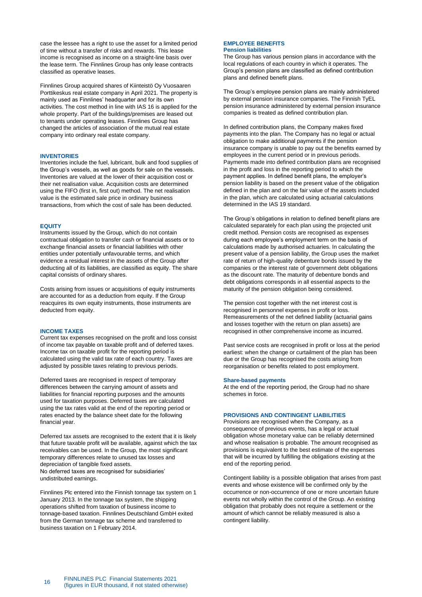case the lessee has a right to use the asset for a limited period of time without a transfer of risks and rewards. This lease income is recognised as income on a straight-line basis over the lease term. The Finnlines Group has only lease contracts classified as operative leases.

Finnlines Group acquired shares of Kiinteistö Oy Vuosaaren Porttikeskus real estate company in April 2021. The property is mainly used as Finnlines' headquarter and for its own activities. The cost method in line with IAS 16 is applied for the whole property. Part of the buildings/premises are leased out to tenants under operating leases. Finnlines Group has changed the articles of association of the mutual real estate company into ordinary real estate company.

#### **INVENTORIES**

Inventories include the fuel, lubricant, bulk and food supplies of the Group's vessels, as well as goods for sale on the vessels. Inventories are valued at the lower of their acquisition cost or their net realisation value. Acquisition costs are determined using the FIFO (first in, first out) method. The net realisation value is the estimated sale price in ordinary business transactions, from which the cost of sale has been deducted.

#### **EQUITY**

Instruments issued by the Group, which do not contain contractual obligation to transfer cash or financial assets or to exchange financial assets or financial liabilities with other entities under potentially unfavourable terms, and which evidence a residual interest in the assets of the Group after deducting all of its liabilities, are classified as equity. The share capital consists of ordinary shares.

Costs arising from issues or acquisitions of equity instruments are accounted for as a deduction from equity. If the Group reacquires its own equity instruments, those instruments are deducted from equity.

### **INCOME TAXES**

Current tax expenses recognised on the profit and loss consist of income tax payable on taxable profit and of deferred taxes. Income tax on taxable profit for the reporting period is calculated using the valid tax rate of each country. Taxes are adjusted by possible taxes relating to previous periods.

Deferred taxes are recognised in respect of temporary differences between the carrying amount of assets and liabilities for financial reporting purposes and the amounts used for taxation purposes. Deferred taxes are calculated using the tax rates valid at the end of the reporting period or rates enacted by the balance sheet date for the following financial year.

Deferred tax assets are recognised to the extent that it is likely that future taxable profit will be available, against which the tax receivables can be used. In the Group, the most significant temporary differences relate to unused tax losses and depreciation of tangible fixed assets. No deferred taxes are recognised for subsidiaries' undistributed earnings.

Finnlines Plc entered into the Finnish tonnage tax system on 1 January 2013. In the tonnage tax system, the shipping operations shifted from taxation of business income to tonnage-based taxation. Finnlines Deutschland GmbH exited from the German tonnage tax scheme and transferred to business taxation on 1 February 2014.

#### **EMPLOYEE BENEFITS Pension liabilities**

The Group has various pension plans in accordance with the local regulations of each country in which it operates. The Group's pension plans are classified as defined contribution plans and defined benefit plans.

The Group's employee pension plans are mainly administered by external pension insurance companies. The Finnish TyEL pension insurance administered by external pension insurance companies is treated as defined contribution plan.

In defined contribution plans, the Company makes fixed payments into the plan. The Company has no legal or actual obligation to make additional payments if the pension insurance company is unable to pay out the benefits earned by employees in the current period or in previous periods. Payments made into defined contribution plans are recognised in the profit and loss in the reporting period to which the payment applies. In defined benefit plans, the employer's pension liability is based on the present value of the obligation defined in the plan and on the fair value of the assets included in the plan, which are calculated using actuarial calculations determined in the IAS 19 standard.

The Group's obligations in relation to defined benefit plans are calculated separately for each plan using the projected unit credit method. Pension costs are recognised as expenses during each employee's employment term on the basis of calculations made by authorised actuaries. In calculating the present value of a pension liability, the Group uses the market rate of return of high-quality debenture bonds issued by the companies or the interest rate of government debt obligations as the discount rate. The maturity of debenture bonds and debt obligations corresponds in all essential aspects to the maturity of the pension obligation being considered.

The pension cost together with the net interest cost is recognised in personnel expenses in profit or loss. Remeasurements of the net defined liability (actuarial gains and losses together with the return on plan assets) are recognised in other comprehensive income as incurred.

Past service costs are recognised in profit or loss at the period earliest: when the change or curtailment of the plan has been due or the Group has recognised the costs arising from reorganisation or benefits related to post employment.

#### **Share-based payments**

At the end of the reporting period, the Group had no share schemes in force.

# **PROVISIONS AND CONTINGENT LIABILITIES**

Provisions are recognised when the Company, as a consequence of previous events, has a legal or actual obligation whose monetary value can be reliably determined and whose realisation is probable. The amount recognised as provisions is equivalent to the best estimate of the expenses that will be incurred by fulfilling the obligations existing at the end of the reporting period.

Contingent liability is a possible obligation that arises from past events and whose existence will be confirmed only by the occurrence or non-occurrence of one or more uncertain future events not wholly within the control of the Group. An existing obligation that probably does not require a settlement or the amount of which cannot be reliably measured is also a contingent liability.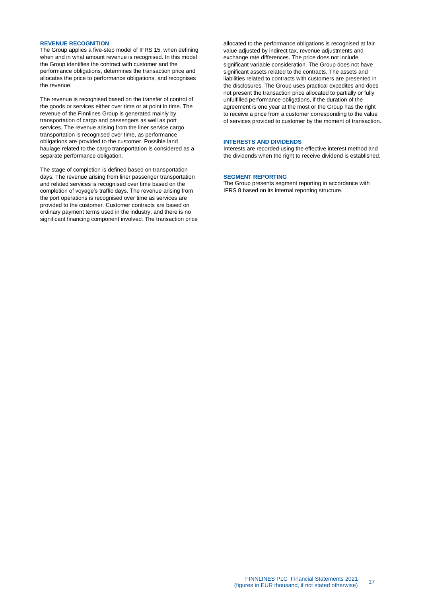#### **REVENUE RECOGNITION**

The Group applies a five-step model of IFRS 15, when defining when and in what amount revenue is recognised. In this model the Group identifies the contract with customer and the performance obligations, determines the transaction price and allocates the price to performance obligations, and recognises the revenue.

The revenue is recognised based on the transfer of control of the goods or services either over time or at point in time. The revenue of the Finnlines Group is generated mainly by transportation of cargo and passengers as well as port services. The revenue arising from the liner service cargo transportation is recognised over time, as performance obligations are provided to the customer. Possible land haulage related to the cargo transportation is considered as a separate performance obligation.

The stage of completion is defined based on transportation days. The revenue arising from liner passenger transportation and related services is recognised over time based on the completion of voyage's traffic days. The revenue arising from the port operations is recognised over time as services are provided to the customer. Customer contracts are based on ordinary payment terms used in the industry, and there is no significant financing component involved. The transaction price

allocated to the performance obligations is recognised at fair value adjusted by indirect tax, revenue adjustments and exchange rate differences. The price does not include significant variable consideration. The Group does not have significant assets related to the contracts. The assets and liabilities related to contracts with customers are presented in the disclosures. The Group uses practical expedites and does not present the transaction price allocated to partially or fully unfulfilled performance obligations, if the duration of the agreement is one year at the most or the Group has the right to receive a price from a customer corresponding to the value of services provided to customer by the moment of transaction.

#### **INTERESTS AND DIVIDENDS**

Interests are recorded using the effective interest method and the dividends when the right to receive dividend is established.

# **SEGMENT REPORTING**

The Group presents segment reporting in accordance with IFRS 8 based on its internal reporting structure.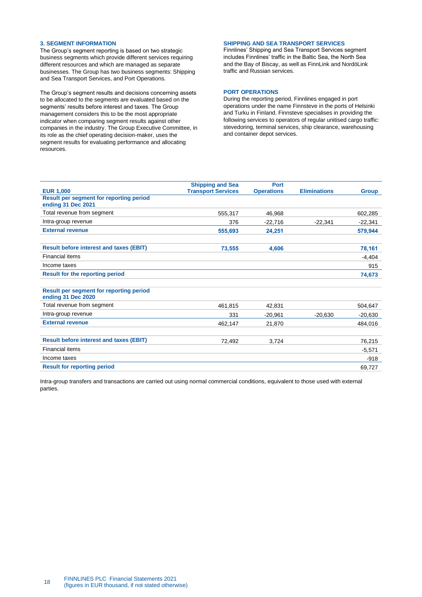### <span id="page-17-0"></span>**3. SEGMENT INFORMATION**

The Group's segment reporting is based on two strategic business segments which provide different services requiring different resources and which are managed as separate businesses. The Group has two business segments: Shipping and Sea Transport Services, and Port Operations.

The Group's segment results and decisions concerning assets to be allocated to the segments are evaluated based on the segments' results before interest and taxes. The Group management considers this to be the most appropriate indicator when comparing segment results against other companies in the industry. The Group Executive Committee, in its role as the chief operating decision-maker, uses the segment results for evaluating performance and allocating resources.

# **SHIPPING AND SEA TRANSPORT SERVICES**

Finnlines' Shipping and Sea Transport Services segment includes Finnlines' traffic in the Baltic Sea, the North Sea and the Bay of Biscay, as well as FinnLink and NordöLink traffic and Russian services.

# **PORT OPERATIONS**

During the reporting period, Finnlines engaged in port operations under the name Finnsteve in the ports of Helsinki and Turku in Finland. Finnsteve specialises in providing the following services to operators of regular unitised cargo traffic: stevedoring, terminal services, ship clearance, warehousing and container depot services.

| <b>Shipping and Sea</b>   | <b>Port</b>       |                     |              |
|---------------------------|-------------------|---------------------|--------------|
| <b>Transport Services</b> | <b>Operations</b> | <b>Eliminations</b> | <b>Group</b> |
|                           |                   |                     |              |
| 555.317                   | 46.968            |                     | 602,285      |
| 376                       | $-22,716$         | $-22,341$           | $-22,341$    |
| 555,693                   | 24,251            |                     | 579,944      |
|                           |                   |                     |              |
| 73.555                    | 4,606             |                     | 78,161       |
|                           |                   |                     | $-4,404$     |
|                           |                   |                     | 915          |
|                           |                   |                     | 74,673       |
|                           |                   |                     |              |
|                           |                   |                     |              |
| 461.815                   | 42.831            |                     | 504.647      |
| 331                       | $-20,961$         | $-20,630$           | $-20,630$    |
| 462,147                   | 21,870            |                     | 484,016      |
|                           |                   |                     |              |
| 72,492                    | 3,724             |                     | 76,215       |
|                           |                   |                     | $-5,571$     |
|                           |                   |                     | $-918$       |
|                           |                   |                     | 69.727       |
|                           |                   |                     |              |

Intra-group transfers and transactions are carried out using normal commercial conditions, equivalent to those used with external parties.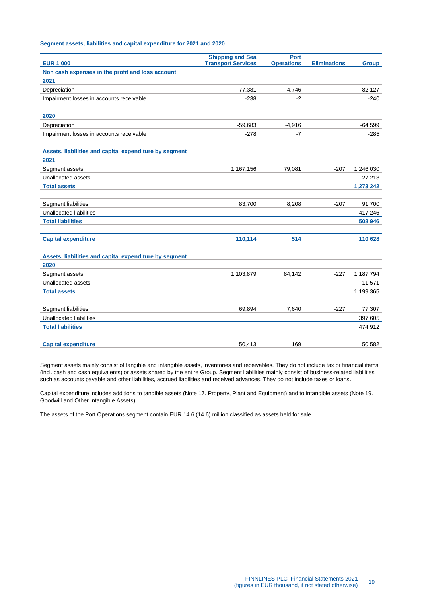# **Segment assets, liabilities and capital expenditure for 2021 and 2020**

| <b>EUR 1,000</b>                                       | <b>Shipping and Sea</b><br><b>Transport Services</b> | <b>Port</b><br><b>Operations</b> | <b>Eliminations</b> | <b>Group</b> |
|--------------------------------------------------------|------------------------------------------------------|----------------------------------|---------------------|--------------|
| Non cash expenses in the profit and loss account       |                                                      |                                  |                     |              |
| 2021                                                   |                                                      |                                  |                     |              |
| Depreciation                                           | $-77,381$                                            | $-4,746$                         |                     | $-82,127$    |
| Impairment losses in accounts receivable               | -238                                                 | $-2$                             |                     | $-240$       |
| 2020                                                   |                                                      |                                  |                     |              |
| Depreciation                                           | $-59,683$                                            | $-4,916$                         |                     | $-64,599$    |
| Impairment losses in accounts receivable               | $-278$                                               | $-7$                             |                     | $-285$       |
| Assets, liabilities and capital expenditure by segment |                                                      |                                  |                     |              |
| 2021                                                   |                                                      |                                  |                     |              |
| Segment assets                                         | 1,167,156                                            | 79,081                           | $-207$              | 1,246,030    |
| Unallocated assets                                     |                                                      |                                  |                     | 27,213       |
| <b>Total assets</b>                                    |                                                      |                                  |                     | 1,273,242    |
| Segment liabilities                                    | 83,700                                               | 8,208                            | $-207$              | 91,700       |
| Unallocated liabilities                                |                                                      |                                  |                     | 417,246      |
| <b>Total liabilities</b>                               |                                                      |                                  |                     | 508,946      |
| <b>Capital expenditure</b>                             | 110,114                                              | 514                              |                     | 110,628      |
| Assets, liabilities and capital expenditure by segment |                                                      |                                  |                     |              |
| 2020                                                   |                                                      |                                  |                     |              |
| Segment assets                                         | 1,103,879                                            | 84.142                           | $-227$              | 1,187,794    |
| Unallocated assets                                     |                                                      |                                  |                     | 11,571       |
| <b>Total assets</b>                                    |                                                      |                                  |                     | 1,199,365    |
| Segment liabilities                                    | 69,894                                               | 7,640                            | $-227$              | 77,307       |
| <b>Unallocated liabilities</b>                         |                                                      |                                  |                     | 397,605      |
| <b>Total liabilities</b>                               |                                                      |                                  |                     | 474,912      |
| <b>Capital expenditure</b>                             | 50,413                                               | 169                              |                     | 50,582       |

Segment assets mainly consist of tangible and intangible assets, inventories and receivables. They do not include tax or financial items (incl. cash and cash equivalents) or assets shared by the entire Group. Segment liabilities mainly consist of business-related liabilities such as accounts payable and other liabilities, accrued liabilities and received advances. They do not include taxes or loans.

Capital expenditure includes additions to tangible assets (Note 17. Property, Plant and Equipment) and to intangible assets (Note 19. Goodwill and Other Intangible Assets).

The assets of the Port Operations segment contain EUR 14.6 (14.6) million classified as assets held for sale.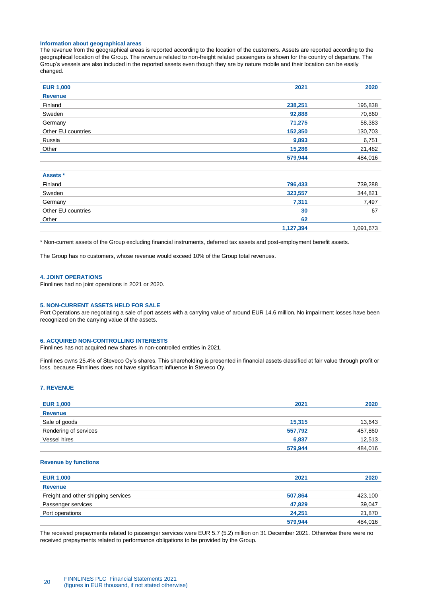#### **Information about geographical areas**

The revenue from the geographical areas is reported according to the location of the customers. Assets are reported according to the geographical location of the Group. The revenue related to non-freight related passengers is shown for the country of departure. The Group's vessels are also included in the reported assets even though they are by nature mobile and their location can be easily changed.

| <b>EUR 1,000</b>   | 2021    | 2020    |
|--------------------|---------|---------|
| <b>Revenue</b>     |         |         |
| Finland            | 238,251 | 195,838 |
| Sweden             | 92,888  | 70,860  |
| Germany            | 71,275  | 58,383  |
| Other EU countries | 152,350 | 130,703 |
| Russia             | 9,893   | 6,751   |
| Other              | 15,286  | 21,482  |
|                    | 579,944 | 484,016 |
|                    |         |         |

| Assets *           |           |           |
|--------------------|-----------|-----------|
| Finland            | 796,433   | 739,288   |
| Sweden             | 323,557   | 344,821   |
| Germany            | 7,311     | 7,497     |
| Other EU countries | 30        | 67        |
| Other              | 62        |           |
|                    | 1,127,394 | 1,091,673 |

\* Non-current assets of the Group excluding financial instruments, deferred tax assets and post-employment benefit assets.

The Group has no customers, whose revenue would exceed 10% of the Group total revenues.

#### <span id="page-19-0"></span>**4. JOINT OPERATIONS**

Finnlines had no joint operations in 2021 or 2020.

#### <span id="page-19-1"></span>**5. NON-CURRENT ASSETS HELD FOR SALE**

Port Operations are negotiating a sale of port assets with a carrying value of around EUR 14.6 million. No impairment losses have been recognized on the carrying value of the assets.

#### <span id="page-19-2"></span>**6. ACQUIRED NON-CONTROLLING INTERESTS**

Finnlines has not acquired new shares in non-controlled entities in 2021.

Finnlines owns 25.4% of Steveco Oy's shares. This shareholding is presented in financial assets classified at fair value through profit or loss, because Finnlines does not have significant influence in Steveco Oy.

#### <span id="page-19-3"></span>**7. REVENUE**

| <b>EUR 1,000</b>      | 2021    | 2020    |
|-----------------------|---------|---------|
| <b>Revenue</b>        |         |         |
| Sale of goods         | 15.315  | 13,643  |
| Rendering of services | 557,792 | 457,860 |
| Vessel hires          | 6,837   | 12,513  |
|                       | 579,944 | 484,016 |

#### **Revenue by functions**

| <b>EUR 1,000</b>                    | 2021    | 2020    |
|-------------------------------------|---------|---------|
| <b>Revenue</b>                      |         |         |
| Freight and other shipping services | 507,864 | 423,100 |
| Passenger services                  | 47,829  | 39,047  |
| Port operations                     | 24,251  | 21,870  |
|                                     | 579,944 | 484,016 |

The received prepayments related to passenger services were EUR 5.7 (5.2) million on 31 December 2021. Otherwise there were no received prepayments related to performance obligations to be provided by the Group.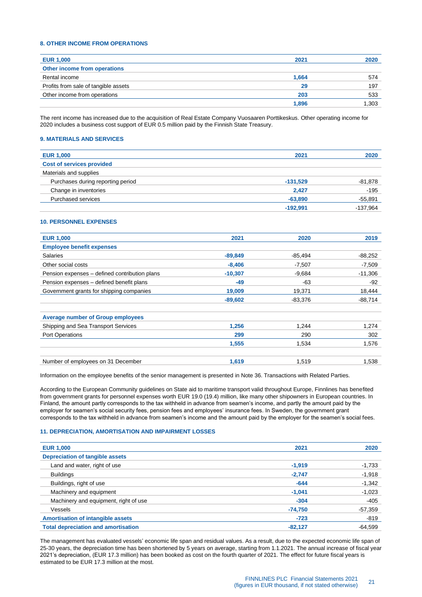### <span id="page-20-0"></span>**8. OTHER INCOME FROM OPERATIONS**

| <b>EUR 1,000</b>                     | 2021  | 2020  |
|--------------------------------------|-------|-------|
| Other income from operations         |       |       |
| Rental income                        | 1,664 | 574   |
| Profits from sale of tangible assets | 29    | 197   |
| Other income from operations         | 203   | 533   |
|                                      | 1.896 | 1.303 |

The rent income has increased due to the acquisition of Real Estate Company Vuosaaren Porttikeskus. Other operating income for 2020 includes a business cost support of EUR 0.5 million paid by the Finnish State Treasury.

# <span id="page-20-1"></span>**9. MATERIALS AND SERVICES**

| <b>EUR 1,000</b>                  | 2021       | 2020       |
|-----------------------------------|------------|------------|
| <b>Cost of services provided</b>  |            |            |
| Materials and supplies            |            |            |
| Purchases during reporting period | $-131,529$ | $-81,878$  |
| Change in inventories             | 2.427      | $-195$     |
| Purchased services                | $-63,890$  | $-55,891$  |
|                                   | $-192.991$ | $-137.964$ |

### <span id="page-20-2"></span>**10. PERSONNEL EXPENSES**

| <b>EUR 1,000</b>                              | 2021      | 2020     | 2019      |
|-----------------------------------------------|-----------|----------|-----------|
| <b>Employee benefit expenses</b>              |           |          |           |
| <b>Salaries</b>                               | $-89,849$ | -85,494  | -88,252   |
| Other social costs                            | $-8,406$  | $-7,507$ | $-7,509$  |
| Pension expenses - defined contribution plans | $-10,307$ | $-9,684$ | $-11,306$ |
| Pension expenses - defined benefit plans      | $-49$     | -63      | -92       |
| Government grants for shipping companies      | 19,009    | 19,371   | 18,444    |
|                                               | $-89,602$ | -83.376  | $-88,714$ |
| <b>Average number of Group employees</b>      |           |          |           |
| Shipping and Sea Transport Services           | 1,256     | 1.244    | 1,274     |
| <b>Port Operations</b>                        | 299       | 290      | 302       |
|                                               | 1,555     | 1,534    | 1,576     |
| Number of employees on 31 December            | 1,619     | 1.519    | 1,538     |

Information on the employee benefits of the senior management is presented in Note 36. Transactions with Related Parties.

According to the European Community guidelines on State aid to maritime transport valid throughout Europe, Finnlines has benefited from government grants for personnel expenses worth EUR 19.0 (19.4) million, like many other shipowners in European countries. In Finland, the amount partly corresponds to the tax withheld in advance from seamen's income, and partly the amount paid by the employer for seamen's social security fees, pension fees and employees' insurance fees. In Sweden, the government grant corresponds to the tax withheld in advance from seamen's income and the amount paid by the employer for the seamen's social fees.

#### <span id="page-20-3"></span>**11. DEPRECIATION, AMORTISATION AND IMPAIRMENT LOSSES**

| <b>EUR 1,000</b>                           | 2021      | 2020      |
|--------------------------------------------|-----------|-----------|
| <b>Depreciation of tangible assets</b>     |           |           |
| Land and water, right of use               | $-1,919$  | -1,733    |
| <b>Buildings</b>                           | $-2,747$  | $-1,918$  |
| Buildings, right of use                    | $-644$    | $-1,342$  |
| Machinery and equipment                    | $-1.041$  | $-1,023$  |
| Machinery and equipment, right of use      | $-304$    | $-405$    |
| Vessels                                    | $-74,750$ | $-57,359$ |
| <b>Amortisation of intangible assets</b>   | $-723$    | $-819$    |
| <b>Total depreciation and amortisation</b> | $-82,127$ | $-64.599$ |
|                                            |           |           |

The management has evaluated vessels' economic life span and residual values. As a result, due to the expected economic life span of 25-30 years, the depreciation time has been shortened by 5 years on average, starting from 1.1.2021. The annual increase of fiscal year 2021's depreciation, (EUR 17.3 million) has been booked as cost on the fourth quarter of 2021. The effect for future fiscal years is estimated to be EUR 17.3 million at the most.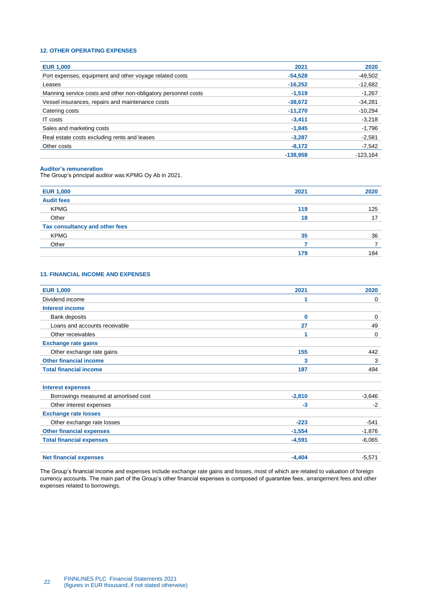# <span id="page-21-0"></span>**12. OTHER OPERATING EXPENSES**

| <b>EUR 1,000</b>                                               | 2021       | 2020       |
|----------------------------------------------------------------|------------|------------|
| Port expenses, equipment and other voyage related costs        | $-54.528$  | $-49.502$  |
| Leases                                                         | $-16.252$  | $-12,682$  |
| Manning service costs and other non-obligatory personnel costs | $-1.519$   | $-1,267$   |
| Vessel insurances, repairs and maintenance costs               | $-38.672$  | $-34.281$  |
| Catering costs                                                 | $-11.270$  | $-10,294$  |
| IT costs                                                       | $-3.411$   | $-3.218$   |
| Sales and marketing costs                                      | $-1.845$   | $-1,796$   |
| Real estate costs excluding rents and leases                   | $-3.287$   | $-2.581$   |
| Other costs                                                    | $-8.172$   | $-7,542$   |
|                                                                | $-138.958$ | $-123.164$ |

# **Auditor's remuneration**

The Group's principal auditor was KPMG Oy Ab in 2021.

| <b>EUR 1,000</b>               | 2021 | 2020 |
|--------------------------------|------|------|
| <b>Audit fees</b>              |      |      |
| <b>KPMG</b>                    | 119  | 125  |
| Other                          | 18   | 17   |
| Tax consultancy and other fees |      |      |
| <b>KPMG</b>                    | 35   | 36   |
| Other                          |      |      |
|                                | 179  | 184  |
|                                |      |      |

### <span id="page-21-1"></span>**13. FINANCIAL INCOME AND EXPENSES**

| <b>EUR 1,000</b>                      | 2021     | 2020        |
|---------------------------------------|----------|-------------|
| Dividend income                       | 1        | 0           |
| <b>Interest income</b>                |          |             |
| Bank deposits                         | $\bf{0}$ | $\mathbf 0$ |
| Loans and accounts receivable         | 27       | 49          |
| Other receivables                     | 1        | 0           |
| <b>Exchange rate gains</b>            |          |             |
| Other exchange rate gains             | 155      | 442         |
| <b>Other financial income</b>         | 3        | 3           |
| <b>Total financial income</b>         | 187      | 494         |
|                                       |          |             |
| <b>Interest expenses</b>              |          |             |
| Borrowings measured at amortised cost | $-2,810$ | $-3,646$    |
| Other interest expenses               | $-3$     | $-2$        |
| <b>Exchange rate losses</b>           |          |             |
| Other exchange rate losses            | $-223$   | $-541$      |
| <b>Other financial expenses</b>       | $-1,554$ | $-1,876$    |
| <b>Total financial expenses</b>       | $-4,591$ | $-6,065$    |
|                                       |          |             |
| <b>Net financial expenses</b>         | $-4,404$ | $-5,571$    |

The Group's financial income and expenses include exchange rate gains and losses, most of which are related to valuation of foreign currency accounts. The main part of the Group's other financial expenses is composed of guarantee fees, arrangement fees and other expenses related to borrowings.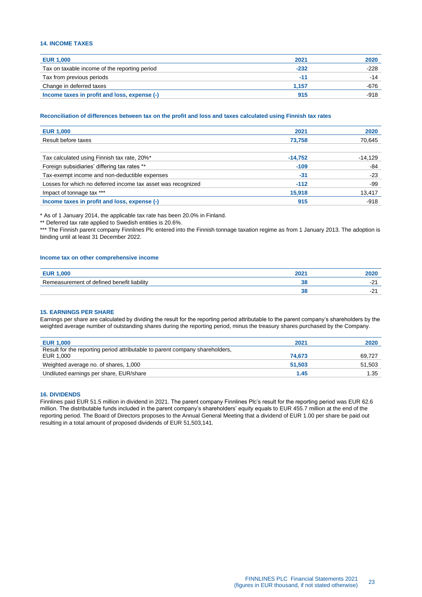# <span id="page-22-0"></span>**14. INCOME TAXES**

| <b>EUR 1,000</b>                              | 2021   | 2020   |
|-----------------------------------------------|--------|--------|
| Tax on taxable income of the reporting period | $-232$ | $-228$ |
| Tax from previous periods                     | $-12$  | -14    |
| Change in deferred taxes                      | 1.157  | -676   |
| Income taxes in profit and loss, expense (-)  | 915    | $-918$ |

#### **Reconciliation of differences between tax on the profit and loss and taxes calculated using Finnish tax rates**

| <b>EUR 1,000</b>                                             | 2021      | 2020    |
|--------------------------------------------------------------|-----------|---------|
| Result before taxes                                          | 73.758    | 70,645  |
|                                                              |           |         |
| Tax calculated using Finnish tax rate, 20%*                  | $-14.752$ | -14.129 |
| Foreign subsidiaries' differing tax rates **                 | $-109$    | -84     |
| Tax-exempt income and non-deductible expenses                | -31       | $-23$   |
| Losses for which no deferred income tax asset was recognized | $-112$    | -99     |
| Impact of tonnage tax ***                                    | 15,918    | 13,417  |
| Income taxes in profit and loss, expense (-)                 | 915       | $-918$  |
|                                                              |           |         |

\* As of 1 January 2014, the applicable tax rate has been 20.0% in Finland.

\*\* Deferred tax rate applied to Swedish entities is 20.6%.

\*\*\* The Finnish parent company Finnlines Plc entered into the Finnish tonnage taxation regime as from 1 January 2013. The adoption is binding until at least 31 December 2022.

#### **Income tax on other comprehensive income**

| <b>nne</b>                                      | 200<br>ZU. | AUAL            |
|-------------------------------------------------|------------|-----------------|
| Remeasurement of defined<br>J benefit liabilitv |            | . .             |
|                                                 | u          | . .<br><u>_</u> |

#### <span id="page-22-1"></span>**15. EARNINGS PER SHARE**

Earnings per share are calculated by dividing the result for the reporting period attributable to the parent company's shareholders by the weighted average number of outstanding shares during the reporting period, minus the treasury shares purchased by the Company.

| <b>EUR 1,000</b>                                                             | 2021   | 2020   |
|------------------------------------------------------------------------------|--------|--------|
| Result for the reporting period attributable to parent company shareholders, |        |        |
| EUR 1,000                                                                    | 74.673 | 69.727 |
| Weighted average no. of shares, 1,000                                        | 51.503 | 51,503 |
| Undiluted earnings per share, EUR/share                                      | 1.45   | 1.35   |

### <span id="page-22-2"></span>**16. DIVIDENDS**

Finnlines paid EUR 51.5 million in dividend in 2021. The parent company Finnlines Plc's result for the reporting period was EUR 62.6 million. The distributable funds included in the parent company's shareholders' equity equals to EUR 455.7 million at the end of the reporting period. The Board of Directors proposes to the Annual General Meeting that a dividend of EUR 1.00 per share be paid out resulting in a total amount of proposed dividends of EUR 51,503,141.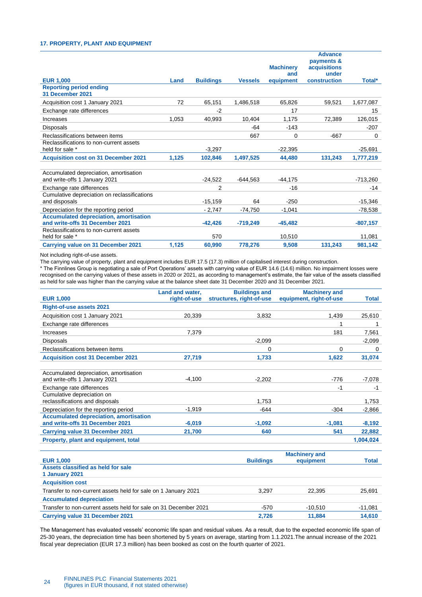### <span id="page-23-0"></span>**17. PROPERTY, PLANT AND EQUIPMENT**

| <b>EUR 1,000</b>                                                                                                            | Land  | <b>Buildings</b> | <b>Vessels</b> | <b>Machinery</b><br>and<br>equipment | <b>Advance</b><br>payments &<br><b>acquisitions</b><br>under<br>construction | Total*     |
|-----------------------------------------------------------------------------------------------------------------------------|-------|------------------|----------------|--------------------------------------|------------------------------------------------------------------------------|------------|
| <b>Reporting period ending</b><br>31 December 2021                                                                          |       |                  |                |                                      |                                                                              |            |
| Acquisition cost 1 January 2021                                                                                             | 72    | 65,151           | 1,486,518      | 65,826                               | 59,521                                                                       | 1,677,087  |
| Exchange rate differences                                                                                                   |       | $-2$             |                | 17                                   |                                                                              | 15         |
| Increases                                                                                                                   | 1,053 | 40.993           | 10.404         | 1.175                                | 72.389                                                                       | 126,015    |
| <b>Disposals</b>                                                                                                            |       |                  | -64            | $-143$                               |                                                                              | $-207$     |
| Reclassifications between items                                                                                             |       |                  | 667            | $\Omega$                             | $-667$                                                                       | 0          |
| Reclassifications to non-current assets<br>held for sale *                                                                  |       | $-3,297$         |                | $-22,395$                            |                                                                              | $-25,691$  |
| <b>Acquisition cost on 31 December 2021</b>                                                                                 | 1,125 | 102,846          | 1,497,525      | 44.480                               | 131,243                                                                      | 1,777,219  |
| Accumulated depreciation, amortisation<br>and write-offs 1 January 2021                                                     |       | $-24,522$        | $-644,563$     | $-44,175$                            |                                                                              | $-713,260$ |
| Exchange rate differences                                                                                                   |       | 2                |                | $-16$                                |                                                                              | $-14$      |
| Cumulative depreciation on reclassifications<br>and disposals                                                               |       | $-15,159$        | 64             | $-250$                               |                                                                              | $-15,346$  |
| Depreciation for the reporting period                                                                                       |       | $-2,747$         | $-74.750$      | $-1,041$                             |                                                                              | -78,538    |
| <b>Accumulated depreciation, amortisation</b><br>and write-offs 31 December 2021<br>Reclassifications to non-current assets |       | $-42.426$        | $-719,249$     | $-45,482$                            |                                                                              | $-807,157$ |
| held for sale *                                                                                                             |       | 570              |                | 10,510                               |                                                                              | 11,081     |
| Carrying value on 31 December 2021                                                                                          | 1,125 | 60,990           | 778.276        | 9.508                                | 131.243                                                                      | 981,142    |

Not including right-of-use assets.

The carrying value of property, plant and equipment includes EUR 17.5 (17.3) million of capitalised interest during construction.

\* The Finnlines Group is negotiating a sale of Port Operations' assets with carrying value of EUR 14.6 (14.6) million. No impairment losses were recognised on the carrying values of these assets in 2020 or 2021, as according to management's estimate, the fair value of the assets classified as held for sale was higher than the carrying value at the balance sheet date 31 December 2020 and 31 December 2021.

|                                                                                  | Land and water, | <b>Buildings and</b>     | <b>Machinery and</b>    |              |
|----------------------------------------------------------------------------------|-----------------|--------------------------|-------------------------|--------------|
| <b>EUR 1,000</b>                                                                 | right-of-use    | structures, right-of-use | equipment, right-of-use | <b>Total</b> |
| <b>Right-of-use assets 2021</b>                                                  |                 |                          |                         |              |
| Acquisition cost 1 January 2021                                                  | 20,339          | 3,832                    | 1,439                   | 25,610       |
| Exchange rate differences                                                        |                 |                          | 1                       | 1            |
| Increases                                                                        | 7.379           |                          | 181                     | 7,561        |
| <b>Disposals</b>                                                                 |                 | $-2,099$                 |                         | $-2,099$     |
| Reclassifications between items                                                  |                 | 0                        | 0                       | $\Omega$     |
| <b>Acquisition cost 31 December 2021</b>                                         | 27,719          | 1,733                    | 1,622                   | 31,074       |
| Accumulated depreciation, amortisation<br>and write-offs 1 January 2021          | $-4.100$        | $-2,202$                 | $-776$                  | $-7,078$     |
| Exchange rate differences                                                        |                 |                          | $-1$                    | $-1$         |
| Cumulative depreciation on                                                       |                 |                          |                         |              |
| reclassifications and disposals                                                  |                 | 1,753                    |                         | 1,753        |
| Depreciation for the reporting period                                            | $-1,919$        | $-644$                   | $-304$                  | $-2,866$     |
| <b>Accumulated depreciation, amortisation</b><br>and write-offs 31 December 2021 | $-6,019$        | $-1,092$                 | $-1.081$                | $-8,192$     |
| <b>Carrying value 31 December 2021</b>                                           | 21,700          | 640                      | 541                     | 22,882       |
| Property, plant and equipment, total                                             |                 |                          |                         | 1,004,024    |
|                                                                                  |                 |                          | <b>Machinery and</b>    |              |
| <b>EUR 1.000</b>                                                                 |                 | <b>Buildings</b>         | equipment               | <b>Total</b> |
| Assets classified as held for sale<br>1 January 2021                             |                 |                          |                         |              |
| <b>Acquisition cost</b>                                                          |                 |                          |                         |              |
| Transfer to non-current assets held for sale on 1 January 2021                   |                 | 3,297                    | 22,395                  | 25,691       |
| <b>Accumulated depreciation</b>                                                  |                 |                          |                         |              |
| Transfer to non-current assets held for sale on 31 December 2021                 |                 | $-570$                   | $-10.510$               | $-11.081$    |

The Management has evaluated vessels' economic life span and residual values. As a result, due to the expected economic life span of 25-30 years, the depreciation time has been shortened by 5 years on average, starting from 1.1.2021.The annual increase of the 2021 fiscal year depreciation (EUR 17.3 million) has been booked as cost on the fourth quarter of 2021.

**Carrying value 31 December 2021 2,726 11,884 14,610**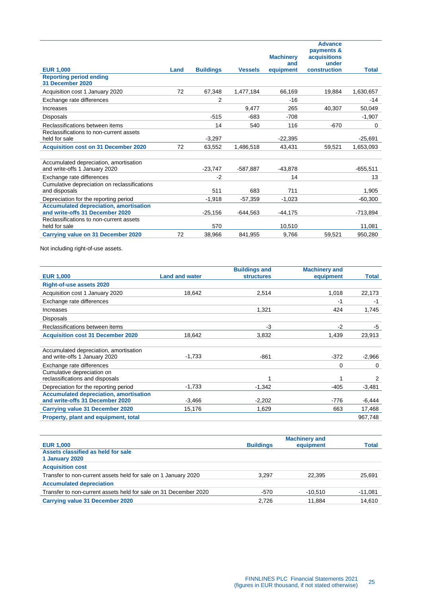|                                                                                  |      |                  |                | <b>Machinery</b><br>and | <b>Advance</b><br>payments &<br>acquisitions<br>under |              |
|----------------------------------------------------------------------------------|------|------------------|----------------|-------------------------|-------------------------------------------------------|--------------|
| <b>EUR 1,000</b>                                                                 | Land | <b>Buildings</b> | <b>Vessels</b> | equipment               | construction                                          | <b>Total</b> |
| <b>Reporting period ending</b><br>31 December 2020                               |      |                  |                |                         |                                                       |              |
| Acquisition cost 1 January 2020                                                  | 72   | 67.348           | 1,477,184      | 66,169                  | 19,884                                                | 1,630,657    |
| Exchange rate differences                                                        |      | $\overline{2}$   |                | $-16$                   |                                                       | $-14$        |
| Increases                                                                        |      |                  | 9,477          | 265                     | 40,307                                                | 50,049       |
| <b>Disposals</b>                                                                 |      | $-515$           | $-683$         | $-708$                  |                                                       | $-1,907$     |
| Reclassifications between items                                                  |      | 14               | 540            | 116                     | $-670$                                                | 0            |
| Reclassifications to non-current assets<br>held for sale                         |      | $-3,297$         |                | $-22,395$               |                                                       | $-25,691$    |
| <b>Acquisition cost on 31 December 2020</b>                                      | 72   | 63,552           | 1,486,518      | 43,431                  | 59,521                                                | 1,653,093    |
|                                                                                  |      |                  |                |                         |                                                       |              |
| Accumulated depreciation, amortisation<br>and write-offs 1 January 2020          |      | $-23.747$        | $-587,887$     | $-43.878$               |                                                       | $-655.511$   |
| Exchange rate differences                                                        |      | $-2$             |                | 14                      |                                                       | 13           |
| Cumulative depreciation on reclassifications<br>and disposals                    |      | 511              | 683            | 711                     |                                                       | 1,905        |
| Depreciation for the reporting period                                            |      | $-1,918$         | $-57,359$      | $-1,023$                |                                                       | $-60,300$    |
| <b>Accumulated depreciation, amortisation</b><br>and write-offs 31 December 2020 |      | $-25,156$        | $-644,563$     | $-44,175$               |                                                       | -713,894     |
| Reclassifications to non-current assets<br>held for sale                         |      | 570              |                | 10,510                  |                                                       | 11,081       |
| Carrying value on 31 December 2020                                               | 72   | 38,966           | 841,955        | 9,766                   | 59,521                                                | 950,280      |

Not including right-of-use assets.

|                                               |                       | <b>Buildings and</b> | <b>Machinery and</b> |              |
|-----------------------------------------------|-----------------------|----------------------|----------------------|--------------|
| <b>EUR 1,000</b>                              | <b>Land and water</b> | <b>structures</b>    | equipment            | <b>Total</b> |
| <b>Right-of-use assets 2020</b>               |                       |                      |                      |              |
| Acquisition cost 1 January 2020               | 18,642                | 2,514                | 1,018                | 22,173       |
| Exchange rate differences                     |                       |                      | $-1$                 | $-1$         |
| Increases                                     |                       | 1.321                | 424                  | 1,745        |
| Disposals                                     |                       |                      |                      |              |
| Reclassifications between items               |                       | $-3$                 | $-2$                 | -5           |
| <b>Acquisition cost 31 December 2020</b>      | 18.642                | 3,832                | 1,439                | 23,913       |
|                                               |                       |                      |                      |              |
| Accumulated depreciation, amortisation        |                       |                      |                      |              |
| and write-offs 1 January 2020                 | $-1,733$              | $-861$               | $-372$               | $-2,966$     |
| Exchange rate differences                     |                       |                      | 0                    | $\Omega$     |
| Cumulative depreciation on                    |                       |                      |                      |              |
| reclassifications and disposals               |                       |                      | 1                    | 2            |
| Depreciation for the reporting period         | $-1,733$              | $-1,342$             | $-405$               | $-3,481$     |
| <b>Accumulated depreciation, amortisation</b> |                       |                      |                      |              |
| and write-offs 31 December 2020               | $-3,466$              | $-2,202$             | -776                 | $-6,444$     |
| <b>Carrying value 31 December 2020</b>        | 15,176                | 1,629                | 663                  | 17,468       |
| Property, plant and equipment, total          |                       |                      |                      | 967,748      |

|                                                                  |                  | <b>Machinery and</b> |              |
|------------------------------------------------------------------|------------------|----------------------|--------------|
| <b>EUR 1,000</b>                                                 | <b>Buildings</b> | equipment            | <b>Total</b> |
| Assets classified as held for sale                               |                  |                      |              |
| 1 January 2020                                                   |                  |                      |              |
| <b>Acquisition cost</b>                                          |                  |                      |              |
| Transfer to non-current assets held for sale on 1 January 2020   | 3.297            | 22.395               | 25,691       |
| <b>Accumulated depreciation</b>                                  |                  |                      |              |
| Transfer to non-current assets held for sale on 31 December 2020 | -570             | $-10.510$            | -11,081      |
| Carrying value 31 December 2020                                  | 2.726            | 11.884               | 14,610       |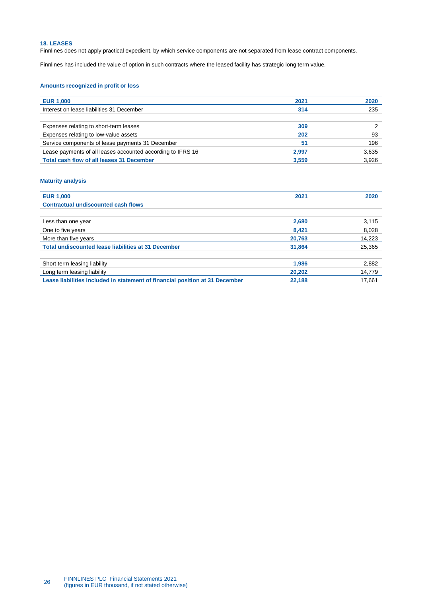# <span id="page-25-0"></span>**18. LEASES**

Finnlines does not apply practical expedient, by which service components are not separated from lease contract components.

Finnlines has included the value of option in such contracts where the leased facility has strategic long term value.

# **Amounts recognized in profit or loss**

| <b>EUR 1,000</b>                                            | 2021  | 2020  |
|-------------------------------------------------------------|-------|-------|
| Interest on lease liabilities 31 December                   | 314   | 235   |
|                                                             |       |       |
| Expenses relating to short-term leases                      | 309   |       |
| Expenses relating to low-value assets                       | 202   | 93    |
| Service components of lease payments 31 December            | 51    | 196   |
| Lease payments of all leases accounted according to IFRS 16 | 2.997 | 3,635 |
| Total cash flow of all leases 31 December                   | 3,559 | 3,926 |

### **Maturity analysis**

| <b>EUR 1,000</b>                                                             | 2021   | 2020   |
|------------------------------------------------------------------------------|--------|--------|
| <b>Contractual undiscounted cash flows</b>                                   |        |        |
|                                                                              |        |        |
| Less than one year                                                           | 2.680  | 3,115  |
| One to five years                                                            | 8.421  | 8,028  |
| More than five years                                                         | 20,763 | 14,223 |
| Total undiscounted lease liabilities at 31 December                          | 31.864 | 25,365 |
|                                                                              |        |        |
| Short term leasing liability                                                 | 1,986  | 2,882  |
| Long term leasing liability                                                  | 20.202 | 14,779 |
| Lease liabilities included in statement of financial position at 31 December | 22.188 | 17.661 |
|                                                                              |        |        |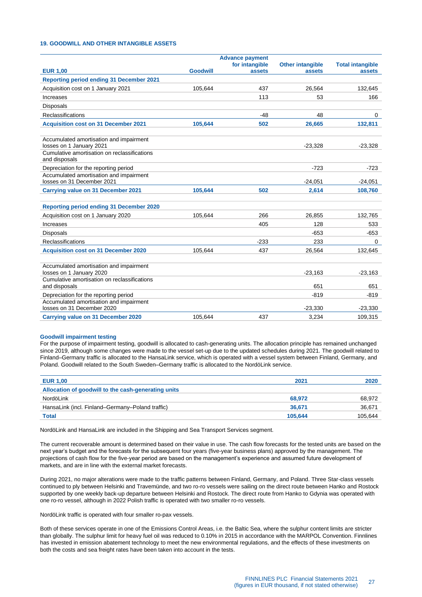# <span id="page-26-0"></span>**19. GOODWILL AND OTHER INTANGIBLE ASSETS**

|                                                                                                                     |                 | <b>Advance payment</b>   |                                   |                                   |
|---------------------------------------------------------------------------------------------------------------------|-----------------|--------------------------|-----------------------------------|-----------------------------------|
| <b>EUR 1.00</b>                                                                                                     | <b>Goodwill</b> | for intangible<br>assets | <b>Other intangible</b><br>assets | <b>Total intangible</b><br>assets |
| <b>Reporting period ending 31 December 2021</b>                                                                     |                 |                          |                                   |                                   |
| Acquisition cost on 1 January 2021                                                                                  | 105,644         | 437                      | 26,564                            | 132,645                           |
| Increases                                                                                                           |                 | 113                      | 53                                | 166                               |
| <b>Disposals</b>                                                                                                    |                 |                          |                                   |                                   |
| Reclassifications                                                                                                   |                 | $-48$                    | 48                                | $\mathbf 0$                       |
| <b>Acquisition cost on 31 December 2021</b>                                                                         | 105,644         | 502                      | 26,665                            | 132,811                           |
| Accumulated amortisation and impairment<br>losses on 1 January 2021<br>Cumulative amortisation on reclassifications |                 |                          | $-23,328$                         | $-23,328$                         |
| and disposals                                                                                                       |                 |                          |                                   |                                   |
| Depreciation for the reporting period                                                                               |                 |                          | $-723$                            | $-723$                            |
| Accumulated amortisation and impairment<br>losses on 31 December 2021                                               |                 |                          | $-24.051$                         | $-24,051$                         |
| <b>Carrying value on 31 December 2021</b>                                                                           | 105,644         | 502                      | 2,614                             | 108,760                           |
| <b>Reporting period ending 31 December 2020</b>                                                                     |                 |                          |                                   |                                   |
| Acquisition cost on 1 January 2020                                                                                  | 105,644         | 266                      | 26,855                            | 132,765                           |
| Increases                                                                                                           |                 | 405                      | 128                               | 533                               |
| <b>Disposals</b>                                                                                                    |                 |                          | $-653$                            | $-653$                            |
| Reclassifications                                                                                                   |                 | $-233$                   | 233                               | 0                                 |
| <b>Acquisition cost on 31 December 2020</b>                                                                         | 105,644         | 437                      | 26,564                            | 132,645                           |
| Accumulated amortisation and impairment<br>losses on 1 January 2020<br>Cumulative amortisation on reclassifications |                 |                          | $-23,163$                         | $-23,163$                         |
| and disposals                                                                                                       |                 |                          | 651                               | 651                               |
| Depreciation for the reporting period                                                                               |                 |                          | $-819$                            | $-819$                            |
| Accumulated amortisation and impairment<br>losses on 31 December 2020                                               |                 |                          | $-23.330$                         | $-23,330$                         |
| <b>Carrying value on 31 December 2020</b>                                                                           | 105.644         | 437                      | 3,234                             | 109,315                           |

#### **Goodwill impairment testing**

For the purpose of impairment testing, goodwill is allocated to cash-generating units. The allocation principle has remained unchanged since 2019, although some changes were made to the vessel set-up due to the updated schedules during 2021. The goodwill related to Finland–Germany traffic is allocated to the HansaLink service, which is operated with a vessel system between Finland, Germany, and Poland. Goodwill related to the South Sweden–Germany traffic is allocated to the NordöLink service.

| <b>EUR 1,00</b>                                     | 2021    | 2020    |
|-----------------------------------------------------|---------|---------|
| Allocation of goodwill to the cash-generating units |         |         |
| NordöLink                                           | 68,972  | 68.972  |
| HansaLink (incl. Finland–Germany–Poland traffic)    | 36.671  | 36,671  |
| <b>Total</b>                                        | 105.644 | 105,644 |

NordöLink and HansaLink are included in the Shipping and Sea Transport Services segment.

The current recoverable amount is determined based on their value in use. The cash flow forecasts for the tested units are based on the next year's budget and the forecasts for the subsequent four years (five-year business plans) approved by the management. The projections of cash flow for the five-year period are based on the management's experience and assumed future development of markets, and are in line with the external market forecasts.

During 2021, no major alterations were made to the traffic patterns between Finland, Germany, and Poland. Three Star-class vessels continued to ply between Helsinki and Travemünde, and two ro-ro vessels were sailing on the direct route between Hanko and Rostock supported by one weekly back-up departure between Helsinki and Rostock. The direct route from Hanko to Gdynia was operated with one ro-ro vessel, although in 2022 Polish traffic is operated with two smaller ro-ro vessels.

NordöLink traffic is operated with four smaller ro-pax vessels.

Both of these services operate in one of the Emissions Control Areas, i.e. the Baltic Sea, where the sulphur content limits are stricter than globally. The sulphur limit for heavy fuel oil was reduced to 0.10% in 2015 in accordance with the MARPOL Convention. Finnlines has invested in emission abatement technology to meet the new environmental regulations, and the effects of these investments on both the costs and sea freight rates have been taken into account in the tests.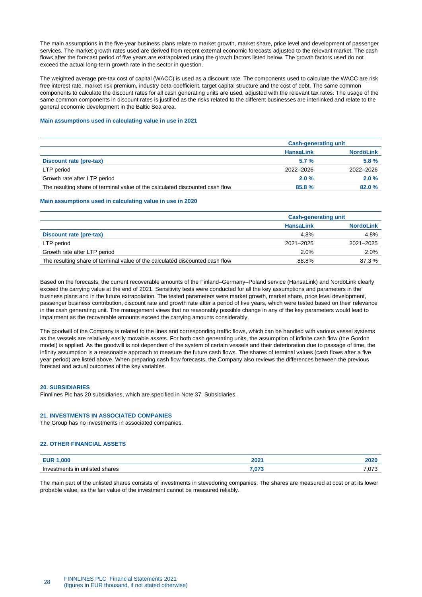The main assumptions in the five-year business plans relate to market growth, market share, price level and development of passenger services. The market growth rates used are derived from recent external economic forecasts adjusted to the relevant market. The cash flows after the forecast period of five years are extrapolated using the growth factors listed below. The growth factors used do not exceed the actual long-term growth rate in the sector in question.

The weighted average pre-tax cost of capital (WACC) is used as a discount rate. The components used to calculate the WACC are risk free interest rate, market risk premium, industry beta-coefficient, target capital structure and the cost of debt. The same common components to calculate the discount rates for all cash generating units are used, adjusted with the relevant tax rates. The usage of the same common components in discount rates is justified as the risks related to the different businesses are interlinked and relate to the general economic development in the Baltic Sea area.

### **Main assumptions used in calculating value in use in 2021**

|                                                                              | <b>Cash-generating unit</b> |                  |  |
|------------------------------------------------------------------------------|-----------------------------|------------------|--|
|                                                                              | <b>HansaLink</b>            | <b>NordöLink</b> |  |
| Discount rate (pre-tax)                                                      | 5.7%                        | 5.8%             |  |
| LTP period                                                                   | 2022-2026                   | 2022-2026        |  |
| Growth rate after LTP period                                                 | 2.0%                        | 2.0%             |  |
| The resulting share of terminal value of the calculated discounted cash flow | 85.8%                       | 82.0%            |  |

#### **Main assumptions used in calculating value in use in 2020**

|                                                                              | <b>Cash-generating unit</b> |                  |  |
|------------------------------------------------------------------------------|-----------------------------|------------------|--|
|                                                                              | <b>HansaLink</b>            | <b>NordöLink</b> |  |
| Discount rate (pre-tax)                                                      | 4.8%                        | 4.8%             |  |
| LTP period                                                                   | 2021-2025                   | 2021-2025        |  |
| Growth rate after LTP period                                                 | 2.0%                        | 2.0%             |  |
| The resulting share of terminal value of the calculated discounted cash flow | 88.8%                       | 87.3 %           |  |

Based on the forecasts, the current recoverable amounts of the Finland–Germany–Poland service (HansaLink) and NordöLink clearly exceed the carrying value at the end of 2021. Sensitivity tests were conducted for all the key assumptions and parameters in the business plans and in the future extrapolation. The tested parameters were market growth, market share, price level development, passenger business contribution, discount rate and growth rate after a period of five years, which were tested based on their relevance in the cash generating unit. The management views that no reasonably possible change in any of the key parameters would lead to impairment as the recoverable amounts exceed the carrying amounts considerably.

The goodwill of the Company is related to the lines and corresponding traffic flows, which can be handled with various vessel systems as the vessels are relatively easily movable assets. For both cash generating units, the assumption of infinite cash flow (the Gordon model) is applied. As the goodwill is not dependent of the system of certain vessels and their deterioration due to passage of time, the infinity assumption is a reasonable approach to measure the future cash flows. The shares of terminal values (cash flows after a five year period) are listed above. When preparing cash flow forecasts, the Company also reviews the differences between the previous forecast and actual outcomes of the key variables.

#### <span id="page-27-0"></span>**20. SUBSIDIARIES**

Finnlines Plc has 20 subsidiaries, which are specified in Note 37. Subsidiaries.

#### <span id="page-27-1"></span>**21. INVESTMENTS IN ASSOCIATED COMPANIES**

The Group has no investments in associated companies.

#### <span id="page-27-2"></span>**22. OTHER FINANCIAL ASSETS**

| .000                              | <u>יההה</u> | ---- |
|-----------------------------------|-------------|------|
| <b>FUR</b>                        | ZUZ.        | ZUZU |
| unlisted shares<br>Investments in | $\sim$      | .073 |

The main part of the unlisted shares consists of investments in stevedoring companies. The shares are measured at cost or at its lower probable value, as the fair value of the investment cannot be measured reliably.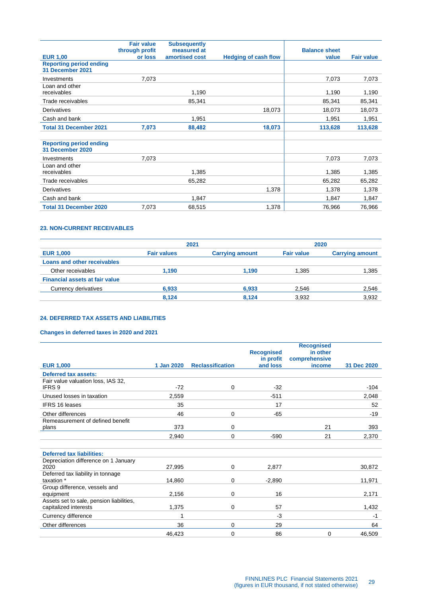|                                                    | <b>Fair value</b><br>through profit | <b>Subsequently</b><br>measured at |                             | <b>Balance sheet</b> |                   |
|----------------------------------------------------|-------------------------------------|------------------------------------|-----------------------------|----------------------|-------------------|
| <b>EUR 1,00</b>                                    | or loss                             | amortised cost                     | <b>Hedging of cash flow</b> | value                | <b>Fair value</b> |
| <b>Reporting period ending</b><br>31 December 2021 |                                     |                                    |                             |                      |                   |
| Investments                                        | 7,073                               |                                    |                             | 7,073                | 7,073             |
| Loan and other<br>receivables                      |                                     | 1,190                              |                             | 1,190                | 1,190             |
| Trade receivables                                  |                                     | 85,341                             |                             | 85,341               | 85,341            |
| Derivatives                                        |                                     |                                    | 18,073                      | 18,073               | 18,073            |
| Cash and bank                                      |                                     | 1,951                              |                             | 1,951                | 1,951             |
| <b>Total 31 December 2021</b>                      | 7,073                               | 88,482                             | 18,073                      | 113,628              | 113,628           |
|                                                    |                                     |                                    |                             |                      |                   |
| <b>Reporting period ending</b><br>31 December 2020 |                                     |                                    |                             |                      |                   |
| Investments                                        | 7.073                               |                                    |                             | 7.073                | 7,073             |
| Loan and other<br>receivables                      |                                     | 1,385                              |                             | 1,385                | 1,385             |
| Trade receivables                                  |                                     | 65,282                             |                             | 65,282               | 65,282            |
| Derivatives                                        |                                     |                                    | 1,378                       | 1,378                | 1,378             |
| Cash and bank                                      |                                     | 1,847                              |                             | 1,847                | 1,847             |
| <b>Total 31 December 2020</b>                      | 7.073                               | 68,515                             | 1.378                       | 76,966               | 76,966            |

# <span id="page-28-0"></span>**23. NON-CURRENT RECEIVABLES**

|                    |                        |                   | 2020                   |
|--------------------|------------------------|-------------------|------------------------|
| <b>Fair values</b> | <b>Carrying amount</b> | <b>Fair value</b> | <b>Carrying amount</b> |
|                    |                        |                   |                        |
| 1.190              | 1.190                  | 1.385             | 1,385                  |
|                    |                        |                   |                        |
| 6,933              | 6,933                  | 2,546             | 2,546                  |
| 8.124              | 8.124                  | 3,932             | 3,932                  |
|                    |                        | 2021              |                        |

# <span id="page-28-1"></span>**24. DEFERRED TAX ASSETS AND LIABILITIES**

# **Changes in deferred taxes in 2020 and 2021**

|                                          |            |                         | <b>Recognised</b> | <b>Recognised</b><br>in other |             |
|------------------------------------------|------------|-------------------------|-------------------|-------------------------------|-------------|
|                                          |            |                         | in profit         | comprehensive                 |             |
| <b>EUR 1,000</b>                         | 1 Jan 2020 | <b>Reclassification</b> | and loss          | income                        | 31 Dec 2020 |
| <b>Deferred tax assets:</b>              |            |                         |                   |                               |             |
| Fair value valuation loss, IAS 32,       |            |                         |                   |                               |             |
| <b>IFRS9</b>                             | $-72$      | 0                       | $-32$             |                               | $-104$      |
| Unused losses in taxation                | 2.559      |                         | $-511$            |                               | 2,048       |
| <b>IFRS 16 leases</b>                    | 35         |                         | 17                |                               | 52          |
| Other differences                        | 46         | 0                       | $-65$             |                               | $-19$       |
| Remeasurement of defined benefit         |            |                         |                   |                               |             |
| plans                                    | 373        | 0                       |                   | 21                            | 393         |
|                                          | 2,940      | 0                       | $-590$            | 21                            | 2,370       |
|                                          |            |                         |                   |                               |             |
| <b>Deferred tax liabilities:</b>         |            |                         |                   |                               |             |
| Depreciation difference on 1 January     |            |                         |                   |                               |             |
| 2020                                     | 27,995     | 0                       | 2,877             |                               | 30,872      |
| Deferred tax liability in tonnage        |            |                         |                   |                               |             |
| taxation *                               | 14,860     | 0                       | $-2,890$          |                               | 11,971      |
| Group difference, vessels and            |            |                         |                   |                               |             |
| equipment                                | 2,156      | 0                       | 16                |                               | 2,171       |
| Assets set to sale, pension liabilities, |            |                         |                   |                               |             |
| capitalized interests                    | 1,375      | 0                       | 57                |                               | 1,432       |
| Currency difference                      | 1          |                         | $-3$              |                               | -1          |
| Other differences                        | 36         | 0                       | 29                |                               | 64          |
|                                          | 46,423     | 0                       | 86                | $\mathbf 0$                   | 46,509      |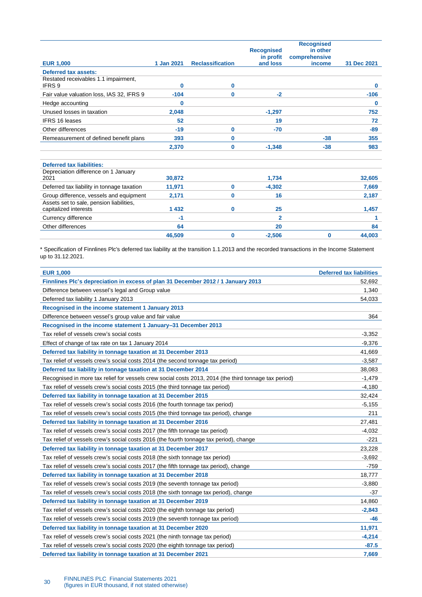|                                                                   |            |                         | <b>Recognised</b><br>in profit | <b>Recognised</b><br>in other<br>comprehensive |             |
|-------------------------------------------------------------------|------------|-------------------------|--------------------------------|------------------------------------------------|-------------|
| <b>EUR 1,000</b>                                                  | 1 Jan 2021 | <b>Reclassification</b> | and loss                       | income                                         | 31 Dec 2021 |
| Deferred tax assets:                                              |            |                         |                                |                                                |             |
| Restated receivables 1.1 impairment,<br>IFRS 9                    | $\bf{0}$   | 0                       |                                |                                                | 0           |
| Fair value valuation loss, IAS 32, IFRS 9                         | $-104$     | 0                       | $-2$                           |                                                | $-106$      |
| Hedge accounting                                                  | 0          |                         |                                |                                                | 0           |
| Unused losses in taxation                                         | 2,048      |                         | $-1,297$                       |                                                | 752         |
| <b>IFRS 16 leases</b>                                             | 52         |                         | 19                             |                                                | 72          |
| Other differences                                                 | $-19$      | 0                       | $-70$                          |                                                | $-89$       |
| Remeasurement of defined benefit plans                            | 393        | 0                       |                                | $-38$                                          | 355         |
|                                                                   | 2,370      | 0                       | $-1,348$                       | $-38$                                          | 983         |
| <b>Deferred tax liabilities:</b>                                  |            |                         |                                |                                                |             |
| Depreciation difference on 1 January<br>2021                      | 30,872     |                         | 1.734                          |                                                | 32.605      |
| Deferred tax liability in tonnage taxation                        | 11,971     | 0                       | $-4,302$                       |                                                | 7,669       |
| Group difference, vessels and equipment                           | 2,171      | 0                       | 16                             |                                                | 2,187       |
| Assets set to sale, pension liabilities,<br>capitalized interests | 1 4 3 2    | 0                       | 25                             |                                                | 1,457       |
| Currency difference                                               | -1         |                         | $\overline{2}$                 |                                                | 1           |
| Other differences                                                 | 64         |                         | 20                             |                                                | 84          |
|                                                                   | 46,509     | 0                       | $-2,506$                       | 0                                              | 44,003      |

\* Specification of Finnlines Plc's deferred tax liability at the transition 1.1.2013 and the recorded transactions in the Income Statement up to 31.12.2021.

| <b>EUR 1,000</b>                                                                                      | <b>Deferred tax liabilities</b> |
|-------------------------------------------------------------------------------------------------------|---------------------------------|
| Finnlines Plc's depreciation in excess of plan 31 December 2012 / 1 January 2013                      | 52,692                          |
| Difference between vessel's legal and Group value                                                     | 1,340                           |
| Deferred tax liability 1 January 2013                                                                 | 54,033                          |
| Recognised in the income statement 1 January 2013                                                     |                                 |
| Difference between vessel's group value and fair value                                                | 364                             |
| Recognised in the income statement 1 January-31 December 2013                                         |                                 |
| Tax relief of vessels crew's social costs                                                             | $-3,352$                        |
| Effect of change of tax rate on tax 1 January 2014                                                    | $-9,376$                        |
| Deferred tax liability in tonnage taxation at 31 December 2013                                        | 41,669                          |
| Tax relief of vessels crew's social costs 2014 (the second tonnage tax period)                        | $-3,587$                        |
| Deferred tax liability in tonnage taxation at 31 December 2014                                        | 38,083                          |
| Recognised in more tax relief for vessels crew social costs 2013, 2014 (the third tonnage tax period) | $-1,479$                        |
| Tax relief of vessels crew's social costs 2015 (the third tonnage tax period)                         | $-4,180$                        |
| Deferred tax liability in tonnage taxation at 31 December 2015                                        | 32.424                          |
| Tax relief of vessels crew's social costs 2016 (the fourth tonnage tax period)                        | $-5,155$                        |
| Tax relief of vessels crew's social costs 2015 (the third tonnage tax period), change                 | 211                             |
| Deferred tax liability in tonnage taxation at 31 December 2016                                        | 27,481                          |
| Tax relief of vessels crew's social costs 2017 (the fifth tonnage tax period)                         | $-4,032$                        |
| Tax relief of vessels crew's social costs 2016 (the fourth tonnage tax period), change                | $-221$                          |
| Deferred tax liability in tonnage taxation at 31 December 2017                                        | 23,228                          |
| Tax relief of vessels crew's social costs 2018 (the sixth tonnage tax period)                         | $-3,692$                        |
| Tax relief of vessels crew's social costs 2017 (the fifth tonnage tax period), change                 | -759                            |
| Deferred tax liability in tonnage taxation at 31 December 2018                                        | 18,777                          |
| Tax relief of vessels crew's social costs 2019 (the seventh tonnage tax period)                       | $-3,880$                        |
| Tax relief of vessels crew's social costs 2018 (the sixth tonnage tax period), change                 | -37                             |
| Deferred tax liability in tonnage taxation at 31 December 2019                                        | 14,860                          |
| Tax relief of vessels crew's social costs 2020 (the eighth tonnage tax period)                        | $-2,843$                        |
| Tax relief of vessels crew's social costs 2019 (the seventh tonnage tax period)                       | -46                             |
| Deferred tax liability in tonnage taxation at 31 December 2020                                        | 11,971                          |
| Tax relief of vessels crew's social costs 2021 (the ninth tonnage tax period)                         | $-4,214$                        |
| Tax relief of vessels crew's social costs 2020 (the eighth tonnage tax period)                        | $-87.5$                         |
| Deferred tax liability in tonnage taxation at 31 December 2021                                        | 7,669                           |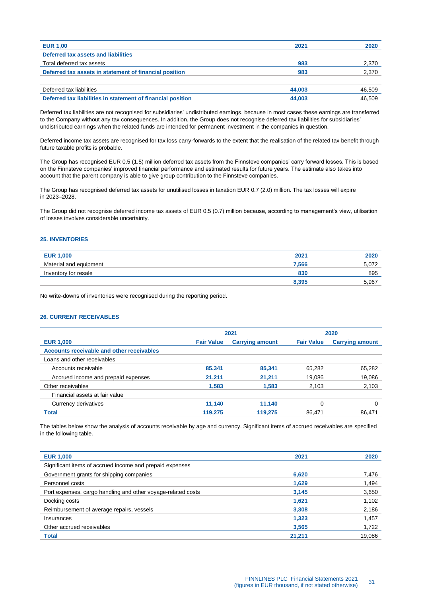| <b>EUR 1,00</b>                                             | 2021   | 2020   |
|-------------------------------------------------------------|--------|--------|
| Deferred tax assets and liabilities                         |        |        |
| Total deferred tax assets                                   | 983    | 2,370  |
| Deferred tax assets in statement of financial position      | 983    | 2,370  |
|                                                             |        |        |
| Deferred tax liabilities                                    | 44.003 | 46,509 |
| Deferred tax liabilities in statement of financial position | 44.003 | 46.509 |

Deferred tax liabilities are not recognised for subsidiaries' undistributed earnings, because in most cases these earnings are transferred to the Company without any tax consequences. In addition, the Group does not recognise deferred tax liabilities for subsidiaries' undistributed earnings when the related funds are intended for permanent investment in the companies in question.

Deferred income tax assets are recognised for tax loss carry-forwards to the extent that the realisation of the related tax benefit through future taxable profits is probable.

The Group has recognised EUR 0.5 (1.5) million deferred tax assets from the Finnsteve companies' carry forward losses. This is based on the Finnsteve companies' improved financial performance and estimated results for future years. The estimate also takes into account that the parent company is able to give group contribution to the Finnsteve companies.

The Group has recognised deferred tax assets for unutilised losses in taxation EUR 0.7 (2.0) million. The tax losses will expire in 2023–2028.

The Group did not recognise deferred income tax assets of EUR 0.5 (0.7) million because, according to management's view, utilisation of losses involves considerable uncertainty.

# <span id="page-30-0"></span>**25. INVENTORIES**

| <b>EUR 1,000</b>       | 2021  | 2020  |
|------------------------|-------|-------|
| Material and equipment | 7.566 | 5,072 |
| Inventory for resale   | 830   | 895   |
|                        | 8,395 | 5,967 |

No write-downs of inventories were recognised during the reporting period.

# <span id="page-30-1"></span>**26. CURRENT RECEIVABLES**

|                                           | 2021              |                        | 2020              |                        |
|-------------------------------------------|-------------------|------------------------|-------------------|------------------------|
| <b>EUR 1,000</b>                          | <b>Fair Value</b> | <b>Carrying amount</b> | <b>Fair Value</b> | <b>Carrying amount</b> |
| Accounts receivable and other receivables |                   |                        |                   |                        |
| Loans and other receivables               |                   |                        |                   |                        |
| Accounts receivable                       | 85,341            | 85,341                 | 65,282            | 65,282                 |
| Accrued income and prepaid expenses       | 21,211            | 21,211                 | 19,086            | 19,086                 |
| Other receivables                         | 1,583             | 1.583                  | 2.103             | 2,103                  |
| Financial assets at fair value            |                   |                        |                   |                        |
| Currency derivatives                      | 11,140            | 11,140                 | 0                 | 0                      |
| <b>Total</b>                              | 119,275           | 119,275                | 86.471            | 86.471                 |

The tables below show the analysis of accounts receivable by age and currency. Significant items of accrued receivables are specified in the following table.

| <b>EUR 1,000</b>                                             | 2021   | 2020   |
|--------------------------------------------------------------|--------|--------|
| Significant items of accrued income and prepaid expenses     |        |        |
| Government grants for shipping companies                     | 6,620  | 7.476  |
| Personnel costs                                              | 1,629  | 1,494  |
| Port expenses, cargo handling and other voyage-related costs | 3,145  | 3,650  |
| Docking costs                                                | 1.621  | 1,102  |
| Reimbursement of average repairs, vessels                    | 3,308  | 2,186  |
| Insurances                                                   | 1.323  | 1,457  |
| Other accrued receivables                                    | 3,565  | 1,722  |
| Total                                                        | 21.211 | 19.086 |
|                                                              |        |        |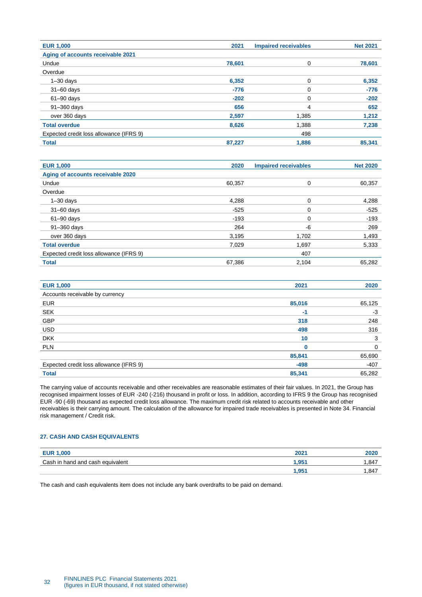| <b>EUR 1,000</b>                        | 2021   | <b>Impaired receivables</b> | <b>Net 2021</b> |
|-----------------------------------------|--------|-----------------------------|-----------------|
| Aging of accounts receivable 2021       |        |                             |                 |
| Undue                                   | 78.601 | 0                           | 78,601          |
| Overdue                                 |        |                             |                 |
| $1 - 30$ days                           | 6,352  | 0                           | 6,352           |
| $31 - 60$ days                          | $-776$ | 0                           | $-776$          |
| $61 - 90$ days                          | $-202$ | 0                           | $-202$          |
| 91-360 days                             | 656    | 4                           | 652             |
| over 360 days                           | 2,597  | 1,385                       | 1,212           |
| <b>Total overdue</b>                    | 8,626  | 1,388                       | 7,238           |
| Expected credit loss allowance (IFRS 9) |        | 498                         |                 |
| <b>Total</b>                            | 87.227 | 1.886                       | 85.341          |

| <b>EUR 1,000</b>                        | 2020   | <b>Impaired receivables</b> | <b>Net 2020</b> |
|-----------------------------------------|--------|-----------------------------|-----------------|
| Aging of accounts receivable 2020       |        |                             |                 |
| Undue                                   | 60.357 | 0                           | 60,357          |
| Overdue                                 |        |                             |                 |
| $1 - 30$ days                           | 4,288  | 0                           | 4,288           |
| $31 - 60$ days                          | $-525$ | 0                           | $-525$          |
| $61 - 90$ days                          | $-193$ | 0                           | $-193$          |
| 91-360 days                             | 264    | -6                          | 269             |
| over 360 days                           | 3,195  | 1,702                       | 1,493           |
| <b>Total overdue</b>                    | 7,029  | 1.697                       | 5.333           |
| Expected credit loss allowance (IFRS 9) |        | 407                         |                 |
| <b>Total</b>                            | 67.386 | 2.104                       | 65.282          |

| <b>EUR 1,000</b>                        | 2021   | 2020   |
|-----------------------------------------|--------|--------|
| Accounts receivable by currency         |        |        |
| <b>EUR</b>                              | 85,016 | 65,125 |
| <b>SEK</b>                              | $-1$   | -3     |
| GBP                                     | 318    | 248    |
| <b>USD</b>                              | 498    | 316    |
| <b>DKK</b>                              | 10     | 3      |
| <b>PLN</b>                              |        | 0      |
|                                         | 85,841 | 65,690 |
| Expected credit loss allowance (IFRS 9) | $-498$ | $-407$ |
| <b>Total</b>                            | 85,341 | 65,282 |

The carrying value of accounts receivable and other receivables are reasonable estimates of their fair values. In 2021, the Group has recognised impairment losses of EUR -240 (-216) thousand in profit or loss. In addition, according to IFRS 9 the Group has recognised EUR -90 (-69) thousand as expected credit loss allowance. The maximum credit risk related to accounts receivable and other receivables is their carrying amount. The calculation of the allowance for impaired trade receivables is presented in Note 34. Financial risk management / Credit risk.

# <span id="page-31-0"></span>**27. CASH AND CASH EQUIVALENTS**

| <b>EUR 1,000</b>                 | $202 -$ | 2020 |
|----------------------------------|---------|------|
| Cash in hand and cash equivalent | .951    | .847 |
|                                  | 1,951   | .847 |

<span id="page-31-1"></span>The cash and cash equivalents item does not include any bank overdrafts to be paid on demand.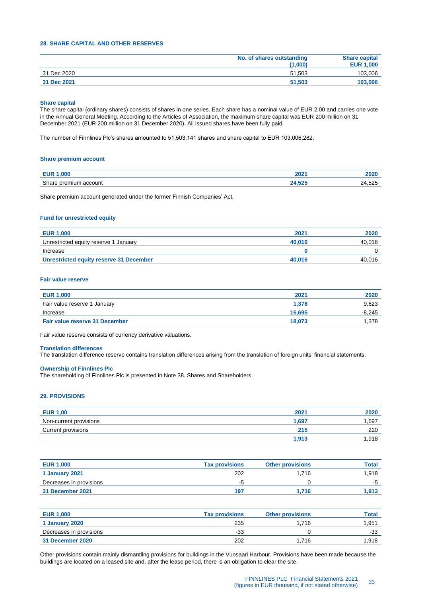# **28. SHARE CAPITAL AND OTHER RESERVES**

|             | No. of shares outstanding<br>(1.000) | <b>Share capital</b><br><b>EUR 1,000</b> |
|-------------|--------------------------------------|------------------------------------------|
| 31 Dec 2020 | 51.503                               | 103,006                                  |
| 31 Dec 2021 | 51.503                               | 103,006                                  |

#### **Share capital**

The share capital (ordinary shares) consists of shares in one series. Each share has a nominal value of EUR 2.00 and carries one vote in the Annual General Meeting. According to the Articles of Association, the maximum share capital was EUR 200 million on 31 December 2021 (EUR 200 million on 31 December 2020). All issued shares have been fully paid.

The number of Finnlines Plc's shares amounted to 51,503,141 shares and share capital to EUR 103,006,282.

#### **Share premium account**

| nnn                            | nnn.       | .                              |
|--------------------------------|------------|--------------------------------|
| $  \cdot$                      | LUZ        | <b>LULV</b>                    |
| Sha<br>account<br>nıum<br>∩rer | <b>FAR</b> | につに<br>つパ<br>7.JZJ<br><u>_</u> |

Share premium account generated under the former Finnish Companies' Act.

#### **Fund for unrestricted equity**

| <b>EUR 1,000</b>                        | 2021   | 2020   |
|-----------------------------------------|--------|--------|
| Unrestricted equity reserve 1 January   | 40.016 | 40.016 |
| Increase                                |        |        |
| Unrestricted equity reserve 31 December | 40.016 | 40.016 |

#### **Fair value reserve**

| <b>EUR 1,000</b>                      | 2021   | 2020     |
|---------------------------------------|--------|----------|
| Fair value reserve 1 January          | 1.378  | 9,623    |
| Increase                              | 16.695 | $-8.245$ |
| <b>Fair value reserve 31 December</b> | 18.073 | .378     |

Fair value reserve consists of currency derivative valuations.

#### **Translation differences**

The translation difference reserve contains translation differences arising from the translation of foreign units' financial statements.

# **Ownership of Finnlines Plc**

The shareholding of Finnlines Plc is presented in Note 38. Shares and Shareholders.

### <span id="page-32-0"></span>**29. PROVISIONS**

| <b>EUR 1,00</b>           | 202 <sub>1</sub> | 2020  |
|---------------------------|------------------|-------|
| Non-current provisions    | 1.697            | 1.697 |
| <b>Current provisions</b> | 215              | 220   |
|                           | 1.913            | .918  |

| <b>EUR 1,000</b>        | <b>Tax provisions</b> | <b>Other provisions</b> | Total |
|-------------------------|-----------------------|-------------------------|-------|
| 1 January 2021          | 202                   | 1.716                   | 1.918 |
| Decreases in provisions | -5                    |                         | -5    |
| 31 December 2021        | 197                   | 1.716                   | 1.913 |

| <b>EUR 1,000</b>        | <b>Tax provisions</b> | <b>Other provisions</b> | Total |
|-------------------------|-----------------------|-------------------------|-------|
| 1 January 2020          | 235                   | 1.716                   | 1.951 |
| Decreases in provisions | -33                   |                         | -33   |
| 31 December 2020        | 202                   | 1.716                   | 1.918 |

Other provisions contain mainly dismantling provisions for buildings in the Vuosaari Harbour. Provisions have been made because the buildings are located on a leased site and, after the lease period, there is an obligation to clear the site.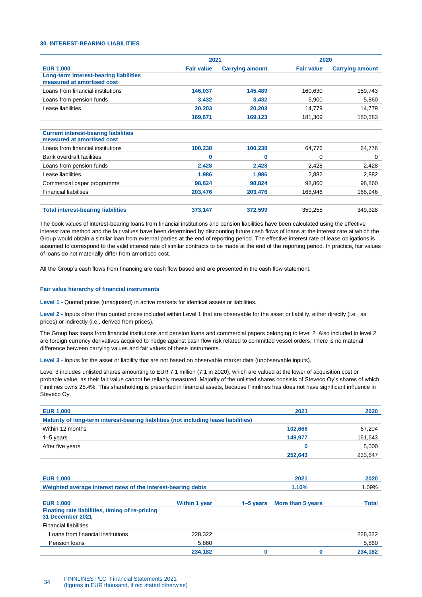### <span id="page-33-0"></span>**30. INTEREST-BEARING LIABILITIES**

|                                                                           | 2021              |                        |                   | 2020                   |  |
|---------------------------------------------------------------------------|-------------------|------------------------|-------------------|------------------------|--|
| <b>EUR 1,000</b>                                                          | <b>Fair value</b> | <b>Carrying amount</b> | <b>Fair value</b> | <b>Carrying amount</b> |  |
| Long-term interest-bearing liabilities<br>measured at amortised cost      |                   |                        |                   |                        |  |
| Loans from financial institutions                                         | 146,037           | 145,489                | 160,630           | 159,743                |  |
| Loans from pension funds                                                  | 3,432             | 3,432                  | 5,900             | 5,860                  |  |
| Lease liabilities                                                         | 20,203            | 20,203                 | 14,779            | 14,779                 |  |
|                                                                           | 169,671           | 169,123                | 181,309           | 180,383                |  |
| <b>Current interest-bearing liabilities</b><br>measured at amortised cost |                   |                        |                   |                        |  |
| Loans from financial institutions                                         | 100,238           | 100,238                | 64,776            | 64,776                 |  |
| <b>Bank overdraft facilities</b>                                          | 0                 | $\bf{0}$               | 0                 | 0                      |  |
| Loans from pension funds                                                  | 2,428             | 2,428                  | 2,428             | 2,428                  |  |
| Lease liabilities                                                         | 1,986             | 1,986                  | 2,882             | 2,882                  |  |
| Commercial paper programme                                                | 98,824            | 98,824                 | 98,860            | 98,860                 |  |
| <b>Financial liabilities</b>                                              | 203,476           | 203,476                | 168,946           | 168,946                |  |
| <b>Total interest-bearing liabilities</b>                                 | 373,147           | 372,599                | 350,255           | 349,328                |  |

The book values of interest-bearing loans from financial institutions and pension liabilities have been calculated using the effective interest rate method and the fair values have been determined by discounting future cash flows of loans at the interest rate at which the Group would obtain a similar loan from external parties at the end of reporting period. The effective interest rate of lease obligations is assumed to correspond to the valid interest rate of similar contracts to be made at the end of the reporting period. In practice, fair values of loans do not materially differ from amortised cost.

All the Group's cash flows from financing are cash flow based and are presented in the cash flow statement.

#### **Fair value hierarchy of financial instruments**

**Level 1 -** Quoted prices (unadjusted) in active markets for identical assets or liabilities.

**Level 2 -** Inputs other than quoted prices included within Level 1 that are observable for the asset or liability, either directly (i.e., as prices) or indirectly (i.e., derived from prices).

The Group has loans from financial institutions and pension loans and commercial papers belonging to level 2. Also included in level 2 are foreign currency derivatives acquired to hedge against cash flow risk related to committed vessel orders. There is no material difference between carrying values and fair values of these instruments.

**Level 3 -** Inputs for the asset or liability that are not based on observable market data (unobservable inputs).

Level 3 includes unlisted shares amounting to EUR 7.1 million (7.1 in 2020), which are valued at the lower of acquisition cost or probable value, as their fair value cannot be reliably measured. Majority of the unlisted shares consists of Steveco Oy's shares of which Finnlines owns 25.4%. This shareholding is presented in financial assets, because Finnlines has does not have significant influence in Steveco Oy.

| <b>EUR 1,000</b>                                                                     | 2021    | 2020    |
|--------------------------------------------------------------------------------------|---------|---------|
| Maturity of long-term interest-bearing liabilities (not including lease liabilities) |         |         |
| Within 12 months                                                                     | 102.666 | 67,204  |
| 1–5 years                                                                            | 149.977 | 161,643 |
| After five years                                                                     |         | 5,000   |
|                                                                                      | 252,643 | 233,847 |

| <b>EUR 1,000</b>                                                    |                      |               | 2021              |              |
|---------------------------------------------------------------------|----------------------|---------------|-------------------|--------------|
| Weighted average interest rates of the interest-bearing debts       |                      |               | 1.09%             |              |
| <b>EUR 1,000</b>                                                    | <b>Within 1 year</b> | $1 - 5$ years | More than 5 years | <b>Total</b> |
| Floating rate liabilities, timing of re-pricing<br>31 December 2021 |                      |               |                   |              |
| <b>Financial liabilities</b>                                        |                      |               |                   |              |
| Loans from financial institutions                                   | 228,322              |               |                   | 228,322      |
| Pension loans                                                       | 5,860                |               |                   | 5,860        |
|                                                                     | 234,182              |               |                   | 234,182      |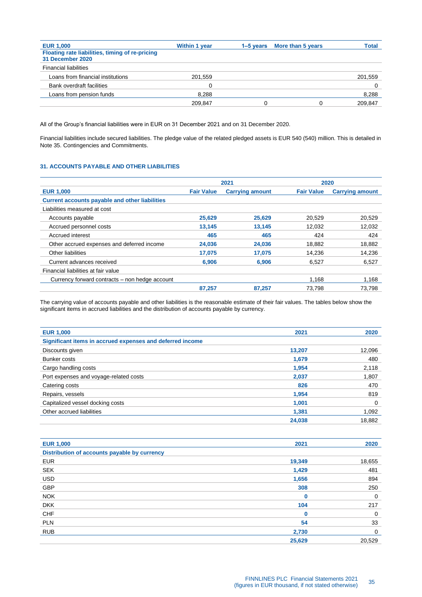| <b>EUR 1,000</b>                                                    | Within 1 year | $1-5$ years | More than 5 years | <b>Total</b> |
|---------------------------------------------------------------------|---------------|-------------|-------------------|--------------|
| Floating rate liabilities, timing of re-pricing<br>31 December 2020 |               |             |                   |              |
| <b>Financial liabilities</b>                                        |               |             |                   |              |
| Loans from financial institutions                                   | 201,559       |             |                   | 201,559      |
| Bank overdraft facilities                                           |               |             |                   |              |
| Loans from pension funds                                            | 8,288         |             |                   | 8,288        |
|                                                                     | 209,847       |             |                   | 209.847      |
|                                                                     |               |             |                   |              |

All of the Group's financial liabilities were in EUR on 31 December 2021 and on 31 December 2020.

Financial liabilities include secured liabilities. The pledge value of the related pledged assets is EUR 540 (540) million. This is detailed in Note 35. Contingencies and Commitments.

# <span id="page-34-0"></span>**31. ACCOUNTS PAYABLE AND OTHER LIABILITIES**

|                                                       | 2021              |                        | 2020              |                        |
|-------------------------------------------------------|-------------------|------------------------|-------------------|------------------------|
| <b>EUR 1,000</b>                                      | <b>Fair Value</b> | <b>Carrying amount</b> | <b>Fair Value</b> | <b>Carrying amount</b> |
| <b>Current accounts payable and other liabilities</b> |                   |                        |                   |                        |
| Liabilities measured at cost                          |                   |                        |                   |                        |
| Accounts payable                                      | 25.629            | 25.629                 | 20.529            | 20,529                 |
| Accrued personnel costs                               | 13,145            | 13,145                 | 12,032            | 12,032                 |
| Accrued interest                                      | 465               | 465                    | 424               | 424                    |
| Other accrued expenses and deferred income            | 24.036            | 24.036                 | 18.882            | 18,882                 |
| Other liabilities                                     | 17.075            | 17,075                 | 14.236            | 14,236                 |
| Current advances received                             | 6.906             | 6.906                  | 6.527             | 6.527                  |
| Financial liabilities at fair value                   |                   |                        |                   |                        |
| Currency forward contracts – non hedge account        |                   |                        | 1.168             | 1.168                  |
|                                                       | 87.257            | 87.257                 | 73.798            | 73.798                 |

The carrying value of accounts payable and other liabilities is the reasonable estimate of their fair values. The tables below show the significant items in accrued liabilities and the distribution of accounts payable by currency.

| <b>EUR 1,000</b>                                          | 2021   | 2020   |
|-----------------------------------------------------------|--------|--------|
| Significant items in accrued expenses and deferred income |        |        |
| Discounts given                                           | 13,207 | 12,096 |
| Bunker costs                                              | 1,679  | 480    |
| Cargo handling costs                                      | 1,954  | 2,118  |
| Port expenses and voyage-related costs                    | 2,037  | 1,807  |
| Catering costs                                            | 826    | 470    |
| Repairs, vessels                                          | 1,954  | 819    |
| Capitalized vessel docking costs                          | 1.001  | 0      |
| Other accrued liabilities                                 | 1,381  | 1,092  |
|                                                           | 24.038 | 18,882 |

| <b>EUR 1,000</b>                             | 2021   | 2020        |
|----------------------------------------------|--------|-------------|
| Distribution of accounts payable by currency |        |             |
| <b>EUR</b>                                   | 19,349 | 18,655      |
| <b>SEK</b>                                   | 1,429  | 481         |
| <b>USD</b>                                   | 1,656  | 894         |
| <b>GBP</b>                                   | 308    | 250         |
| <b>NOK</b>                                   | 0      | $\mathbf 0$ |
| <b>DKK</b>                                   | 104    | 217         |
| <b>CHF</b>                                   | 0      | 0           |
| <b>PLN</b>                                   | 54     | 33          |
| <b>RUB</b>                                   | 2,730  | 0           |
|                                              | 25,629 | 20,529      |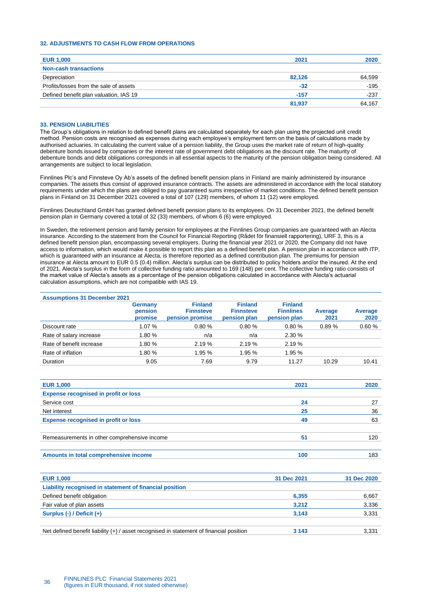# <span id="page-35-0"></span>**32. ADJUSTMENTS TO CASH FLOW FROM OPERATIONS**

| <b>EUR 1,000</b>                       | 2021   | 2020   |
|----------------------------------------|--------|--------|
| <b>Non-cash transactions</b>           |        |        |
| Depreciation                           | 82,126 | 64,599 |
| Profits/losses from the sale of assets | $-32$  | $-195$ |
| Defined benefit plan valuation, IAS 19 | $-157$ | $-237$ |
|                                        | 81,937 | 64.167 |

#### <span id="page-35-1"></span>**33. PENSION LIABILITIES**

The Group's obligations in relation to defined benefit plans are calculated separately for each plan using the projected unit credit method. Pension costs are recognised as expenses during each employee's employment term on the basis of calculations made by authorised actuaries. In calculating the current value of a pension liability, the Group uses the market rate of return of high-quality debenture bonds issued by companies or the interest rate of government debt obligations as the discount rate. The maturity of debenture bonds and debt obligations corresponds in all essential aspects to the maturity of the pension obligation being considered. All arrangements are subject to local legislation.

Finnlines Plc's and Finnsteve Oy Ab's assets of the defined benefit pension plans in Finland are mainly administered by insurance companies. The assets thus consist of approved insurance contracts. The assets are administered in accordance with the local statutory requirements under which the plans are obliged to pay guaranteed sums irrespective of market conditions. The defined benefit pension plans in Finland on 31 December 2021 covered a total of 107 (129) members, of whom 11 (12) were employed.

Finnlines Deutschland GmbH has granted defined benefit pension plans to its employees. On 31 December 2021, the defined benefit pension plan in Germany covered a total of 32 (33) members, of whom 6 (6) were employed.

In Sweden, the retirement pension and family pension for employees at the Finnlines Group companies are guaranteed with an Alecta insurance. According to the statement from the Council for Financial Reporting (Rådet för finansiell rapportering), URF 3, this is a defined benefit pension plan, encompassing several employers. During the financial year 2021 or 2020, the Company did not have access to information, which would make it possible to report this plan as a defined benefit plan. A pension plan in accordance with ITP, which is guaranteed with an insurance at Alecta, is therefore reported as a defined contribution plan. The premiums for pension insurance at Alecta amount to EUR 0.5 (0.4) million. Alecta's surplus can be distributed to policy holders and/or the insured. At the end of 2021, Alecta's surplus in the form of collective funding ratio amounted to 169 (148) per cent. The collective funding ratio consists of the market value of Alecta's assets as a percentage of the pension obligations calculated in accordance with Alecta's actuarial calculation assumptions, which are not compatible with IAS 19.

|                          | Germany<br>pension<br>promise | <b>Finland</b><br><b>Finnsteve</b><br>pension promise | <b>Finland</b><br><b>Finnsteve</b><br>pension plan | <b>Finland</b><br><b>Finnlines</b><br>pension plan | Average<br>2021 | Average<br>2020 |
|--------------------------|-------------------------------|-------------------------------------------------------|----------------------------------------------------|----------------------------------------------------|-----------------|-----------------|
| Discount rate            | 1.07%                         | 0.80%                                                 | 0.80%                                              | 0.80%                                              | 0.89%           | 0.60%           |
| Rate of salary increase  | 1.80 %                        | n/a                                                   | n/a                                                | 2.30%                                              |                 |                 |
| Rate of benefit increase | 1.80 %                        | 2.19%                                                 | 2.19%                                              | 2.19%                                              |                 |                 |
| Rate of inflation        | 1.80 %                        | 1.95 %                                                | 1.95 %                                             | 1.95 %                                             |                 |                 |
| Duration                 | 9.05                          | 7.69                                                  | 9.79                                               | 11.27                                              | 10.29           | 10.41           |

| <b>EUR 1,000</b>                             | 2021 | 2020 |
|----------------------------------------------|------|------|
| <b>Expense recognised in profit or loss</b>  |      |      |
| Service cost                                 | 24   | 27   |
| Net interest                                 | 25   | 36   |
| <b>Expense recognised in profit or loss</b>  | 49   | 63   |
|                                              |      |      |
| Remeasurements in other comprehensive income | 51   | 120  |
|                                              |      |      |
| Amounts in total comprehensive income        | 100  | 183  |

| <b>EUR 1,000</b>                                                                          | 31 Dec 2021 | 31 Dec 2020 |
|-------------------------------------------------------------------------------------------|-------------|-------------|
| Liability recognised in statement of financial position                                   |             |             |
| Defined benefit obligation                                                                | 6,355       | 6,667       |
| Fair value of plan assets                                                                 | 3.212       | 3,336       |
| Surplus $(-)$ / Deficit $(+)$                                                             | 3,143       | 3,331       |
|                                                                                           |             |             |
| Net defined benefit liability $(+)$ / asset recognised in statement of financial position | 3 1 4 3     | 3.331       |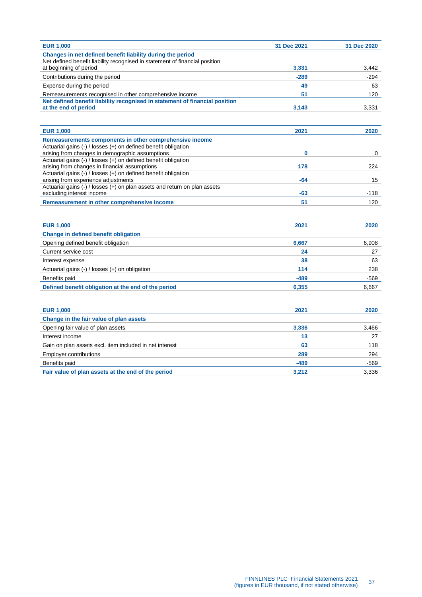| Changes in net defined benefit liability during the period<br>Net defined benefit liability recognised in statement of financial position<br>at beginning of period<br>3,331<br>3.442<br>$-289$<br>$-294$<br>Contributions during the period<br>49<br>Expense during the period<br>63<br>Remeasurements recognised in other comprehensive income<br>51<br>120<br>Net defined benefit liability recognised in statement of financial position<br>at the end of period<br>3,331<br>3,143<br><b>EUR 1,000</b><br>2021<br>2020<br>Remeasurements components in other comprehensive income<br>Actuarial gains (-) / losses (+) on defined benefit obligation<br>arising from changes in demographic assumptions<br>0<br>0<br>Actuarial gains (-) / losses (+) on defined benefit obligation<br>arising from changes in financial assumptions<br>178<br>224<br>Actuarial gains (-) / losses (+) on defined benefit obligation<br>arising from experience adjustments<br>$-64$<br>15<br>Actuarial gains (-) / losses (+) on plan assets and return on plan assets<br>excluding interest income<br>-63<br>$-118$<br>Remeasurement in other comprehensive income<br>51<br>120<br><b>EUR 1,000</b><br>2021<br>2020<br>Change in defined benefit obligation<br>Opening defined benefit obligation<br>6,667<br>6,908<br>Current service cost<br>24<br>27<br>38<br>63<br>Interest expense<br>114<br>Actuarial gains $(-)$ / losses $(+)$ on obligation<br>238<br>Benefits paid<br>$-489$<br>$-569$<br>Defined benefit obligation at the end of the period<br>6,355<br>6,667<br><b>EUR 1,000</b><br>2021<br>2020<br>Change in the fair value of plan assets<br>Opening fair value of plan assets<br>3,336<br>3,466<br>Interest income<br>13<br>27<br>63<br>Gain on plan assets excl. item included in net interest<br>118<br>289<br>294<br><b>Employer contributions</b><br>Benefits paid<br>$-489$<br>-569 | <b>EUR 1,000</b> | 31 Dec 2021 | 31 Dec 2020 |
|-----------------------------------------------------------------------------------------------------------------------------------------------------------------------------------------------------------------------------------------------------------------------------------------------------------------------------------------------------------------------------------------------------------------------------------------------------------------------------------------------------------------------------------------------------------------------------------------------------------------------------------------------------------------------------------------------------------------------------------------------------------------------------------------------------------------------------------------------------------------------------------------------------------------------------------------------------------------------------------------------------------------------------------------------------------------------------------------------------------------------------------------------------------------------------------------------------------------------------------------------------------------------------------------------------------------------------------------------------------------------------------------------------------------------------------------------------------------------------------------------------------------------------------------------------------------------------------------------------------------------------------------------------------------------------------------------------------------------------------------------------------------------------------------------------------------------------------------------------------------------------------------------|------------------|-------------|-------------|
|                                                                                                                                                                                                                                                                                                                                                                                                                                                                                                                                                                                                                                                                                                                                                                                                                                                                                                                                                                                                                                                                                                                                                                                                                                                                                                                                                                                                                                                                                                                                                                                                                                                                                                                                                                                                                                                                                               |                  |             |             |
|                                                                                                                                                                                                                                                                                                                                                                                                                                                                                                                                                                                                                                                                                                                                                                                                                                                                                                                                                                                                                                                                                                                                                                                                                                                                                                                                                                                                                                                                                                                                                                                                                                                                                                                                                                                                                                                                                               |                  |             |             |
|                                                                                                                                                                                                                                                                                                                                                                                                                                                                                                                                                                                                                                                                                                                                                                                                                                                                                                                                                                                                                                                                                                                                                                                                                                                                                                                                                                                                                                                                                                                                                                                                                                                                                                                                                                                                                                                                                               |                  |             |             |
|                                                                                                                                                                                                                                                                                                                                                                                                                                                                                                                                                                                                                                                                                                                                                                                                                                                                                                                                                                                                                                                                                                                                                                                                                                                                                                                                                                                                                                                                                                                                                                                                                                                                                                                                                                                                                                                                                               |                  |             |             |
|                                                                                                                                                                                                                                                                                                                                                                                                                                                                                                                                                                                                                                                                                                                                                                                                                                                                                                                                                                                                                                                                                                                                                                                                                                                                                                                                                                                                                                                                                                                                                                                                                                                                                                                                                                                                                                                                                               |                  |             |             |
|                                                                                                                                                                                                                                                                                                                                                                                                                                                                                                                                                                                                                                                                                                                                                                                                                                                                                                                                                                                                                                                                                                                                                                                                                                                                                                                                                                                                                                                                                                                                                                                                                                                                                                                                                                                                                                                                                               |                  |             |             |
|                                                                                                                                                                                                                                                                                                                                                                                                                                                                                                                                                                                                                                                                                                                                                                                                                                                                                                                                                                                                                                                                                                                                                                                                                                                                                                                                                                                                                                                                                                                                                                                                                                                                                                                                                                                                                                                                                               |                  |             |             |
|                                                                                                                                                                                                                                                                                                                                                                                                                                                                                                                                                                                                                                                                                                                                                                                                                                                                                                                                                                                                                                                                                                                                                                                                                                                                                                                                                                                                                                                                                                                                                                                                                                                                                                                                                                                                                                                                                               |                  |             |             |
|                                                                                                                                                                                                                                                                                                                                                                                                                                                                                                                                                                                                                                                                                                                                                                                                                                                                                                                                                                                                                                                                                                                                                                                                                                                                                                                                                                                                                                                                                                                                                                                                                                                                                                                                                                                                                                                                                               |                  |             |             |
|                                                                                                                                                                                                                                                                                                                                                                                                                                                                                                                                                                                                                                                                                                                                                                                                                                                                                                                                                                                                                                                                                                                                                                                                                                                                                                                                                                                                                                                                                                                                                                                                                                                                                                                                                                                                                                                                                               |                  |             |             |
|                                                                                                                                                                                                                                                                                                                                                                                                                                                                                                                                                                                                                                                                                                                                                                                                                                                                                                                                                                                                                                                                                                                                                                                                                                                                                                                                                                                                                                                                                                                                                                                                                                                                                                                                                                                                                                                                                               |                  |             |             |
|                                                                                                                                                                                                                                                                                                                                                                                                                                                                                                                                                                                                                                                                                                                                                                                                                                                                                                                                                                                                                                                                                                                                                                                                                                                                                                                                                                                                                                                                                                                                                                                                                                                                                                                                                                                                                                                                                               |                  |             |             |
|                                                                                                                                                                                                                                                                                                                                                                                                                                                                                                                                                                                                                                                                                                                                                                                                                                                                                                                                                                                                                                                                                                                                                                                                                                                                                                                                                                                                                                                                                                                                                                                                                                                                                                                                                                                                                                                                                               |                  |             |             |
|                                                                                                                                                                                                                                                                                                                                                                                                                                                                                                                                                                                                                                                                                                                                                                                                                                                                                                                                                                                                                                                                                                                                                                                                                                                                                                                                                                                                                                                                                                                                                                                                                                                                                                                                                                                                                                                                                               |                  |             |             |
|                                                                                                                                                                                                                                                                                                                                                                                                                                                                                                                                                                                                                                                                                                                                                                                                                                                                                                                                                                                                                                                                                                                                                                                                                                                                                                                                                                                                                                                                                                                                                                                                                                                                                                                                                                                                                                                                                               |                  |             |             |
|                                                                                                                                                                                                                                                                                                                                                                                                                                                                                                                                                                                                                                                                                                                                                                                                                                                                                                                                                                                                                                                                                                                                                                                                                                                                                                                                                                                                                                                                                                                                                                                                                                                                                                                                                                                                                                                                                               |                  |             |             |
|                                                                                                                                                                                                                                                                                                                                                                                                                                                                                                                                                                                                                                                                                                                                                                                                                                                                                                                                                                                                                                                                                                                                                                                                                                                                                                                                                                                                                                                                                                                                                                                                                                                                                                                                                                                                                                                                                               |                  |             |             |
|                                                                                                                                                                                                                                                                                                                                                                                                                                                                                                                                                                                                                                                                                                                                                                                                                                                                                                                                                                                                                                                                                                                                                                                                                                                                                                                                                                                                                                                                                                                                                                                                                                                                                                                                                                                                                                                                                               |                  |             |             |
|                                                                                                                                                                                                                                                                                                                                                                                                                                                                                                                                                                                                                                                                                                                                                                                                                                                                                                                                                                                                                                                                                                                                                                                                                                                                                                                                                                                                                                                                                                                                                                                                                                                                                                                                                                                                                                                                                               |                  |             |             |
|                                                                                                                                                                                                                                                                                                                                                                                                                                                                                                                                                                                                                                                                                                                                                                                                                                                                                                                                                                                                                                                                                                                                                                                                                                                                                                                                                                                                                                                                                                                                                                                                                                                                                                                                                                                                                                                                                               |                  |             |             |
|                                                                                                                                                                                                                                                                                                                                                                                                                                                                                                                                                                                                                                                                                                                                                                                                                                                                                                                                                                                                                                                                                                                                                                                                                                                                                                                                                                                                                                                                                                                                                                                                                                                                                                                                                                                                                                                                                               |                  |             |             |
|                                                                                                                                                                                                                                                                                                                                                                                                                                                                                                                                                                                                                                                                                                                                                                                                                                                                                                                                                                                                                                                                                                                                                                                                                                                                                                                                                                                                                                                                                                                                                                                                                                                                                                                                                                                                                                                                                               |                  |             |             |
|                                                                                                                                                                                                                                                                                                                                                                                                                                                                                                                                                                                                                                                                                                                                                                                                                                                                                                                                                                                                                                                                                                                                                                                                                                                                                                                                                                                                                                                                                                                                                                                                                                                                                                                                                                                                                                                                                               |                  |             |             |
|                                                                                                                                                                                                                                                                                                                                                                                                                                                                                                                                                                                                                                                                                                                                                                                                                                                                                                                                                                                                                                                                                                                                                                                                                                                                                                                                                                                                                                                                                                                                                                                                                                                                                                                                                                                                                                                                                               |                  |             |             |
|                                                                                                                                                                                                                                                                                                                                                                                                                                                                                                                                                                                                                                                                                                                                                                                                                                                                                                                                                                                                                                                                                                                                                                                                                                                                                                                                                                                                                                                                                                                                                                                                                                                                                                                                                                                                                                                                                               |                  |             |             |
|                                                                                                                                                                                                                                                                                                                                                                                                                                                                                                                                                                                                                                                                                                                                                                                                                                                                                                                                                                                                                                                                                                                                                                                                                                                                                                                                                                                                                                                                                                                                                                                                                                                                                                                                                                                                                                                                                               |                  |             |             |
|                                                                                                                                                                                                                                                                                                                                                                                                                                                                                                                                                                                                                                                                                                                                                                                                                                                                                                                                                                                                                                                                                                                                                                                                                                                                                                                                                                                                                                                                                                                                                                                                                                                                                                                                                                                                                                                                                               |                  |             |             |
|                                                                                                                                                                                                                                                                                                                                                                                                                                                                                                                                                                                                                                                                                                                                                                                                                                                                                                                                                                                                                                                                                                                                                                                                                                                                                                                                                                                                                                                                                                                                                                                                                                                                                                                                                                                                                                                                                               |                  |             |             |
|                                                                                                                                                                                                                                                                                                                                                                                                                                                                                                                                                                                                                                                                                                                                                                                                                                                                                                                                                                                                                                                                                                                                                                                                                                                                                                                                                                                                                                                                                                                                                                                                                                                                                                                                                                                                                                                                                               |                  |             |             |
|                                                                                                                                                                                                                                                                                                                                                                                                                                                                                                                                                                                                                                                                                                                                                                                                                                                                                                                                                                                                                                                                                                                                                                                                                                                                                                                                                                                                                                                                                                                                                                                                                                                                                                                                                                                                                                                                                               |                  |             |             |
|                                                                                                                                                                                                                                                                                                                                                                                                                                                                                                                                                                                                                                                                                                                                                                                                                                                                                                                                                                                                                                                                                                                                                                                                                                                                                                                                                                                                                                                                                                                                                                                                                                                                                                                                                                                                                                                                                               |                  |             |             |
|                                                                                                                                                                                                                                                                                                                                                                                                                                                                                                                                                                                                                                                                                                                                                                                                                                                                                                                                                                                                                                                                                                                                                                                                                                                                                                                                                                                                                                                                                                                                                                                                                                                                                                                                                                                                                                                                                               |                  |             |             |
|                                                                                                                                                                                                                                                                                                                                                                                                                                                                                                                                                                                                                                                                                                                                                                                                                                                                                                                                                                                                                                                                                                                                                                                                                                                                                                                                                                                                                                                                                                                                                                                                                                                                                                                                                                                                                                                                                               |                  |             |             |
|                                                                                                                                                                                                                                                                                                                                                                                                                                                                                                                                                                                                                                                                                                                                                                                                                                                                                                                                                                                                                                                                                                                                                                                                                                                                                                                                                                                                                                                                                                                                                                                                                                                                                                                                                                                                                                                                                               |                  |             |             |
|                                                                                                                                                                                                                                                                                                                                                                                                                                                                                                                                                                                                                                                                                                                                                                                                                                                                                                                                                                                                                                                                                                                                                                                                                                                                                                                                                                                                                                                                                                                                                                                                                                                                                                                                                                                                                                                                                               |                  |             |             |
|                                                                                                                                                                                                                                                                                                                                                                                                                                                                                                                                                                                                                                                                                                                                                                                                                                                                                                                                                                                                                                                                                                                                                                                                                                                                                                                                                                                                                                                                                                                                                                                                                                                                                                                                                                                                                                                                                               |                  |             |             |

**Fair value of plan assets at the end of the period** 3,212 3,336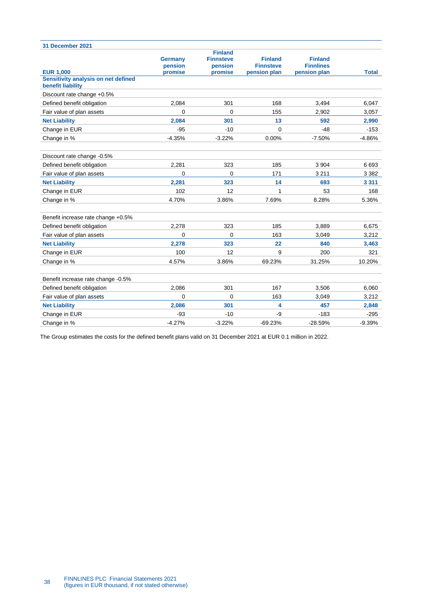| 31 December 2021                                         |                           |                                               |                                    |                                    |              |
|----------------------------------------------------------|---------------------------|-----------------------------------------------|------------------------------------|------------------------------------|--------------|
|                                                          | <b>Germany</b><br>pension | <b>Finland</b><br><b>Finnsteve</b><br>pension | <b>Finland</b><br><b>Finnsteve</b> | <b>Finland</b><br><b>Finnlines</b> |              |
| <b>EUR 1,000</b>                                         | promise                   | promise                                       | pension plan                       | pension plan                       | <b>Total</b> |
| Sensitivity analysis on net defined<br>benefit liability |                           |                                               |                                    |                                    |              |
| Discount rate change +0.5%                               |                           |                                               |                                    |                                    |              |
| Defined benefit obligation                               | 2,084                     | 301                                           | 168                                | 3,494                              | 6,047        |
| Fair value of plan assets                                | 0                         | 0                                             | 155                                | 2,902                              | 3,057        |
| <b>Net Liability</b>                                     | 2,084                     | 301                                           | 13                                 | 592                                | 2,990        |
| Change in EUR                                            | $-95$                     | $-10$                                         | 0                                  | $-48$                              | $-153$       |
| Change in %                                              | $-4.35%$                  | $-3.22%$                                      | 0.00%                              | $-7.50%$                           | $-4.86%$     |
| Discount rate change -0.5%                               |                           |                                               |                                    |                                    |              |
| Defined benefit obligation                               | 2,281                     | 323                                           | 185                                | 3 9 0 4                            | 6693         |
| Fair value of plan assets                                | 0                         | $\mathbf 0$                                   | 171                                | 3 2 1 1                            | 3 3 8 2      |
| <b>Net Liability</b>                                     | 2,281                     | 323                                           | 14                                 | 693                                | 3 3 1 1      |
| Change in EUR                                            | 102                       | 12                                            | 1                                  | 53                                 | 168          |
| Change in %                                              | 4.70%                     | 3.86%                                         | 7.69%                              | 8.28%                              | 5.36%        |
| Benefit increase rate change +0.5%                       |                           |                                               |                                    |                                    |              |
| Defined benefit obligation                               | 2.278                     | 323                                           | 185                                | 3.889                              | 6,675        |
| Fair value of plan assets                                | $\mathbf{0}$              | $\Omega$                                      | 163                                | 3.049                              | 3,212        |
| <b>Net Liability</b>                                     | 2,278                     | 323                                           | 22                                 | 840                                | 3,463        |
| Change in EUR                                            | 100                       | 12                                            | 9                                  | 200                                | 321          |
| Change in %                                              | 4.57%                     | 3.86%                                         | 69.23%                             | 31.25%                             | 10.20%       |
| Benefit increase rate change -0.5%                       |                           |                                               |                                    |                                    |              |
| Defined benefit obligation                               | 2,086                     | 301                                           | 167                                | 3,506                              | 6,060        |
| Fair value of plan assets                                | $\Omega$                  | $\Omega$                                      | 163                                | 3.049                              | 3,212        |
| <b>Net Liability</b>                                     | 2,086                     | 301                                           | 4                                  | 457                                | 2,848        |
| Change in EUR                                            | $-93$                     | $-10$                                         | -9                                 | $-183$                             | $-295$       |
| Change in %                                              | $-4.27%$                  | $-3.22%$                                      | $-69.23%$                          | $-28.59%$                          | $-9.39%$     |

The Group estimates the costs for the defined benefit plans valid on 31 December 2021 at EUR 0.1 million in 2022.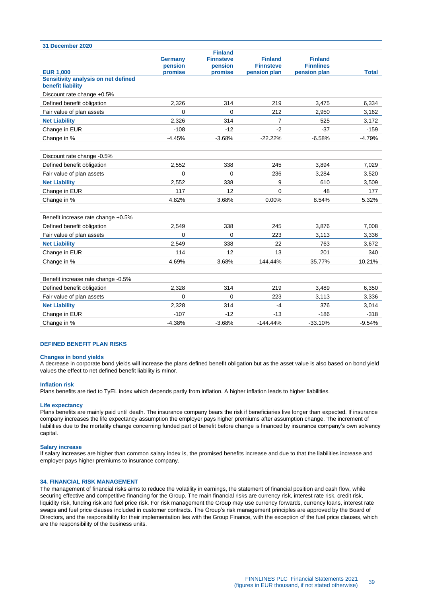| 31 December 2020                                         |                           |                                               |                                    |                                    |              |
|----------------------------------------------------------|---------------------------|-----------------------------------------------|------------------------------------|------------------------------------|--------------|
|                                                          | <b>Germany</b><br>pension | <b>Finland</b><br><b>Finnsteve</b><br>pension | <b>Finland</b><br><b>Finnsteve</b> | <b>Finland</b><br><b>Finnlines</b> |              |
| <b>EUR 1.000</b>                                         | promise                   | promise                                       | pension plan                       | pension plan                       | <b>Total</b> |
| Sensitivity analysis on net defined<br>benefit liability |                           |                                               |                                    |                                    |              |
| Discount rate change +0.5%                               |                           |                                               |                                    |                                    |              |
| Defined benefit obligation                               | 2,326                     | 314                                           | 219                                | 3,475                              | 6,334        |
| Fair value of plan assets                                | $\mathbf{0}$              | $\Omega$                                      | 212                                | 2.950                              | 3,162        |
| <b>Net Liability</b>                                     | 2,326                     | 314                                           | 7                                  | 525                                | 3,172        |
| Change in EUR                                            | $-108$                    | $-12$                                         | $-2$                               | $-37$                              | $-159$       |
| Change in %                                              | $-4.45%$                  | $-3.68%$                                      | $-22.22%$                          | $-6.58%$                           | $-4.79%$     |
| Discount rate change -0.5%                               |                           |                                               |                                    |                                    |              |
| Defined benefit obligation                               | 2,552                     | 338                                           | 245                                | 3,894                              | 7,029        |
| Fair value of plan assets                                | 0                         | $\Omega$                                      | 236                                | 3.284                              | 3.520        |
| <b>Net Liability</b>                                     | 2,552                     | 338                                           | 9                                  | 610                                | 3,509        |
| Change in EUR                                            | 117                       | 12                                            | $\mathbf{0}$                       | 48                                 | 177          |
| Change in %                                              | 4.82%                     | 3.68%                                         | 0.00%                              | 8.54%                              | 5.32%        |
| Benefit increase rate change +0.5%                       |                           |                                               |                                    |                                    |              |
| Defined benefit obligation                               | 2,549                     | 338                                           | 245                                | 3,876                              | 7,008        |
| Fair value of plan assets                                | 0                         | 0                                             | 223                                | 3,113                              | 3,336        |
| <b>Net Liability</b>                                     | 2,549                     | 338                                           | 22                                 | 763                                | 3,672        |
| Change in EUR                                            | 114                       | 12                                            | 13                                 | 201                                | 340          |
| Change in %                                              | 4.69%                     | 3.68%                                         | 144.44%                            | 35.77%                             | 10.21%       |
| Benefit increase rate change -0.5%                       |                           |                                               |                                    |                                    |              |
| Defined benefit obligation                               | 2.328                     | 314                                           | 219                                | 3.489                              | 6,350        |
| Fair value of plan assets                                | 0                         | 0                                             | 223                                | 3,113                              | 3,336        |
| <b>Net Liability</b>                                     | 2.328                     | 314                                           | $-4$                               | 376                                | 3,014        |
| Change in EUR                                            | $-107$                    | $-12$                                         | $-13$                              | $-186$                             | $-318$       |

#### **DEFINED BENEFIT PLAN RISKS**

#### **Changes in bond yields**

A decrease in corporate bond yields will increase the plans defined benefit obligation but as the asset value is also based on bond yield values the effect to net defined benefit liability is minor.

Change in % 50.4 million control of the control of the control of the control of the control of the control of the control of the control of the control of the control of the control of the control of the control of the co

#### **Inflation risk**

Plans benefits are tied to TyEL index which depends partly from inflation. A higher inflation leads to higher liabilities.

#### **Life expectancy**

Plans benefits are mainly paid until death. The insurance company bears the risk if beneficiaries live longer than expected. If insurance company increases the life expectancy assumption the employer pays higher premiums after assumption change. The increment of liabilities due to the mortality change concerning funded part of benefit before change is financed by insurance company's own solvency capital.

#### **Salary increase**

If salary increases are higher than common salary index is, the promised benefits increase and due to that the liabilities increase and employer pays higher premiums to insurance company.

#### <span id="page-38-0"></span>**34. FINANCIAL RISK MANAGEMENT**

The management of financial risks aims to reduce the volatility in earnings, the statement of financial position and cash flow, while securing effective and competitive financing for the Group. The main financial risks are currency risk, interest rate risk, credit risk, liquidity risk, funding risk and fuel price risk. For risk management the Group may use currency forwards, currency loans, interest rate swaps and fuel price clauses included in customer contracts. The Group's risk management principles are approved by the Board of Directors, and the responsibility for their implementation lies with the Group Finance, with the exception of the fuel price clauses, which are the responsibility of the business units.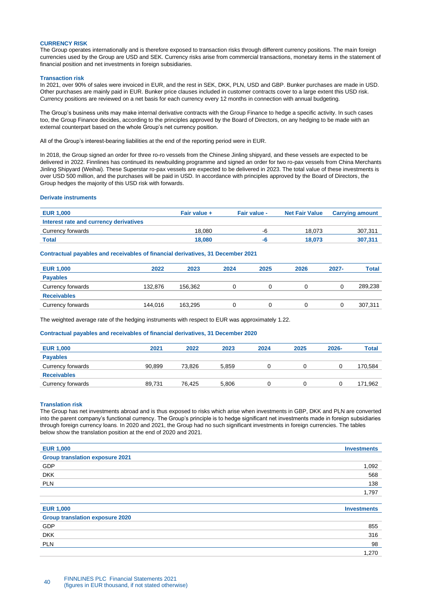#### **CURRENCY RISK**

The Group operates internationally and is therefore exposed to transaction risks through different currency positions. The main foreign currencies used by the Group are USD and SEK. Currency risks arise from commercial transactions, monetary items in the statement of financial position and net investments in foreign subsidiaries.

#### **Transaction risk**

In 2021, over 90% of sales were invoiced in EUR, and the rest in SEK, DKK, PLN, USD and GBP. Bunker purchases are made in USD. Other purchases are mainly paid in EUR. Bunker price clauses included in customer contracts cover to a large extent this USD risk. Currency positions are reviewed on a net basis for each currency every 12 months in connection with annual budgeting.

The Group's business units may make internal derivative contracts with the Group Finance to hedge a specific activity. In such cases too, the Group Finance decides, according to the principles approved by the Board of Directors, on any hedging to be made with an external counterpart based on the whole Group's net currency position.

All of the Group's interest-bearing liabilities at the end of the reporting period were in EUR.

In 2018, the Group signed an order for three ro-ro vessels from the Chinese Jinling shipyard, and these vessels are expected to be delivered in 2022. Finnlines has continued its newbuilding programme and signed an order for two ro-pax vessels from China Merchants Jinling Shipyard (Weihai). These Superstar ro-pax vessels are expected to be delivered in 2023. The total value of these investments is over USD 500 million, and the purchases will be paid in USD. In accordance with principles approved by the Board of Directors, the Group hedges the majority of this USD risk with forwards.

# **Derivate instruments**

| <b>EUR 1,000</b>                       | Fair value + | Fair value - | <b>Net Fair Value</b> | <b>Carrying amount</b> |
|----------------------------------------|--------------|--------------|-----------------------|------------------------|
| Interest rate and currency derivatives |              |              |                       |                        |
| Currency forwards                      | 18.080       | -Fi          | 18.073                | 307.311                |
| <b>Total</b>                           | 18,080       |              | 18.073                | 307.311                |

# **Contractual payables and receivables of financial derivatives, 31 December 2021**

| <b>EUR 1,000</b>   | 2022    | 2023    | 2024 | 2025 | 2026 | $2027 -$ | <b>Total</b> |
|--------------------|---------|---------|------|------|------|----------|--------------|
| <b>Payables</b>    |         |         |      |      |      |          |              |
| Currency forwards  | 132.876 | 156.362 |      |      |      |          | 289,238      |
| <b>Receivables</b> |         |         |      |      |      |          |              |
| Currency forwards  | 144.016 | 163.295 |      |      |      |          | 307,311      |

The weighted average rate of the hedging instruments with respect to EUR was approximately 1.22.

#### **Contractual payables and receivables of financial derivatives, 31 December 2020**

| <b>EUR 1,000</b>   | 2021   | 2022   | 2023  | 2024 | 2025 | $2026 -$ | <b>Total</b> |
|--------------------|--------|--------|-------|------|------|----------|--------------|
| <b>Payables</b>    |        |        |       |      |      |          |              |
| Currency forwards  | 90.899 | 73.826 | 5,859 | O    |      |          | 170,584      |
| <b>Receivables</b> |        |        |       |      |      |          |              |
| Currency forwards  | 89.731 | 76.425 | 5,806 | O    |      |          | 171.962      |
|                    |        |        |       |      |      |          |              |

#### **Translation risk**

The Group has net investments abroad and is thus exposed to risks which arise when investments in GBP, DKK and PLN are converted into the parent company's functional currency. The Group's principle is to hedge significant net investments made in foreign subsidiaries through foreign currency loans. In 2020 and 2021, the Group had no such significant investments in foreign currencies. The tables below show the translation position at the end of 2020 and 2021.

| <b>EUR 1,000</b>                       | <b>Investments</b> |
|----------------------------------------|--------------------|
| <b>Group translation exposure 2021</b> |                    |
| GDP                                    | 1,092              |
| <b>DKK</b>                             | 568                |
| <b>PLN</b>                             | 138                |
|                                        | 1,797              |
|                                        |                    |
| <b>EUR 1,000</b>                       | <b>Investments</b> |
| <b>Group translation exposure 2020</b> |                    |
| GDP                                    | 855                |
| <b>DKK</b>                             | 316                |
| <b>PLN</b>                             | 98                 |
|                                        | 1,270              |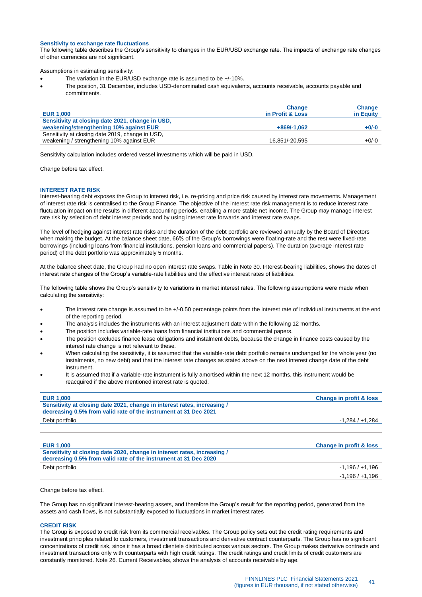#### **Sensitivity to exchange rate fluctuations**

The following table describes the Group's sensitivity to changes in the EUR/USD exchange rate. The impacts of exchange rate changes of other currencies are not significant.

Assumptions in estimating sensitivity:

- The variation in the EUR/USD exchange rate is assumed to be +/-10%.
- The position, 31 December, includes USD-denominated cash equivalents, accounts receivable, accounts payable and commitments.

| <b>EUR 1,000</b>                                 | <b>Change</b><br>in Profit & Loss | <b>Change</b><br>in Equity |
|--------------------------------------------------|-----------------------------------|----------------------------|
| Sensitivity at closing date 2021, change in USD, |                                   |                            |
| weakening/strengthening 10% against EUR          | $+869/-1.062$                     | $+0/-0$                    |
| Sensitivity at closing date 2019, change in USD, |                                   |                            |
| weakening / strengthening 10% against EUR        | 16.851/-20.595                    | $+0/-0$                    |

Sensitivity calculation includes ordered vessel investments which will be paid in USD.

Change before tax effect.

#### **INTEREST RATE RISK**

Interest-bearing debt exposes the Group to interest risk, i.e. re-pricing and price risk caused by interest rate movements. Management of interest rate risk is centralised to the Group Finance. The objective of the interest rate risk management is to reduce interest rate fluctuation impact on the results in different accounting periods, enabling a more stable net income. The Group may manage interest rate risk by selection of debt interest periods and by using interest rate forwards and interest rate swaps.

The level of hedging against interest rate risks and the duration of the debt portfolio are reviewed annually by the Board of Directors when making the budget. At the balance sheet date, 66% of the Group's borrowings were floating-rate and the rest were fixed-rate borrowings (including loans from financial institutions, pension loans and commercial papers). The duration (average interest rate period) of the debt portfolio was approximately 5 months.

At the balance sheet date, the Group had no open interest rate swaps. Table in Note 30. Interest-bearing liabilities, shows the dates of interest rate changes of the Group's variable-rate liabilities and the effective interest rates of liabilities.

The following table shows the Group's sensitivity to variations in market interest rates. The following assumptions were made when calculating the sensitivity:

- The interest rate change is assumed to be +/-0.50 percentage points from the interest rate of individual instruments at the end of the reporting period.
- The analysis includes the instruments with an interest adjustment date within the following 12 months.
- The position includes variable-rate loans from financial institutions and commercial papers.
- The position excludes finance lease obligations and instalment debts, because the change in finance costs caused by the interest rate change is not relevant to these.
- When calculating the sensitivity, it is assumed that the variable-rate debt portfolio remains unchanged for the whole year (no instalments, no new debt) and that the interest rate changes as stated above on the next interest change date of the debt instrument.
- It is assumed that if a variable-rate instrument is fully amortised within the next 12 months, this instrument would be reacquired if the above mentioned interest rate is quoted.

| <b>EUR 1,000</b>                                                                                                                             | <b>Change in profit &amp; loss</b> |
|----------------------------------------------------------------------------------------------------------------------------------------------|------------------------------------|
| Sensitivity at closing date 2021, change in interest rates, increasing /<br>decreasing 0.5% from valid rate of the instrument at 31 Dec 2021 |                                    |
| Debt portfolio                                                                                                                               | $-1.284/+1.284$                    |
|                                                                                                                                              |                                    |
|                                                                                                                                              |                                    |
| <b>EUR 1,000</b>                                                                                                                             | <b>Change in profit &amp; loss</b> |
| Sensitivity at closing date 2020, change in interest rates, increasing /<br>decreasing 0.5% from valid rate of the instrument at 31 Dec 2020 |                                    |
| Debt portfolio                                                                                                                               | $-1,196/+1,196$                    |
|                                                                                                                                              | $-1.196/+1.196$                    |

Change before tax effect.

The Group has no significant interest-bearing assets, and therefore the Group's result for the reporting period, generated from the assets and cash flows, is not substantially exposed to fluctuations in market interest rates

#### **CREDIT RISK**

The Group is exposed to credit risk from its commercial receivables. The Group policy sets out the credit rating requirements and investment principles related to customers, investment transactions and derivative contract counterparts. The Group has no significant concentrations of credit risk, since it has a broad clientele distributed across various sectors. The Group makes derivative contracts and investment transactions only with counterparts with high credit ratings. The credit ratings and credit limits of credit customers are constantly monitored. Note 26. Current Receivables, shows the analysis of accounts receivable by age.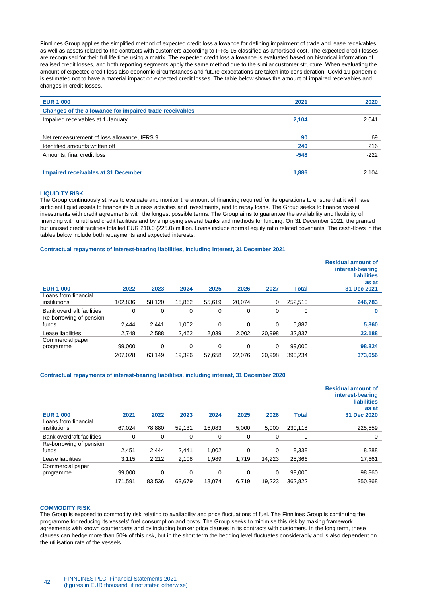Finnlines Group applies the simplified method of expected credit loss allowance for defining impairment of trade and lease receivables as well as assets related to the contracts with customers according to IFRS 15 classified as amortised cost. The expected credit losses are recognised for their full life time using a matrix. The expected credit loss allowance is evaluated based on historical information of realised credit losses, and both reporting segments apply the same method due to the similar customer structure. When evaluating the amount of expected credit loss also economic circumstances and future expectations are taken into consideration. Covid-19 pandemic is estimated not to have a material impact on expected credit losses. The table below shows the amount of impaired receivables and changes in credit losses.

| <b>EUR 1,000</b>                                        | 2021   | 2020   |
|---------------------------------------------------------|--------|--------|
| Changes of the allowance for impaired trade receivables |        |        |
| Impaired receivables at 1 January                       | 2,104  | 2.041  |
|                                                         |        |        |
| Net remeasurement of loss allowance, IFRS 9             | 90     | 69     |
| Identified amounts written off                          | 240    | 216    |
| Amounts, final credit loss                              | $-548$ | $-222$ |
|                                                         |        |        |
| Impaired receivables at 31 December                     | 1,886  | 2.104  |
|                                                         |        |        |

#### **LIQUIDITY RISK**

The Group continuously strives to evaluate and monitor the amount of financing required for its operations to ensure that it will have sufficient liquid assets to finance its business activities and investments, and to repay loans. The Group seeks to finance vessel investments with credit agreements with the longest possible terms. The Group aims to guarantee the availability and flexibility of financing with unutilised credit facilities and by employing several banks and methods for funding. On 31 December 2021, the granted but unused credit facilities totalled EUR 210.0 (225.0) million. Loans include normal equity ratio related covenants. The cash-flows in the tables below include both repayments and expected interests.

# **Contractual repayments of interest-bearing liabilities, including interest, 31 December 2021**

| <b>EUR 1,000</b>                     | 2022    | 2023   | 2024   | 2025     | 2026   | 2027   | <b>Total</b> | <b>Residual amount of</b><br>interest-bearing<br><b>liabilities</b><br>as at<br>31 Dec 2021 |
|--------------------------------------|---------|--------|--------|----------|--------|--------|--------------|---------------------------------------------------------------------------------------------|
| Loans from financial<br>institutions | 102.836 | 58.120 | 15.862 | 55.619   | 20.074 | 0      | 252.510      | 246,783                                                                                     |
| Bank overdraft facilities            | 0       | 0      | 0      | 0        | 0      | 0      | 0            | 0                                                                                           |
| Re-borrowing of pension<br>funds     | 2.444   | 2.441  | 1.002  | 0        | 0      | 0      | 5.887        | 5,860                                                                                       |
| Lease liabilities                    | 2.748   | 2.588  | 2.462  | 2.039    | 2.002  | 20.998 | 32.837       | 22.188                                                                                      |
| Commercial paper<br>programme        | 99,000  | 0      | 0      | $\Omega$ | 0      | 0      | 99,000       | 98,824                                                                                      |
|                                      | 207.028 | 63.149 | 19.326 | 57.658   | 22.076 | 20.998 | 390.234      | 373,656                                                                                     |

#### **Contractual repayments of interest-bearing liabilities, including interest, 31 December 2020**

| <b>EUR 1,000</b>                     | 2021    | 2022     | 2023   | 2024     | 2025  | 2026   | <b>Total</b> | <b>Residual amount of</b><br>interest-bearing<br><b>liabilities</b><br>as at<br>31 Dec 2020 |
|--------------------------------------|---------|----------|--------|----------|-------|--------|--------------|---------------------------------------------------------------------------------------------|
| Loans from financial<br>institutions | 67.024  | 78.880   | 59.131 | 15.083   | 5.000 | 5.000  | 230.118      | 225,559                                                                                     |
| Bank overdraft facilities            | 0       | 0        | 0      | 0        | 0     | 0      | 0            | 0                                                                                           |
| Re-borrowing of pension<br>funds     | 2,451   | 2.444    | 2,441  | 1.002    | 0     | 0      | 8.338        | 8,288                                                                                       |
| Lease liabilities                    | 3,115   | 2,212    | 2.108  | 1.989    | 1.719 | 14.223 | 25.366       | 17,661                                                                                      |
| Commercial paper<br>programme        | 99.000  | $\Omega$ | 0      | $\Omega$ | 0     | 0      | 99.000       | 98,860                                                                                      |
|                                      | 171.591 | 83,536   | 63.679 | 18.074   | 6.719 | 19.223 | 362,822      | 350.368                                                                                     |

#### **COMMODITY RISK**

The Group is exposed to commodity risk relating to availability and price fluctuations of fuel. The Finnlines Group is continuing the programme for reducing its vessels' fuel consumption and costs. The Group seeks to minimise this risk by making framework agreements with known counterparts and by including bunker price clauses in its contracts with customers. In the long term, these clauses can hedge more than 50% of this risk, but in the short term the hedging level fluctuates considerably and is also dependent on the utilisation rate of the vessels.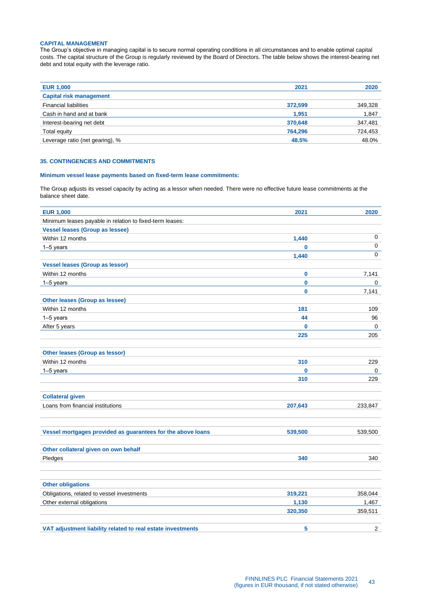# **CAPITAL MANAGEMENT**

The Group's objective in managing capital is to secure normal operating conditions in all circumstances and to enable optimal capital costs. The capital structure of the Group is regularly reviewed by the Board of Directors. The table below shows the interest-bearing net debt and total equity with the leverage ratio.

| <b>EUR 1,000</b>                | 2021    | 2020    |
|---------------------------------|---------|---------|
| <b>Capital risk management</b>  |         |         |
| <b>Financial liabilities</b>    | 372,599 | 349,328 |
| Cash in hand and at bank        | 1.951   | 1,847   |
| Interest-bearing net debt       | 370,648 | 347,481 |
| Total equity                    | 764,296 | 724,453 |
| Leverage ratio (net gearing), % | 48.5%   | 48.0%   |

# <span id="page-42-0"></span>**35. CONTINGENCIES AND COMMITMENTS**

### **Minimum vessel lease payments based on fixed-term lease commitments:**

The Group adjusts its vessel capacity by acting as a lessor when needed. There were no effective future lease commitments at the balance sheet date.

| <b>EUR 1,000</b>                                            | 2021         | 2020        |
|-------------------------------------------------------------|--------------|-------------|
| Minimum leases payable in relation to fixed-term leases:    |              |             |
| <b>Vessel leases (Group as lessee)</b>                      |              |             |
| Within 12 months                                            | 1,440        | $\mathbf 0$ |
| 1-5 years                                                   | $\bf{0}$     | $\mathbf 0$ |
|                                                             | 1,440        | $\Omega$    |
| <b>Vessel leases (Group as lessor)</b>                      |              |             |
| Within 12 months                                            | $\bf{0}$     | 7,141       |
| $1-5$ years                                                 | 0            | 0           |
|                                                             | $\mathbf{0}$ | 7,141       |
| Other leases (Group as lessee)                              |              |             |
| Within 12 months                                            | 181          | 109         |
| $1-5$ years                                                 | 44           | 96          |
| After 5 years                                               | 0            | 0           |
|                                                             | 225          | 205         |
|                                                             |              |             |
| <b>Other leases (Group as lessor)</b>                       |              |             |
| Within 12 months                                            | 310          | 229         |
| 1-5 years                                                   | $\mathbf 0$  | 0           |
|                                                             | 310          | 229         |
|                                                             |              |             |
| <b>Collateral given</b>                                     |              |             |
| Loans from financial institutions                           | 207,643      | 233,847     |
| Vessel mortgages provided as guarantees for the above loans | 539,500      | 539,500     |
|                                                             |              |             |
| Other collateral given on own behalf                        |              |             |
| Pledges                                                     | 340          | 340         |
| <b>Other obligations</b>                                    |              |             |
| Obligations, related to vessel investments                  | 319,221      | 358,044     |
| Other external obligations                                  | 1,130        | 1,467       |
|                                                             | 320,350      | 359,511     |
| VAT adjustment liability related to real estate investments | 5            | 2           |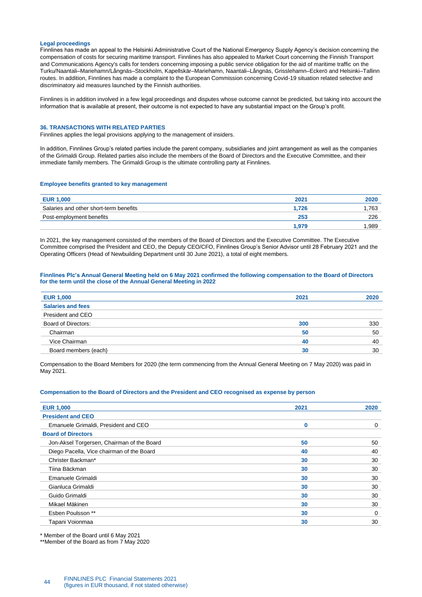#### **Legal proceedings**

Finnlines has made an appeal to the Helsinki Administrative Court of the National Emergency Supply Agency's decision concerning the compensation of costs for securing maritime transport. Finnlines has also appealed to Market Court concerning the Finnish Transport and Communications Agency's calls for tenders concerning imposing a public service obligation for the aid of maritime traffic on the Turku/Naantali–Mariehamn/Långnäs–Stockholm, Kapellskär–Mariehamn, Naantali–Långnäs, Grisslehamn–Eckerö and Helsinki–Tallinn routes. In addition, Finnlines has made a complaint to the European Commission concerning Covid-19 situation related selective and discriminatory aid measures launched by the Finnish authorities.

Finnlines is in addition involved in a few legal proceedings and disputes whose outcome cannot be predicted, but taking into account the information that is available at present, their outcome is not expected to have any substantial impact on the Group's profit.

# <span id="page-43-0"></span>**36. TRANSACTIONS WITH RELATED PARTIES**

Finnlines applies the legal provisions applying to the management of insiders.

In addition, Finnlines Group's related parties include the parent company, subsidiaries and joint arrangement as well as the companies of the Grimaldi Group. Related parties also include the members of the Board of Directors and the Executive Committee, and their immediate family members. The Grimaldi Group is the ultimate controlling party at Finnlines.

#### **Employee benefits granted to key management**

| <b>EUR 1,000</b>                       | 2021  | 2020  |
|----------------------------------------|-------|-------|
| Salaries and other short-term benefits | 1.726 | .763  |
| Post-employment benefits               | 253   | 226   |
|                                        | 1.979 | 1.989 |
|                                        |       |       |

In 2021, the key management consisted of the members of the Board of Directors and the Executive Committee. The Executive Committee comprised the President and CEO, the Deputy CEO/CFO, Finnlines Group's Senior Advisor until 28 February 2021 and the Operating Officers (Head of Newbuilding Department until 30 June 2021), a total of eight members.

### **Finnlines Plc's Annual General Meeting held on 6 May 2021 confirmed the following compensation to the Board of Directors for the term until the close of the Annual General Meeting in 2022**

| <b>EUR 1,000</b>         | 2021 | 2020 |
|--------------------------|------|------|
| <b>Salaries and fees</b> |      |      |
| President and CEO        |      |      |
| Board of Directors:      | 300  | 330  |
| Chairman                 | 50   | 50   |
| Vice Chairman            | 40   | 40   |
| Board members (each)     | 30   | 30   |
|                          |      |      |

Compensation to the Board Members for 2020 (the term commencing from the Annual General Meeting on 7 May 2020) was paid in May 2021.

### **Compensation to the Board of Directors and the President and CEO recognised as expense by person**

| <b>EUR 1,000</b>                           | 2021 | 2020 |
|--------------------------------------------|------|------|
| <b>President and CEO</b>                   |      |      |
| Emanuele Grimaldi, President and CEO       | 0    | 0    |
| <b>Board of Directors</b>                  |      |      |
| Jon-Aksel Torgersen, Chairman of the Board | 50   | 50   |
| Diego Pacella, Vice chairman of the Board  | 40   | 40   |
| Christer Backman*                          | 30   | 30   |
| Tiina Bäckman                              | 30   | 30   |
| Emanuele Grimaldi                          | 30   | 30   |
| Gianluca Grimaldi                          | 30   | 30   |
| Guido Grimaldi                             | 30   | 30   |
| Mikael Mäkinen                             | 30   | 30   |
| Esben Poulsson **                          | 30   | 0    |
| Tapani Voionmaa                            | 30   | 30   |
|                                            |      |      |

\* Member of the Board until 6 May 2021

\*\*Member of the Board as from 7 May 2020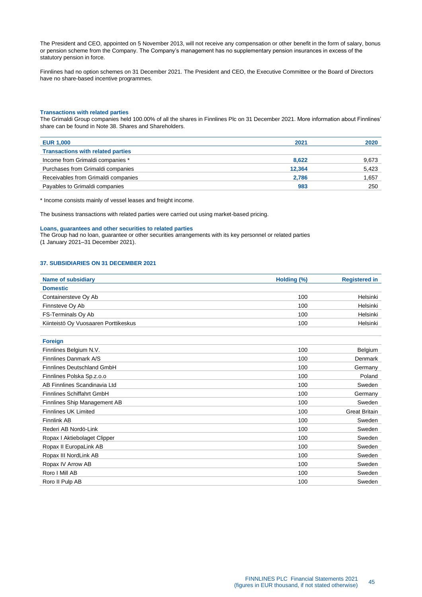The President and CEO, appointed on 5 November 2013, will not receive any compensation or other benefit in the form of salary, bonus or pension scheme from the Company. The Company's management has no supplementary pension insurances in excess of the statutory pension in force.

Finnlines had no option schemes on 31 December 2021. The President and CEO, the Executive Committee or the Board of Directors have no share-based incentive programmes.

# **Transactions with related parties**

The Grimaldi Group companies held 100.00% of all the shares in Finnlines Plc on 31 December 2021. More information about Finnlines' share can be found in Note 38. Shares and Shareholders.

| <b>EUR 1,000</b>                         | 2021   | 2020  |
|------------------------------------------|--------|-------|
| <b>Transactions with related parties</b> |        |       |
| Income from Grimaldi companies *         | 8,622  | 9,673 |
| Purchases from Grimaldi companies        | 12.364 | 5,423 |
| Receivables from Grimaldi companies      | 2,786  | 1,657 |
| Payables to Grimaldi companies           | 983    | 250   |
|                                          |        |       |

\* Income consists mainly of vessel leases and freight income.

The business transactions with related parties were carried out using market-based pricing.

#### **Loans, guarantees and other securities to related parties**

The Group had no loan, guarantee or other securities arrangements with its key personnel or related parties (1 January 2021–31 December 2021).

# <span id="page-44-0"></span>**37. SUBSIDIARIES ON 31 DECEMBER 2021**

| <b>Name of subsidiary</b>            | Holding (%) | <b>Registered in</b> |
|--------------------------------------|-------------|----------------------|
| <b>Domestic</b>                      |             |                      |
| Containersteve Oy Ab                 | 100         | Helsinki             |
| Finnsteve Oy Ab                      | 100         | Helsinki             |
| FS-Terminals Oy Ab                   | 100         | Helsinki             |
| Kiinteistö Oy Vuosaaren Porttikeskus | 100         | Helsinki             |
|                                      |             |                      |

<span id="page-44-1"></span>

| <b>Foreign</b>               |     |                      |
|------------------------------|-----|----------------------|
| Finnlines Belgium N.V.       | 100 | Belgium              |
| Finnlines Danmark A/S        | 100 | Denmark              |
| Finnlines Deutschland GmbH   | 100 | Germany              |
| Finnlines Polska Sp.z.o.o    | 100 | Poland               |
| AB Finnlines Scandinavia Ltd | 100 | Sweden               |
| Finnlines Schiffahrt GmbH    | 100 | Germany              |
| Finnlines Ship Management AB | 100 | Sweden               |
| <b>Finnlines UK Limited</b>  | 100 | <b>Great Britain</b> |
| <b>Finnlink AB</b>           | 100 | Sweden               |
| Rederi AB Nordö-Link         | 100 | Sweden               |
| Ropax   Aktiebolaget Clipper | 100 | Sweden               |
| Ropax II EuropaLink AB       | 100 | Sweden               |
| Ropax III NordLink AB        | 100 | Sweden               |
| Ropax IV Arrow AB            | 100 | Sweden               |
| Roro I Mill AB               | 100 | Sweden               |
| Roro II Pulp AB              | 100 | Sweden               |
|                              |     |                      |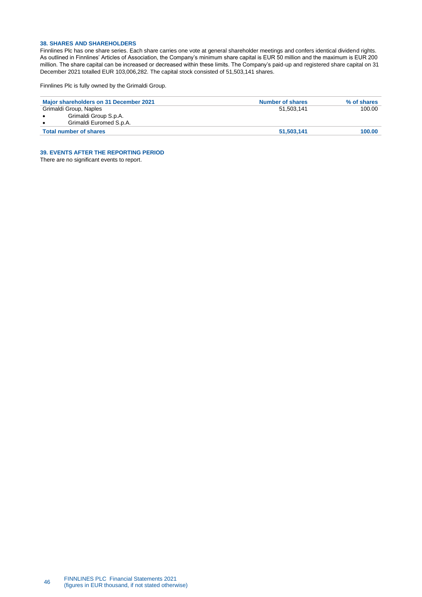# **38. SHARES AND SHAREHOLDERS**

Finnlines Plc has one share series. Each share carries one vote at general shareholder meetings and confers identical dividend rights. As outlined in Finnlines' Articles of Association, the Company's minimum share capital is EUR 50 million and the maximum is EUR 200 million. The share capital can be increased or decreased within these limits. The Company's paid-up and registered share capital on 31 December 2021 totalled EUR 103,006,282. The capital stock consisted of 51,503,141 shares.

Finnlines Plc is fully owned by the Grimaldi Group.

| Major shareholders on 31 December 2021 | <b>Number of shares</b> | % of shares |
|----------------------------------------|-------------------------|-------------|
| Grimaldi Group, Naples                 | 51.503.141              | 100.00      |
| Grimaldi Group S.p.A.                  |                         |             |
| Grimaldi Euromed S.p.A.                |                         |             |
| <b>Total number of shares</b>          | 51,503,141              | 100.00      |

<span id="page-45-0"></span>**39. EVENTS AFTER THE REPORTING PERIOD**

There are no significant events to report.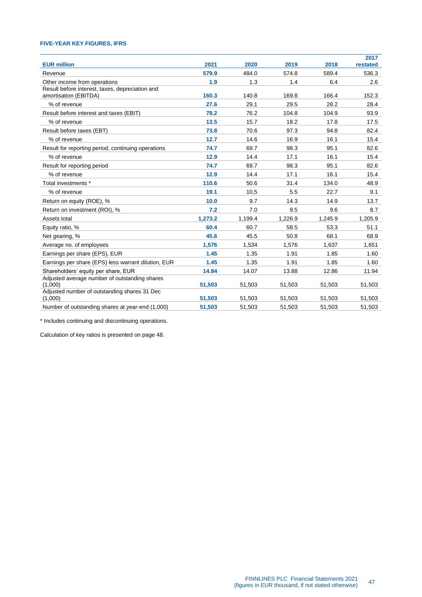# <span id="page-46-0"></span>**FIVE-YEAR KEY FIGURES, IFRS**

| <b>EUR million</b>                                                       | 2021    | 2020    | 2019    | 2018    | 2017<br>restated |
|--------------------------------------------------------------------------|---------|---------|---------|---------|------------------|
| Revenue                                                                  | 579.9   | 484.0   | 574.8   | 589.4   | 536.3            |
| Other income from operations                                             | 1.9     | 1.3     | 1.4     | 6.4     | 2.6              |
| Result before interest, taxes, depreciation and<br>amortisation (EBITDA) | 160.3   | 140.8   | 169.8   | 166.4   | 152.3            |
| % of revenue                                                             | 27.6    | 29.1    | 29.5    | 28.2    | 28.4             |
| Result before interest and taxes (EBIT)                                  | 78.2    | 76.2    | 104.8   | 104.9   | 93.9             |
| % of revenue                                                             | 13.5    | 15.7    | 18.2    | 17.8    | 17.5             |
| Result before taxes (EBT)                                                | 73.8    | 70.6    | 97.3    | 94.8    | 82.4             |
| % of revenue                                                             | 12.7    | 14.6    | 16.9    | 16.1    | 15.4             |
| Result for reporting period, continuing operations                       | 74.7    | 69.7    | 98.3    | 95.1    | 82.6             |
| % of revenue                                                             | 12.9    | 14.4    | 17.1    | 16.1    | 15.4             |
| Result for reporting period                                              | 74.7    | 69.7    | 98.3    | 95.1    | 82.6             |
| % of revenue                                                             | 12.9    | 14.4    | 17.1    | 16.1    | 15.4             |
| Total investments *                                                      | 110.6   | 50.6    | 31.4    | 134.0   | 48.9             |
| % of revenue                                                             | 19.1    | 10,5    | 5.5     | 22.7    | 9.1              |
| Return on equity (ROE), %                                                | 10.0    | 9.7     | 14.3    | 14.9    | 13.7             |
| Return on investment (ROI), %                                            | 7.2     | 7.0     | 9.5     | 9.6     | 8.7              |
| Assets total                                                             | 1,273.2 | 1,199.4 | 1,226.9 | 1,245.9 | 1,205.9          |
| Equity ratio, %                                                          | 60.4    | 60.7    | 58.5    | 53.3    | 51.1             |
| Net gearing, %                                                           | 45.6    | 45.5    | 50.8    | 68.1    | 68.9             |
| Average no. of employees                                                 | 1,576   | 1,534   | 1,576   | 1,637   | 1,651            |
| Earnings per share (EPS), EUR                                            | 1.45    | 1.35    | 1.91    | 1.85    | 1.60             |
| Earnings per share (EPS) less warrant dilution, EUR                      | 1.45    | 1.35    | 1.91    | 1.85    | 1.60             |
| Shareholders' equity per share, EUR                                      | 14.84   | 14.07   | 13.88   | 12.86   | 11.94            |
| Adjusted average number of outstanding shares<br>(1,000)                 | 51,503  | 51,503  | 51,503  | 51,503  | 51,503           |
| Adjusted number of outstanding shares 31 Dec<br>(1,000)                  | 51.503  | 51.503  | 51,503  | 51,503  | 51,503           |
| Number of outstanding shares at year-end (1,000)                         | 51,503  | 51,503  | 51,503  | 51,503  | 51,503           |

\* Includes continuing and discontinuing operations.

Calculation of key ratios is presented on page 48.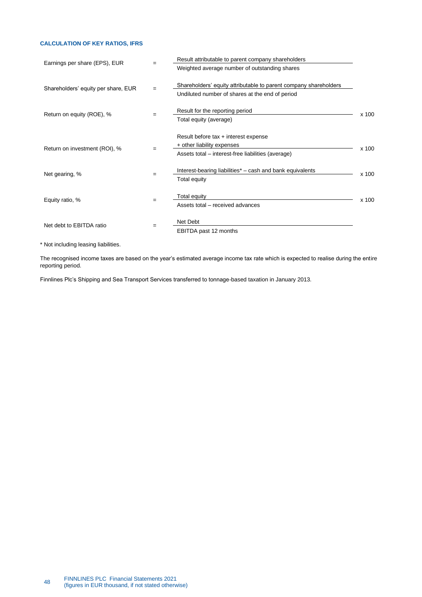# <span id="page-47-0"></span>**CALCULATION OF KEY RATIOS, IFRS**

| Earnings per share (EPS), EUR       | $=$ | Result attributable to parent company shareholders                                                                       |       |
|-------------------------------------|-----|--------------------------------------------------------------------------------------------------------------------------|-------|
|                                     |     | Weighted average number of outstanding shares                                                                            |       |
| Shareholders' equity per share, EUR |     | Shareholders' equity attributable to parent company shareholders<br>Undiluted number of shares at the end of period      |       |
| Return on equity (ROE), %           |     | Result for the reporting period<br>Total equity (average)                                                                | x 100 |
| Return on investment (ROI), %       |     | Result before tax + interest expense<br>+ other liability expenses<br>Assets total - interest-free liabilities (average) | x 100 |
| Net gearing, %                      | $=$ | Interest-bearing liabilities* – cash and bank equivalents<br>Total equity                                                | x 100 |
| Equity ratio, %                     | $=$ | Total equity<br>Assets total - received advances                                                                         | x 100 |
| Net debt to EBITDA ratio            | $=$ | Net Debt<br>EBITDA past 12 months                                                                                        |       |

\* Not including leasing liabilities.

The recognised income taxes are based on the year's estimated average income tax rate which is expected to realise during the entire reporting period.

Finnlines Plc's Shipping and Sea Transport Services transferred to tonnage-based taxation in January 2013.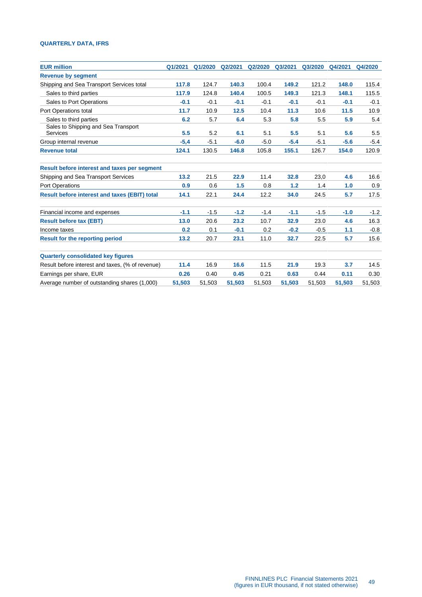# <span id="page-48-0"></span>**QUARTERLY DATA, IFRS**

| Q1/2021 | Q1/2020 | Q2/2021 | Q2/2020 | Q3/2021 | Q3/2020 | Q4/2021 | Q4/2020 |
|---------|---------|---------|---------|---------|---------|---------|---------|
|         |         |         |         |         |         |         |         |
| 117.8   | 124.7   | 140.3   | 100.4   | 149.2   | 121.2   | 148.0   | 115.4   |
| 117.9   | 124.8   | 140.4   | 100.5   | 149.3   | 121.3   | 148.1   | 115.5   |
| $-0.1$  | $-0.1$  | $-0.1$  | $-0.1$  | $-0.1$  | $-0.1$  | $-0.1$  | $-0.1$  |
| 11.7    | 10.9    | 12.5    | 10.4    | 11.3    | 10.6    | 11.5    | 10.9    |
| 6.2     | 5.7     | 6.4     | 5.3     | 5.8     | 5.5     | 5.9     | 5.4     |
| 5.5     | 5.2     | 6.1     | 5.1     | 5.5     | 5.1     | 5.6     | 5.5     |
| $-5,4$  | $-5.1$  | $-6.0$  | $-5.0$  | $-5.4$  | $-5.1$  | $-5.6$  | $-5.4$  |
| 124.1   | 130.5   | 146.8   | 105.8   | 155.1   | 126.7   | 154.0   | 120.9   |
|         |         |         |         |         |         |         |         |
| 13.2    | 21.5    | 22.9    | 11.4    | 32.8    | 23,0    | 4.6     | 16.6    |
| 0.9     | 0.6     | 1.5     | 0.8     | 1.2     | 1.4     | 1.0     | 0.9     |
| 14.1    | 22.1    | 24.4    | 12.2    | 34.0    | 24.5    |         | 17.5    |
| $-1.1$  | $-1.5$  | $-1.2$  | $-1.4$  | $-1.1$  | $-1.5$  | $-1.0$  | $-1.2$  |
| 13.0    | 20.6    | 23.2    | 10.7    | 32.9    | 23.0    | 4.6     | 16.3    |
| 0.2     | 0.1     | $-0.1$  | 0.2     | $-0.2$  | $-0.5$  | 1.1     | $-0.8$  |
| 13.2    | 20.7    | 23.1    | 11.0    | 32.7    | 22.5    | 5.7     | 15.6    |
|         |         |         |         |         |         |         |         |
| 11.4    | 16.9    | 16.6    | 11.5    | 21.9    | 19.3    | 3.7     | 14.5    |
| 0.26    | 0.40    | 0.45    | 0.21    | 0.63    | 0.44    | 0.11    | 0.30    |
| 51,503  | 51,503  | 51,503  | 51,503  | 51,503  | 51,503  | 51,503  | 51,503  |
|         |         |         |         |         |         |         | 5.7     |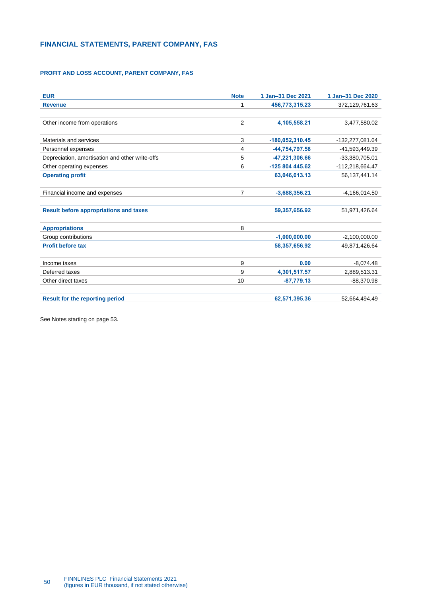# <span id="page-49-0"></span>**FINANCIAL STATEMENTS, PARENT COMPANY, FAS**

# <span id="page-49-1"></span>**PROFIT AND LOSS ACCOUNT, PARENT COMPANY, FAS**

| <b>EUR</b>                                      | <b>Note</b> | 1 Jan-31 Dec 2021 | 1 Jan-31 Dec 2020 |
|-------------------------------------------------|-------------|-------------------|-------------------|
| <b>Revenue</b>                                  | 1           | 456,773,315.23    | 372,129,761.63    |
|                                                 |             |                   |                   |
| Other income from operations                    | 2           | 4,105,558.21      | 3,477,580.02      |
|                                                 |             |                   |                   |
| Materials and services                          | 3           | -180,052,310.45   | -132,277,081.64   |
| Personnel expenses                              | 4           | -44,754,797.58    | -41,593,449.39    |
| Depreciation, amortisation and other write-offs | 5           | -47,221,306.66    | -33,380,705.01    |
| Other operating expenses                        | 6           | -125 804 445.62   | -112,218,664.47   |
| <b>Operating profit</b>                         |             | 63,046,013.13     | 56, 137, 441. 14  |
| Financial income and expenses                   | 7           | $-3,688,356.21$   | $-4,166,014.50$   |
| <b>Result before appropriations and taxes</b>   |             | 59,357,656.92     | 51,971,426.64     |
| <b>Appropriations</b>                           | 8           |                   |                   |
| Group contributions                             |             | $-1,000,000.00$   | $-2,100,000.00$   |
| <b>Profit before tax</b>                        |             | 58,357,656.92     | 49,871,426.64     |
| Income taxes                                    | 9           | 0.00              | $-8,074.48$       |
| Deferred taxes                                  | 9           | 4,301,517.57      | 2,889,513.31      |
| Other direct taxes                              | 10          | $-87,779.13$      | $-88,370.98$      |
| <b>Result for the reporting period</b>          |             | 62,571,395.36     | 52,664,494.49     |

See Notes starting on page 53.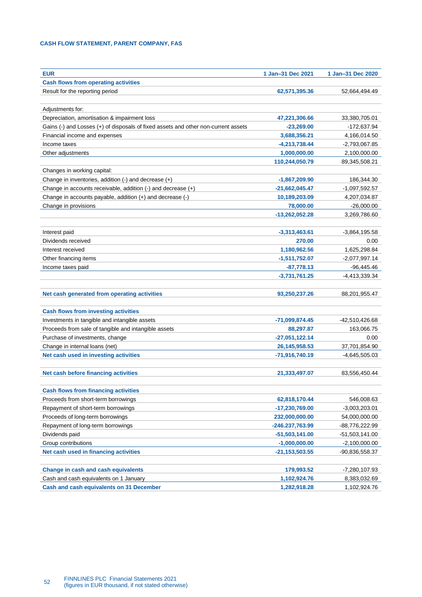# <span id="page-51-0"></span>**CASH FLOW STATEMENT, PARENT COMPANY, FAS**

| <b>EUR</b>                                                                         | 1 Jan-31 Dec 2021                   | 1 Jan-31 Dec 2020                  |
|------------------------------------------------------------------------------------|-------------------------------------|------------------------------------|
| <b>Cash flows from operating activities</b>                                        |                                     |                                    |
| Result for the reporting period                                                    | 62,571,395.36                       | 52,664,494.49                      |
|                                                                                    |                                     |                                    |
| Adjustments for:                                                                   |                                     |                                    |
| Depreciation, amortisation & impairment loss                                       | 47,221,306.66                       | 33,380,705.01                      |
| Gains (-) and Losses (+) of disposals of fixed assets and other non-current assets | -23,269.00                          | -172,637.94                        |
| Financial income and expenses                                                      | 3,688,356.21                        | 4,166,014.50                       |
| Income taxes                                                                       | $-4,213,738.44$                     | $-2,793,067.85$                    |
| Other adjustments                                                                  | 1,000,000.00                        | 2,100,000.00                       |
|                                                                                    | 110,244,050.79                      | 89,345,508.21                      |
| Changes in working capital:                                                        |                                     |                                    |
| Change in inventories, addition (-) and decrease (+)                               | -1,867,209.90                       | 186,344.30                         |
| Change in accounts receivable, addition (-) and decrease (+)                       | $-21,662,045.47$                    | $-1,097,592.57$                    |
| Change in accounts payable, addition (+) and decrease (-)                          | 10,189,203.09                       | 4,207,034.87                       |
| Change in provisions                                                               | 78,000.00                           | $-26,000.00$                       |
|                                                                                    | $-13,262,052.28$                    | 3,269,786.60                       |
|                                                                                    |                                     |                                    |
| Interest paid                                                                      | $-3,313,463.61$                     | $-3,864,195.58$                    |
| Dividends received                                                                 | 270.00                              | 0.00                               |
| Interest received                                                                  | 1,180,962.56                        | 1,625,298.84                       |
| Other financing items                                                              | $-1,511,752.07$                     | $-2,077,997.14$                    |
| Income taxes paid                                                                  | $-87,778.13$                        | $-96,445.46$                       |
|                                                                                    | $-3,731,761.25$                     | $-4,413,339.34$                    |
|                                                                                    |                                     |                                    |
| Net cash generated from operating activities                                       | 93,250,237.26                       | 88,201,955.47                      |
|                                                                                    |                                     |                                    |
| <b>Cash flows from investing activities</b>                                        |                                     |                                    |
| Investments in tangible and intangible assets                                      | -71,099,874.45                      | -42,510,426.68                     |
| Proceeds from sale of tangible and intangible assets                               | 88,297.87                           | 163,066.75                         |
| Purchase of investments, change                                                    | $-27,051,122.14$                    | 0.00                               |
| Change in internal loans (net)                                                     | 26, 145, 958. 53                    | 37,701,854.90                      |
| Net cash used in investing activities                                              | -71,916,740.19                      | $-4,645,505.03$                    |
|                                                                                    |                                     |                                    |
| Net cash before financing activities                                               | 21,333,497.07                       | 83,556,450.44                      |
| <b>Cash flows from financing activities</b>                                        |                                     |                                    |
| Proceeds from short-term borrowings                                                | 62,818,170.44                       | 546,008.63                         |
| Repayment of short-term borrowings                                                 | -17,230,769.00                      | $-3,003,203.01$                    |
| Proceeds of long-term borrowings                                                   | 232,000,000.00                      | 54,000,000.00                      |
| Repayment of long-term borrowings                                                  |                                     |                                    |
| Dividends paid                                                                     | -246.237,763.99<br>$-51,503,141.00$ | -88,776,222.99<br>$-51,503,141.00$ |
|                                                                                    | $-1,000,000.00$                     |                                    |
| Group contributions                                                                | $-21, 153, 503.55$                  | $-2,100,000.00$                    |
| Net cash used in financing activities                                              |                                     | -90,836,558.37                     |
|                                                                                    |                                     |                                    |
| Change in cash and cash equivalents                                                | 179,993.52                          | -7,280,107.93                      |
| Cash and cash equivalents on 1 January                                             | 1,102,924.76                        | 8,383,032.69                       |
| Cash and cash equivalents on 31 December                                           | 1,282,918.28                        | 1,102,924.76                       |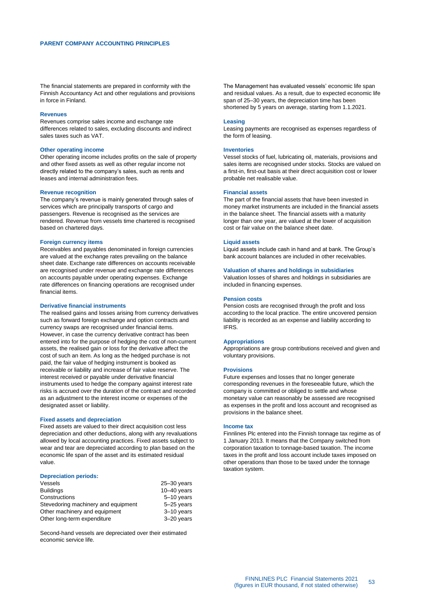<span id="page-52-0"></span>The financial statements are prepared in conformity with the Finnish Accountancy Act and other regulations and provisions in force in Finland.

#### **Revenues**

Revenues comprise sales income and exchange rate differences related to sales, excluding discounts and indirect sales taxes such as VAT.

#### **Other operating income**

Other operating income includes profits on the sale of property and other fixed assets as well as other regular income not directly related to the company's sales, such as rents and leases and internal administration fees.

#### **Revenue recognition**

The company's revenue is mainly generated through sales of services which are principally transports of cargo and passengers. Revenue is recognised as the services are rendered. Revenue from vessels time chartered is recognised based on chartered days.

#### **Foreign currency items**

Receivables and payables denominated in foreign currencies are valued at the exchange rates prevailing on the balance sheet date. Exchange rate differences on accounts receivable are recognised under revenue and exchange rate differences on accounts payable under operating expenses. Exchange rate differences on financing operations are recognised under financial items.

### **Derivative financial instruments**

The realised gains and losses arising from currency derivatives such as forward foreign exchange and option contracts and currency swaps are recognised under financial items. However, in case the currency derivative contract has been entered into for the purpose of hedging the cost of non-current assets, the realised gain or loss for the derivative affect the cost of such an item. As long as the hedged purchase is not paid, the fair value of hedging instrument is booked as receivable or liability and increase of fair value reserve. The interest received or payable under derivative financial instruments used to hedge the company against interest rate risks is accrued over the duration of the contract and recorded as an adjustment to the interest income or expenses of the designated asset or liability.

#### **Fixed assets and depreciation**

Fixed assets are valued to their direct acquisition cost less depreciation and other deductions, along with any revaluations allowed by local accounting practices. Fixed assets subject to wear and tear are depreciated according to plan based on the economic life span of the asset and its estimated residual value.

#### **Depreciation periods:**

| $25 - 30$ years |
|-----------------|
| $10-40$ years   |
| 5-10 years      |
| 5-25 years      |
| $3-10$ years    |
| 3-20 years      |
|                 |

Second-hand vessels are depreciated over their estimated economic service life.

The Management has evaluated vessels' economic life span and residual values. As a result, due to expected economic life span of 25–30 years, the depreciation time has been shortened by 5 years on average, starting from 1.1.2021.

#### **Leasing**

Leasing payments are recognised as expenses regardless of the form of leasing.

#### **Inventories**

Vessel stocks of fuel, lubricating oil, materials, provisions and sales items are recognised under stocks. Stocks are valued on a first-in, first-out basis at their direct acquisition cost or lower probable net realisable value.

#### **Financial assets**

The part of the financial assets that have been invested in money market instruments are included in the financial assets in the balance sheet. The financial assets with a maturity longer than one year, are valued at the lower of acquisition cost or fair value on the balance sheet date.

#### **Liquid assets**

Liquid assets include cash in hand and at bank. The Group's bank account balances are included in other receivables.

#### **Valuation of shares and holdings in subsidiaries**

Valuation losses of shares and holdings in subsidiaries are included in financing expenses.

### **Pension costs**

Pension costs are recognised through the profit and loss according to the local practice. The entire uncovered pension liability is recorded as an expense and liability according to IFRS.

#### **Appropriations**

Appropriations are group contributions received and given and voluntary provisions.

#### **Provisions**

Future expenses and losses that no longer generate corresponding revenues in the foreseeable future, which the company is committed or obliged to settle and whose monetary value can reasonably be assessed are recognised as expenses in the profit and loss account and recognised as provisions in the balance sheet.

#### **Income tax**

Finnlines Plc entered into the Finnish tonnage tax regime as of 1 January 2013. It means that the Company switched from corporation taxation to tonnage-based taxation. The income taxes in the profit and loss account include taxes imposed on other operations than those to be taxed under the tonnage taxation system.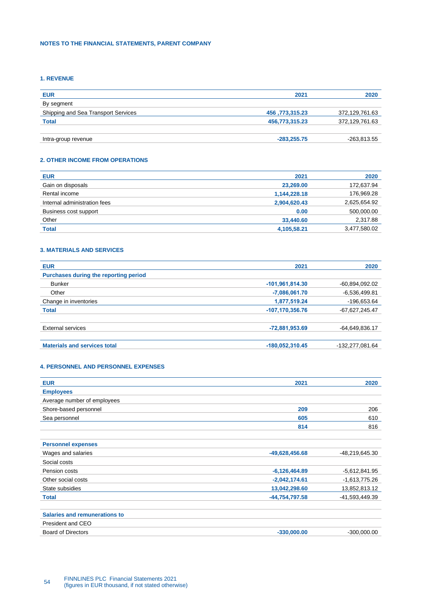# <span id="page-53-0"></span>**NOTES TO THE FINANCIAL STATEMENTS, PARENT COMPANY**

# <span id="page-53-1"></span>**1. REVENUE**

| <b>EUR</b>                          | 2021           | 2020           |
|-------------------------------------|----------------|----------------|
| By segment                          |                |                |
| Shipping and Sea Transport Services | 456,773,315.23 | 372,129,761.63 |
| <b>Total</b>                        | 456,773,315.23 | 372,129,761.63 |
|                                     |                |                |
| Intra-group revenue                 | $-283,255.75$  | -263,813.55    |

# <span id="page-53-2"></span>**2. OTHER INCOME FROM OPERATIONS**

| <b>EUR</b>                   | 2021         | 2020         |
|------------------------------|--------------|--------------|
| Gain on disposals            | 23,269.00    | 172,637.94   |
| Rental income                | 1,144,228.18 | 176,969.28   |
| Internal administration fees | 2,904,620.43 | 2,625,654.92 |
| Business cost support        | 0.00         | 500,000.00   |
| Other                        | 33,440.60    | 2,317.88     |
| <b>Total</b>                 | 4,105,58.21  | 3,477,580.02 |
|                              |              |              |

# <span id="page-53-3"></span>**3. MATERIALS AND SERVICES**

| <b>EUR</b>                            | 2021              | 2020             |
|---------------------------------------|-------------------|------------------|
| Purchases during the reporting period |                   |                  |
| <b>Bunker</b>                         | $-101,961,814.30$ | -60,894,092.02   |
| Other                                 | $-7,086,061.70$   | $-6,536,499.81$  |
| Change in inventories                 | 1,877,519.24      | -196,653.64      |
| <b>Total</b>                          | -107,170,356.76   | $-67,627,245.47$ |
| <b>External services</b>              | -72,881,953.69    | $-64,649,836.17$ |
| <b>Materials and services total</b>   | $-180,052,310.45$ | -132,277,081.64  |

# <span id="page-53-4"></span>**4. PERSONNEL AND PERSONNEL EXPENSES**

| <b>EUR</b>                           | 2021            | 2020            |
|--------------------------------------|-----------------|-----------------|
| <b>Employees</b>                     |                 |                 |
| Average number of employees          |                 |                 |
| Shore-based personnel                | 209             | 206             |
| Sea personnel                        | 605             | 610             |
|                                      | 814             | 816             |
|                                      |                 |                 |
| <b>Personnel expenses</b>            |                 |                 |
| Wages and salaries                   | -49,628,456.68  | -48,219,645.30  |
| Social costs                         |                 |                 |
| Pension costs                        | $-6,126,464.89$ | $-5,612,841.95$ |
| Other social costs                   | $-2,042,174.61$ | $-1,613,775.26$ |
| State subsidies                      | 13,042,298.60   | 13,852,813.12   |
| <b>Total</b>                         | -44,754,797.58  | -41,593,449.39  |
|                                      |                 |                 |
| <b>Salaries and remunerations to</b> |                 |                 |
| President and CEO                    |                 |                 |
| <b>Board of Directors</b>            | $-330,000.00$   | $-300,000.00$   |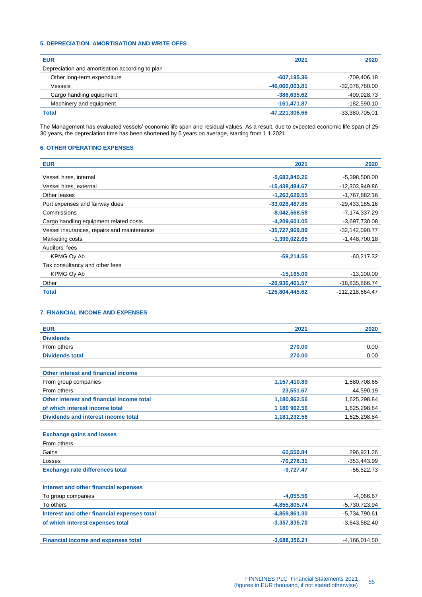# <span id="page-54-0"></span>**5. DEPRECIATION, AMORTISATION AND WRITE OFFS**

| <b>EUR</b>                                      | 2021           | 2020           |
|-------------------------------------------------|----------------|----------------|
| Depreciation and amortisation according to plan |                |                |
| Other long-term expenditure                     | $-607, 195.36$ | -709,406.18    |
| Vessels                                         | -46,066,003.81 | -32,078,780.00 |
| Cargo handling equipment                        | $-386,635.62$  | -409,928.73    |
| Machinery and equipment                         | $-161.471.87$  | $-182,590.10$  |
| <b>Total</b>                                    | -47,221,306.66 | -33,380,705,01 |
|                                                 |                |                |

The Management has evaluated vessels' economic life span and residual values. As a result, due to expected economic life span of 25– 30 years, the depreciation time has been shortened by 5 years on average, starting from 1.1.2021.

# <span id="page-54-1"></span>**6. OTHER OPERATING EXPENSES**

| <b>EUR</b>                                 | 2021             | 2020             |
|--------------------------------------------|------------------|------------------|
| Vessel hires, internal                     | $-5,683,840.26$  | $-5,398,500.00$  |
| Vessel hires, external                     | $-15,438,484.67$ | -12,303,949.86   |
| Other leases                               | $-1,263,629.55$  | $-1,767,882.16$  |
| Port expenses and fairway dues             | $-33,028,487.85$ | $-29,433,185.16$ |
| Commissions                                | $-8,042,568.58$  | $-7,174,337.29$  |
| Cargo handling equipment related costs     | $-4,209,601.05$  | $-3,697,730.08$  |
| Vessel insurances, repairs and maintenance | -35,727,969.89   | $-32,142,090.77$ |
| Marketing costs                            | $-1,399,022.65$  | $-1,448,700.18$  |
| Auditors' fees                             |                  |                  |
| KPMG Oy Ab                                 | $-59,214.55$     | $-60.217.32$     |
| Tax consultancy and other fees             |                  |                  |
| KPMG Ov Ab                                 | $-15,165.00$     | $-13,100.00$     |
| Other                                      | $-20,936,461.57$ | -18,835,866.74   |
| <b>Total</b>                               | -125,804,445.62  | -112,218,664.47  |

# <span id="page-54-2"></span>**7. FINANCIAL INCOME AND EXPENSES**

| <b>EUR</b>                                  | 2021            | 2020            |
|---------------------------------------------|-----------------|-----------------|
| <b>Dividends</b>                            |                 |                 |
| From others                                 | 270.00          | 0.00            |
| <b>Dividends total</b>                      | 270.00          | 0.00            |
|                                             |                 |                 |
| Other interest and financial income         |                 |                 |
| From group companies                        | 1,157,410.89    | 1,580,708.65    |
| From others                                 | 23,551.67       | 44,590.19       |
| Other interest and financial income total   | 1,180,962.56    | 1,625,298.84    |
| of which interest income total              | 1 180 962.56    | 1,625,298.84    |
| Dividends and interest income total         | 1,181,232.56    | 1,625,298.84    |
|                                             |                 |                 |
| <b>Exchange gains and losses</b>            |                 |                 |
| From others                                 |                 |                 |
| Gains                                       | 60,550.84       | 296,921.26      |
| Losses                                      | $-70,278.31$    | $-353,443.99$   |
| <b>Exchange rate differences total</b>      | $-9,727.47$     | $-56,522.73$    |
|                                             |                 |                 |
| Interest and other financial expenses       |                 |                 |
| To group companies                          | $-4,055.56$     | $-4,066.67$     |
| To others                                   | $-4,855,805.74$ | $-5,730,723.94$ |
| Interest and other financial expenses total | -4,859,861.30   | $-5,734,790.61$ |
| of which interest expenses total            | $-3,357,835.70$ | $-3,643,582.40$ |
|                                             |                 |                 |
| <b>Financial income and expenses total</b>  | $-3,688,356.21$ | $-4,166,014.50$ |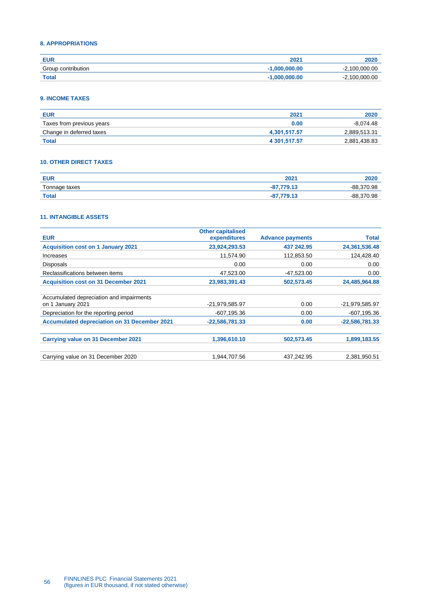# <span id="page-55-0"></span>**8. APPROPRIATIONS**

| EUR                | 2021            | 2020                   |
|--------------------|-----------------|------------------------|
| Group contribution | $-1.000,000,00$ | $-2.100.000.00$<br>- 1 |
| <b>Total</b>       | $-1.000.000.00$ | $-2,100,000.00$        |

# <span id="page-55-1"></span>**9. INCOME TAXES**

| <b>EUR</b>                | 2021         | 2020         |
|---------------------------|--------------|--------------|
| Taxes from previous years | 0.00         | $-8.074.48$  |
| Change in deferred taxes  | 4.301.517.57 | 2,889,513.31 |
| <b>Total</b>              | 4 301.517.57 | 2,881,438.83 |

# <span id="page-55-2"></span>**10. OTHER DIRECT TAXES**

| <b>EUR</b>                                         | 2021   | ZUZU          |
|----------------------------------------------------|--------|---------------|
| Tonnage taxes<br>the control of the control of the | 770.42 | 370.98<br>-88 |
| <b>Total</b>                                       | 770.42 | 370.98<br>-88 |

# <span id="page-55-3"></span>**11. INTANGIBLE ASSETS**

| <b>Other capitalised</b> |                         |                  |
|--------------------------|-------------------------|------------------|
| expenditures             | <b>Advance payments</b> | Total            |
| 23,924,293.53            | 437 242.95              | 24,361,536.48    |
| 11,574.90                | 112,853.50              | 124,428.40       |
| 0.00                     | 0.00                    | 0.00             |
| 47,523.00                | -47,523.00              | 0.00             |
| 23,983,391.43            | 502,573.45              | 24,485,964.88    |
|                          |                         |                  |
|                          |                         |                  |
| $-21,979,585.97$         | 0.00                    | -21,979,585.97   |
| -607,195.36              | 0.00                    | $-607, 195.36$   |
| $-22,586,781.33$         | 0.00                    | $-22,586,781.33$ |
|                          |                         |                  |
| 1,396,610.10             | 502,573.45              | 1,899,183.55     |
|                          |                         |                  |
| 1.944.707.56             | 437.242.95              | 2,381,950.51     |
|                          |                         |                  |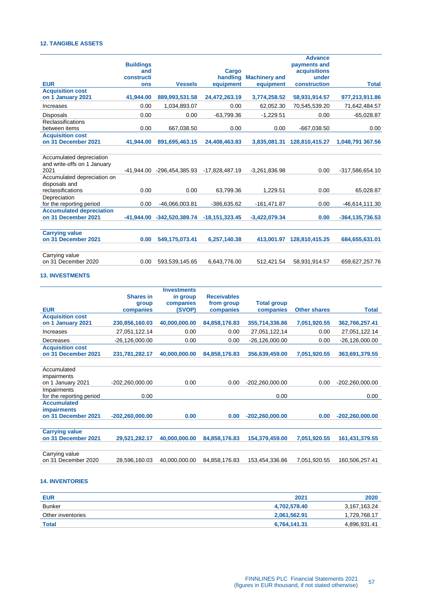# <span id="page-56-0"></span>**12. TANGIBLE ASSETS**

|                                 |                   |                   |                   |                      | <b>Advance</b>        |                     |
|---------------------------------|-------------------|-------------------|-------------------|----------------------|-----------------------|---------------------|
|                                 | <b>Buildings</b>  |                   |                   |                      | payments and          |                     |
|                                 | and<br>constructi |                   | Cargo<br>handling | <b>Machinery and</b> | acquisitions<br>under |                     |
| <b>EUR</b>                      | ons               | <b>Vessels</b>    | equipment         | equipment            | construction          | <b>Total</b>        |
| <b>Acquisition cost</b>         |                   |                   |                   |                      |                       |                     |
| on 1 January 2021               | 41.944.00         | 889,993,531.58    | 24,472,263.19     | 3,774,258.52         | 58,931,914.57         | 977,213,911.86      |
| Increases                       | 0.00              | 1,034,893.07      | 0.00              | 62,052.30            | 70,545,539.20         | 71,642,484.57       |
| <b>Disposals</b>                | 0.00              | 0.00              | $-63,799.36$      | $-1,229.51$          | 0.00                  | $-65,028.87$        |
| <b>Reclassifications</b>        |                   |                   |                   |                      |                       |                     |
| between items                   | 0.00              | 667,038.50        | 0.00              | 0.00                 | $-667,038.50$         | 0.00                |
| <b>Acquisition cost</b>         |                   |                   |                   |                      |                       |                     |
| on 31 December 2021             | 41.944.00         | 891,695,463.15    | 24,408,463.83     | 3.835.081.31         | 128,810,415.27        | 1,048,791 367.56    |
|                                 |                   |                   |                   |                      |                       |                     |
| Accumulated depreciation        |                   |                   |                   |                      |                       |                     |
| and write-offs on 1 January     |                   |                   |                   |                      |                       |                     |
| 2021                            | -41.944.00        | -296,454,385.93   | $-17,828,487.19$  | $-3,261,836.98$      | 0.00                  | -317,586,654.10     |
| Accumulated depreciation on     |                   |                   |                   |                      |                       |                     |
| disposals and                   |                   |                   |                   |                      |                       |                     |
| reclassifications               | 0.00              | 0.00              | 63,799.36         | 1.229.51             | 0.00                  | 65,028.87           |
| Depreciation                    |                   |                   |                   |                      |                       |                     |
| for the reporting period        | 0.00              | -46,066,003.81    | -386,635.62       | $-161,471.87$        | 0.00                  | -46,614,111.30      |
| <b>Accumulated depreciation</b> |                   |                   |                   |                      |                       |                     |
| on 31 December 2021             | -41.944.00        | $-342,520,389.74$ | $-18,151,323.45$  | $-3,422,079.34$      | 0.00                  | $-364, 135, 736.53$ |
|                                 |                   |                   |                   |                      |                       |                     |
| <b>Carrying value</b>           |                   |                   |                   |                      |                       |                     |
| on 31 December 2021             | 0.00              | 549,175,073.41    | 6,257,140.38      | 413,001.97           | 128,810,415.25        | 684,655,631.01      |
|                                 |                   |                   |                   |                      |                       |                     |
| Carrying value                  |                   |                   |                   |                      |                       |                     |
| on 31 December 2020             | 0.00              | 593,539,145.65    | 6,643,776.00      | 512,421.54           | 58,931,914.57         | 659,627,257.76      |

# <span id="page-56-1"></span>**13. INVESTMENTS**

|                          |                   | <b>Investments</b> |                    |                    |                     |                   |
|--------------------------|-------------------|--------------------|--------------------|--------------------|---------------------|-------------------|
|                          | <b>Shares in</b>  | in group           | <b>Receivables</b> |                    |                     |                   |
|                          | group             | companies          | from group         | <b>Total group</b> |                     |                   |
| <b>EUR</b>               | companies         | (SVOP)             | companies          | companies          | <b>Other shares</b> | <b>Total</b>      |
| <b>Acquisition cost</b>  |                   |                    |                    |                    |                     |                   |
| on 1 January 2021        | 230,856,160.03    | 40,000,000.00      | 84,858,176.83      | 355,714,336.86     | 7,051,920.55        | 362,766,257.41    |
| Increases                | 27,051,122.14     | 0.00               | 0.00               | 27,051,122,14      | 0.00                | 27,051,122.14     |
| Decreases                | $-26,126,000.00$  | 0.00               | 0.00               | $-26,126,000.00$   | 0.00                | $-26,126,000.00$  |
| <b>Acquisition cost</b>  |                   |                    |                    |                    |                     |                   |
| on 31 December 2021      | 231,781,282.17    | 40,000,000.00      | 84,858,176.83      | 356,639,459.00     | 7,051,920.55        | 363,691,379.55    |
|                          |                   |                    |                    |                    |                     |                   |
| Accumulated              |                   |                    |                    |                    |                     |                   |
| impairments              |                   |                    |                    |                    |                     |                   |
| on 1 January 2021        | $-202,260,000.00$ | 0.00               | 0.00               | $-202,260,000.00$  | 0.00                | $-202,260,000.00$ |
| Impairments              |                   |                    |                    |                    |                     |                   |
| for the reporting period | 0.00              |                    |                    | 0.00               |                     | 0.00              |
| <b>Accumulated</b>       |                   |                    |                    |                    |                     |                   |
| <b>impairments</b>       |                   |                    |                    |                    |                     |                   |
| on 31 December 2021      | $-202,260,000.00$ | 0.00               | 0.00               | $-202,260,000.00$  | 0.00                | $-202,260,000.00$ |
|                          |                   |                    |                    |                    |                     |                   |
| <b>Carrying value</b>    |                   |                    |                    |                    |                     |                   |
| on 31 December 2021      | 29,521,282.17     | 40,000,000.00      | 84,858,176.83      | 154,379,459.00     | 7,051,920.55        | 161,431,379.55    |
|                          |                   |                    |                    |                    |                     |                   |
| Carrying value           |                   |                    |                    |                    |                     |                   |
| on 31 December 2020      | 28,596,160.03     | 40,000,000.00      | 84,858,176.83      | 153,454,336.86     | 7,051,920.55        | 160,506,257.41    |
|                          |                   |                    |                    |                    |                     |                   |

# <span id="page-56-2"></span>**14. INVENTORIES**

| <b>EUR</b>        | 2021         | 2020         |
|-------------------|--------------|--------------|
| Bunker            | 4.702.578.40 | 3,167,163.24 |
| Other inventories | 2.061.562.91 | 1,729,768.17 |
| <b>Total</b>      | 6.764.141.31 | 4.896.931.41 |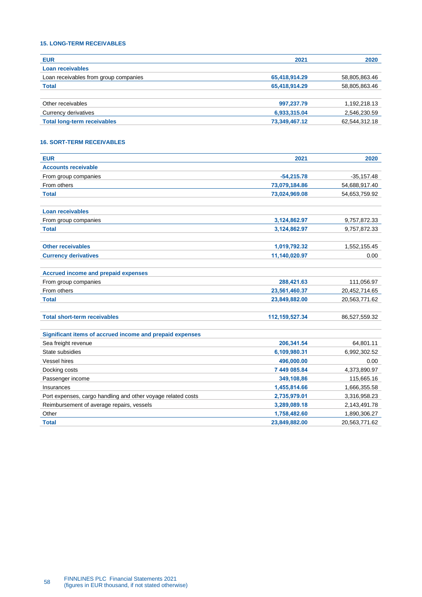# <span id="page-57-0"></span>**15. LONG-TERM RECEIVABLES**

| <b>EUR</b>                            | 2021          | 2020          |
|---------------------------------------|---------------|---------------|
| Loan receivables                      |               |               |
| Loan receivables from group companies | 65,418,914.29 | 58,805,863.46 |
| <b>Total</b>                          | 65,418,914.29 | 58,805,863.46 |
|                                       |               |               |
| Other receivables                     | 997,237.79    | 1,192,218.13  |
| Currency derivatives                  | 6,933,315.04  | 2,546,230.59  |
| <b>Total long-term receivables</b>    | 73,349,467.12 | 62,544,312.18 |

# <span id="page-57-1"></span>**16. SORT-TERM RECEIVABLES**

| <b>EUR</b>                                                   | 2021             | 2020          |
|--------------------------------------------------------------|------------------|---------------|
| <b>Accounts receivable</b>                                   |                  |               |
| From group companies                                         | $-54,215.78$     | $-35,157.48$  |
| From others                                                  | 73,079,184.86    | 54,688,917.40 |
| <b>Total</b>                                                 | 73,024,969.08    | 54,653,759.92 |
| <b>Loan receivables</b>                                      |                  |               |
| From group companies                                         | 3,124,862.97     | 9,757,872.33  |
| <b>Total</b>                                                 | 3,124,862.97     | 9,757,872.33  |
| <b>Other receivables</b>                                     | 1,019,792.32     | 1,552,155.45  |
| <b>Currency derivatives</b>                                  | 11,140,020.97    | 0.00          |
| <b>Accrued income and prepaid expenses</b>                   |                  |               |
| From group companies                                         | 288,421.63       | 111,056.97    |
| From others                                                  | 23,561,460.37    | 20,452,714.65 |
| <b>Total</b>                                                 | 23,849,882.00    | 20,563,771.62 |
| <b>Total short-term receivables</b>                          | 112, 159, 527.34 | 86,527,559.32 |
| Significant items of accrued income and prepaid expenses     |                  |               |
| Sea freight revenue                                          | 206,341.54       | 64,801.11     |
| State subsidies                                              | 6,109,980.31     | 6,992,302.52  |
| <b>Vessel hires</b>                                          | 496,000.00       | 0.00          |
| Docking costs                                                | 7 449 085.84     | 4,373,890.97  |
| Passenger income                                             | 349,108,86       | 115,665.16    |
| Insurances                                                   | 1,455,814.66     | 1,666,355.58  |
| Port expenses, cargo handling and other voyage related costs | 2,735,979.01     | 3,316,958.23  |
| Reimbursement of average repairs, vessels                    | 3,289,089.18     | 2,143,491.78  |
| Other                                                        | 1,758,482.60     | 1,890,306.27  |
| <b>Total</b>                                                 | 23,849,882.00    | 20,563,771.62 |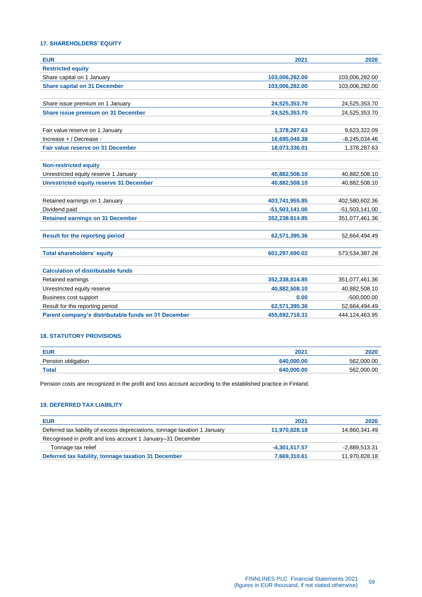# <span id="page-58-0"></span>**17. SHAREHOLDERS' EQUITY**

| <b>EUR</b>                                          | 2021             | 2020             |
|-----------------------------------------------------|------------------|------------------|
| <b>Restricted equity</b>                            |                  |                  |
| Share capital on 1 January                          | 103,006,282.00   | 103,006,282.00   |
| <b>Share capital on 31 December</b>                 | 103,006,282.00   | 103,006,282.00   |
|                                                     |                  |                  |
| Share issue premium on 1 January                    | 24,525,353.70    | 24,525,353.70    |
| Share issue premium on 31 December                  | 24,525,353.70    | 24,525,353.70    |
|                                                     |                  |                  |
| Fair value reserve on 1 January                     | 1,378,287.63     | 9,623,322.09     |
| Increase + / Decrease -                             | 16,695,048.38    | $-8,245,034.46$  |
| Fair value reserve on 31 December                   | 18,073,336.01    | 1,378,287.63     |
|                                                     |                  |                  |
| <b>Non-restricted equity</b>                        |                  |                  |
| Unrestricted equity reserve 1 January               | 40,882,508.10    | 40,882,508.10    |
| <b>Unrestricted equity reserve 31 December</b>      | 40,882,508.10    | 40,882,508.10    |
|                                                     |                  |                  |
| Retained earnings on 1 January                      | 403,741,955.85   | 402,580,602.36   |
| Dividend paid                                       | $-51,503,141.00$ | $-51,503,141.00$ |
| <b>Retained earnings on 31 December</b>             | 352,238.814.85   | 351,077,461.36   |
|                                                     |                  |                  |
| <b>Result for the reporting period</b>              | 62,571,395.36    | 52,664,494.49    |
|                                                     |                  |                  |
| <b>Total shareholders' equity</b>                   | 601,297,690.02   | 573,534,387.28   |
|                                                     |                  |                  |
| <b>Calculation of distributable funds</b>           |                  |                  |
| Retained earnings                                   | 352,238,814.85   | 351,077,461.36   |
| Unrestricted equity reserve                         | 40,882,508.10    | 40,882,508.10    |
| Business cost support                               | 0.00             | $-500,000.00$    |
| Result for the reporting period                     | 62,571,395.36    | 52,664,494.49    |
| Parent company's distributable funds on 31 December | 455,692,718.31   | 444.124.463.95   |

# <span id="page-58-1"></span>**18. STATUTORY PROVISIONS**

| <b>EUR</b>         | 2021       | 2020           |
|--------------------|------------|----------------|
| Pension obligation | 640,000,00 | 562.000<br>.OC |
| <b>Total</b>       | 640,000,00 | 562,000<br>.OC |

Pension costs are recognized in the profit and loss account according to the established practice in Finland.

### <span id="page-58-2"></span>**19. DEFERRED TAX LIABILITY**

| <b>EUR</b>                                                                 | 2021            | 2020            |
|----------------------------------------------------------------------------|-----------------|-----------------|
| Deferred tax liability of excess depreciations, tonnage taxation 1 January | 11,970,828.18   | 14,860,341.49   |
| Recognised in profit and loss account 1 January–31 December                |                 |                 |
| Tonnage tax relief                                                         | $-4.301.517.57$ | $-2.889.513.31$ |
| Deferred tax liability, tonnage taxation 31 December                       | 7,669,310.61    | 11,970,828.18   |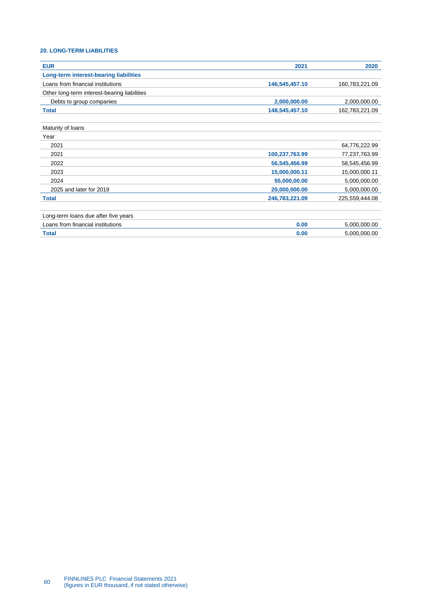# <span id="page-59-0"></span>**20. LONG-TERM LIABILITIES**

| <b>EUR</b>                                   | 2021           | 2020           |
|----------------------------------------------|----------------|----------------|
| Long-term interest-bearing liabilities       |                |                |
| Loans from financial institutions            | 146,545,457.10 | 160,783,221.09 |
| Other long-term interest-bearing liabilities |                |                |
| Debts to group companies                     | 2,000,000.00   | 2,000,000.00   |
| <b>Total</b>                                 | 148,545,457.10 | 162,783,221.09 |
| Maturity of Ioans                            |                |                |
| Year                                         |                |                |
| 2021                                         |                | 64,776,222.99  |
| 2021                                         | 100,237,763.99 | 77,237,763.99  |
| 2022                                         | 56,545,456.99  | 58,545,456.99  |
| 2023                                         | 15,000,000.11  | 15,000,000.11  |
| 2024                                         | 55,000,00.00   | 5,000,000.00   |
| 2025 and later for 2019                      | 20,000,000.00  | 5,000,000.00   |
| <b>Total</b>                                 | 246,783,221.09 | 225,559,444.08 |
| Long-term loans due after five years         |                |                |
| Loans from financial institutions            | 0.00           | 5,000,000.00   |
| <b>Total</b>                                 | 0.00           | 5,000,000.00   |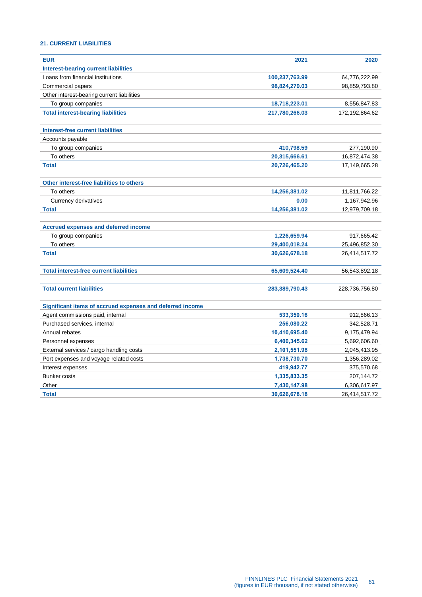# <span id="page-60-0"></span>**21. CURRENT LIABILITIES**

| <b>EUR</b>                                                | 2021           | 2020           |
|-----------------------------------------------------------|----------------|----------------|
| <b>Interest-bearing current liabilities</b>               |                |                |
| Loans from financial institutions                         | 100,237,763.99 | 64,776,222.99  |
| Commercial papers                                         | 98,824,279.03  | 98,859,793.80  |
| Other interest-bearing current liabilities                |                |                |
| To group companies                                        | 18,718,223.01  | 8,556,847.83   |
| <b>Total interest-bearing liabilities</b>                 | 217,780,266.03 | 172,192,864.62 |
| <b>Interest-free current liabilities</b>                  |                |                |
| Accounts payable                                          |                |                |
| To group companies                                        | 410,798.59     | 277,190.90     |
| To others                                                 | 20,315,666.61  | 16,872,474.38  |
| <b>Total</b>                                              | 20,726,465.20  | 17,149,665.28  |
| Other interest-free liabilities to others                 |                |                |
| To others                                                 | 14,256,381.02  | 11,811,766.22  |
| Currency derivatives                                      | 0.00           | 1,167,942.96   |
| <b>Total</b>                                              | 14,256,381.02  | 12,979,709.18  |
| <b>Accrued expenses and deferred income</b>               |                |                |
| To group companies                                        | 1,226,659.94   | 917,665.42     |
| To others                                                 | 29,400,018.24  | 25,496,852.30  |
| <b>Total</b>                                              | 30,626,678.18  | 26,414,517.72  |
| <b>Total interest-free current liabilities</b>            | 65,609,524.40  | 56,543,892.18  |
|                                                           |                |                |
| <b>Total current liabilities</b>                          | 283,389,790.43 | 228,736,756.80 |
| Significant items of accrued expenses and deferred income |                |                |
| Agent commissions paid, internal                          | 533,350.16     | 912,866.13     |
| Purchased services, internal                              | 256,080.22     | 342,528.71     |
| Annual rebates                                            | 10,410,695.40  | 9,175,479.94   |
| Personnel expenses                                        | 6,400,345.62   | 5,692,606.60   |
| External services / cargo handling costs                  | 2,101,551.98   | 2,045,413.95   |
| Port expenses and voyage related costs                    | 1,738,730.70   | 1,356,289.02   |
| Interest expenses                                         | 419,942.77     | 375,570.68     |
| <b>Bunker costs</b>                                       | 1,335,833.35   | 207,144.72     |
| Other                                                     | 7,430,147.98   | 6,306,617.97   |
| <b>Total</b>                                              | 30,626,678.18  | 26,414,517.72  |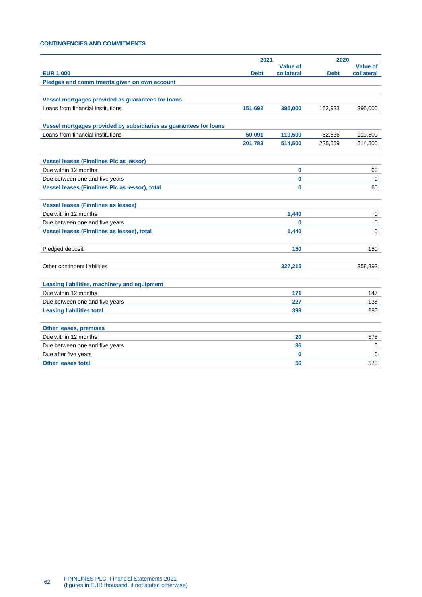# <span id="page-61-0"></span>**CONTINGENCIES AND COMMITMENTS**

|                                                                   | 2021        |                 | 2020        |                 |
|-------------------------------------------------------------------|-------------|-----------------|-------------|-----------------|
|                                                                   |             | <b>Value of</b> |             | <b>Value of</b> |
| <b>EUR 1,000</b>                                                  | <b>Debt</b> | collateral      | <b>Debt</b> | collateral      |
| Pledges and commitments given on own account                      |             |                 |             |                 |
|                                                                   |             |                 |             |                 |
| Vessel mortgages provided as guarantees for loans                 |             |                 |             |                 |
| Loans from financial institutions                                 | 151,692     | 395,000         | 162,923     | 395,000         |
| Vessel mortgages provided by subsidiaries as guarantees for loans |             |                 |             |                 |
| Loans from financial institutions                                 | 50,091      | 119,500         | 62,636      | 119,500         |
|                                                                   | 201,783     | 514,500         | 225,559     | 514,500         |
|                                                                   |             |                 |             |                 |
| <b>Vessel leases (Finnlines Plc as lessor)</b>                    |             |                 |             |                 |
| Due within 12 months                                              |             | $\bf{0}$        |             | 60              |
| Due between one and five years                                    |             | $\bf{0}$        |             | $\mathbf 0$     |
| Vessel leases (Finnlines Plc as lessor), total                    |             | $\bf{0}$        |             | 60              |
|                                                                   |             |                 |             |                 |
| <b>Vessel leases (Finnlines as lessee)</b>                        |             |                 |             |                 |
| Due within 12 months                                              |             | 1,440           |             | 0               |
| Due between one and five years                                    |             | $\bf{0}$        |             | 0               |
| Vessel leases (Finnlines as lessee), total                        |             | 1,440           |             | 0               |
|                                                                   |             |                 |             |                 |
| Pledged deposit                                                   |             | 150             |             | 150             |
|                                                                   |             |                 |             |                 |
| Other contingent liabilities                                      |             | 327,215         |             | 358,893         |
|                                                                   |             |                 |             |                 |
| Leasing liabilities, machinery and equipment                      |             |                 |             |                 |
| Due within 12 months                                              |             | 171             |             | 147             |
| Due between one and five years                                    |             | 227             |             | 138             |
| <b>Leasing liabilities total</b>                                  |             | 398             |             | 285             |
|                                                                   |             |                 |             |                 |
| <b>Other leases, premises</b>                                     |             |                 |             |                 |
| Due within 12 months                                              |             | 20              |             | 575             |
| Due between one and five years                                    |             | 36              |             | 0               |
| Due after five years                                              |             | $\bf{0}$        |             | 0               |
| <b>Other leases total</b>                                         |             | 56              |             | 575             |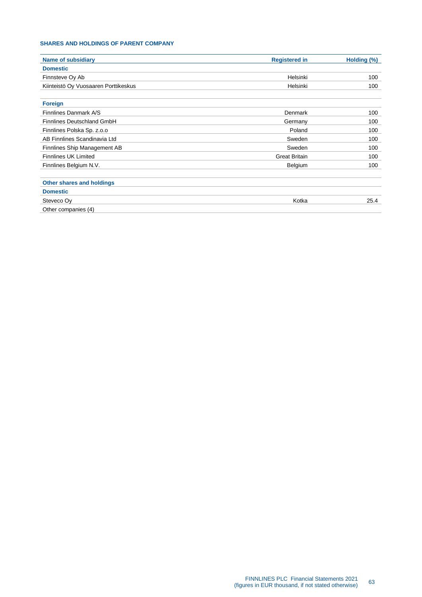# <span id="page-62-0"></span>**SHARES AND HOLDINGS OF PARENT COMPANY**

| <b>Name of subsidiary</b>            | <b>Registered in</b> | Holding (%) |
|--------------------------------------|----------------------|-------------|
| <b>Domestic</b>                      |                      |             |
| Finnsteve Oy Ab                      | Helsinki             | 100         |
| Kiinteistö Oy Vuosaaren Porttikeskus | Helsinki             | 100         |
| <b>Foreign</b>                       |                      |             |
| Finnlines Danmark A/S                | Denmark              | 100         |
| Finnlines Deutschland GmbH           | Germany              | 100         |
| Finnlines Polska Sp. z.o.o           | Poland               | 100         |
| AB Finnlines Scandinavia Ltd         | Sweden               | 100         |
| Finnlines Ship Management AB         | Sweden               | 100         |
| <b>Finnlines UK Limited</b>          | <b>Great Britain</b> | 100         |
| Finnlines Belgium N.V.               | Belgium              | 100         |
| Other shares and holdings            |                      |             |
| <b>Domestic</b>                      |                      |             |
| Steveco Oy                           | Kotka                | 25.4        |
| Other companies (4)                  |                      |             |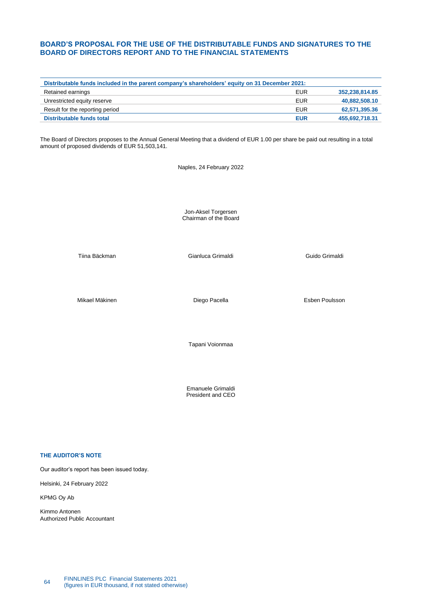# <span id="page-63-0"></span>**BOARD'S PROPOSAL FOR THE USE OF THE DISTRIBUTABLE FUNDS AND SIGNATURES TO THE BOARD OF DIRECTORS REPORT AND TO THE FINANCIAL STATEMENTS**

| Distributable funds included in the parent company's shareholders' equity on 31 December 2021: |            |                |  |  |
|------------------------------------------------------------------------------------------------|------------|----------------|--|--|
| Retained earnings                                                                              | <b>EUR</b> | 352,238,814.85 |  |  |
| Unrestricted equity reserve                                                                    | <b>EUR</b> | 40,882,508.10  |  |  |
| Result for the reporting period                                                                | <b>EUR</b> | 62,571,395.36  |  |  |
| Distributable funds total                                                                      | <b>EUR</b> | 455,692,718.31 |  |  |
|                                                                                                |            |                |  |  |

The Board of Directors proposes to the Annual General Meeting that a dividend of EUR 1.00 per share be paid out resulting in a total amount of proposed dividends of EUR 51,503,141.

Naples, 24 February 2022

Jon-Aksel Torgersen Chairman of the Board

Tiina Bäckman Gianluca Grimaldi Guido Grimaldi

Mikael Mäkinen **Diego Pacella** Esben Poulsson

Tapani Voionmaa

Emanuele Grimaldi President and CEO

# **THE AUDITOR'S NOTE**

Our auditor's report has been issued today.

Helsinki, 24 February 2022

KPMG Oy Ab

Kimmo Antonen Authorized Public Accountant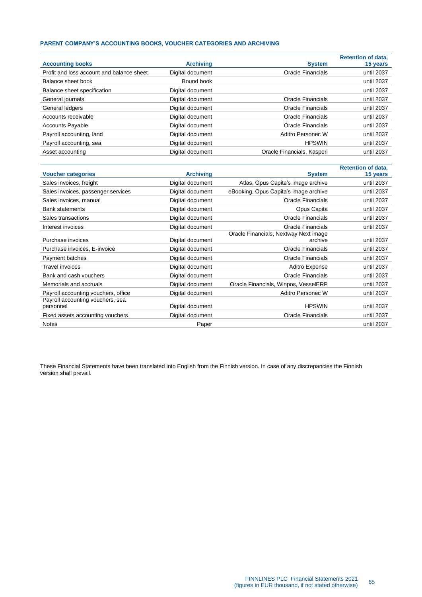# **PARENT COMPANY'S ACCOUNTING BOOKS, VOUCHER CATEGORIES AND ARCHIVING**

| <b>Accounting books</b>                   | <b>Archiving</b> | <b>System</b>              | <b>Retention of data.</b><br>15 years |
|-------------------------------------------|------------------|----------------------------|---------------------------------------|
| Profit and loss account and balance sheet | Digital document | <b>Oracle Financials</b>   | until 2037                            |
| Balance sheet book                        | Bound book       |                            | until 2037                            |
| Balance sheet specification               | Digital document |                            | until 2037                            |
| General journals                          | Digital document | Oracle Financials          | until 2037                            |
| General ledgers                           | Digital document | Oracle Financials          | until 2037                            |
| Accounts receivable                       | Digital document | Oracle Financials          | until 2037                            |
| <b>Accounts Payable</b>                   | Digital document | Oracle Financials          | until 2037                            |
| Payroll accounting, land                  | Digital document | Aditro Personec W          | until 2037                            |
| Payroll accounting, sea                   | Digital document | <b>HPSWIN</b>              | until 2037                            |
| Asset accounting                          | Digital document | Oracle Financials, Kasperi | until 2037                            |

|                                     |                  |                                       | <b>Retention of data,</b> |
|-------------------------------------|------------------|---------------------------------------|---------------------------|
| <b>Voucher categories</b>           | <b>Archiving</b> | <b>System</b>                         | 15 years                  |
| Sales invoices, freight             | Digital document | Atlas, Opus Capita's image archive    | until 2037                |
| Sales invoices, passenger services  | Digital document | eBooking, Opus Capita's image archive | until 2037                |
| Sales invoices, manual              | Digital document | Oracle Financials                     | until 2037                |
| <b>Bank statements</b>              | Digital document | Opus Capita                           | until 2037                |
| Sales transactions                  | Digital document | <b>Oracle Financials</b>              | until 2037                |
| Interest invoices                   | Digital document | Oracle Financials                     | until 2037                |
|                                     |                  | Oracle Financials, Nextway Next image |                           |
| Purchase invoices                   | Digital document | archive                               | until 2037                |
| Purchase invoices, E-invoice        | Digital document | <b>Oracle Financials</b>              | until 2037                |
| Payment batches                     | Digital document | <b>Oracle Financials</b>              | until 2037                |
| Travel invoices                     | Digital document | Aditro Expense                        | until 2037                |
| Bank and cash vouchers              | Digital document | <b>Oracle Financials</b>              | until 2037                |
| Memorials and accruals              | Digital document | Oracle Financials, Winpos, VesselERP  | until 2037                |
| Payroll accounting vouchers, office | Digital document | Aditro Personec W                     | until 2037                |
| Payroll accounting vouchers, sea    |                  |                                       |                           |
| personnel                           | Digital document | <b>HPSWIN</b>                         | until 2037                |
| Fixed assets accounting vouchers    | Digital document | <b>Oracle Financials</b>              | until 2037                |
| <b>Notes</b>                        | Paper            |                                       | until 2037                |

These Financial Statements have been translated into English from the Finnish version. In case of any discrepancies the Finnish version shall prevail.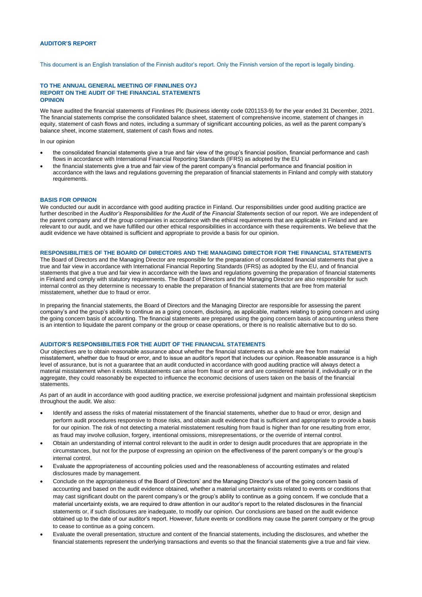### <span id="page-65-0"></span>**AUDITOR'S REPORT**

This document is an English translation of the Finnish auditor's report. Only the Finnish version of the report is legally binding.

#### **TO THE ANNUAL GENERAL MEETING OF FINNLINES OYJ REPORT ON THE AUDIT OF THE FINANCIAL STATEMENTS OPINION**

We have audited the financial statements of Finnlines Plc (business identity code 0201153-9) for the year ended 31 December, 2021. The financial statements comprise the consolidated balance sheet, statement of comprehensive income, statement of changes in equity, statement of cash flows and notes, including a summary of significant accounting policies, as well as the parent company's balance sheet, income statement, statement of cash flows and notes.

In our opinion

- the consolidated financial statements give a true and fair view of the group's financial position, financial performance and cash flows in accordance with International Financial Reporting Standards (IFRS) as adopted by the EU
- the financial statements give a true and fair view of the parent company's financial performance and financial position in accordance with the laws and regulations governing the preparation of financial statements in Finland and comply with statutory requirements.

#### **BASIS FOR OPINION**

We conducted our audit in accordance with good auditing practice in Finland. Our responsibilities under good auditing practice are further described in the *Auditor's Responsibilities for the Audit of the Financial Statements* section of our report. We are independent of the parent company and of the group companies in accordance with the ethical requirements that are applicable in Finland and are relevant to our audit, and we have fulfilled our other ethical responsibilities in accordance with these requirements. We believe that the audit evidence we have obtained is sufficient and appropriate to provide a basis for our opinion.

#### **RESPONSIBILITIES OF THE BOARD OF DIRECTORS AND THE MANAGING DIRECTOR FOR THE FINANCIAL STATEMENTS**

The Board of Directors and the Managing Director are responsible for the preparation of consolidated financial statements that give a true and fair view in accordance with International Financial Reporting Standards (IFRS) as adopted by the EU, and of financial statements that give a true and fair view in accordance with the laws and regulations governing the preparation of financial statements in Finland and comply with statutory requirements. The Board of Directors and the Managing Director are also responsible for such internal control as they determine is necessary to enable the preparation of financial statements that are free from material misstatement, whether due to fraud or error.

In preparing the financial statements, the Board of Directors and the Managing Director are responsible for assessing the parent company's and the group's ability to continue as a going concern, disclosing, as applicable, matters relating to going concern and using the going concern basis of accounting. The financial statements are prepared using the going concern basis of accounting unless there is an intention to liquidate the parent company or the group or cease operations, or there is no realistic alternative but to do so.

### **AUDITOR'S RESPONSIBILITIES FOR THE AUDIT OF THE FINANCIAL STATEMENTS**

Our objectives are to obtain reasonable assurance about whether the financial statements as a whole are free from material misstatement, whether due to fraud or error, and to issue an auditor's report that includes our opinion. Reasonable assurance is a high level of assurance, but is not a guarantee that an audit conducted in accordance with good auditing practice will always detect a material misstatement when it exists. Misstatements can arise from fraud or error and are considered material if, individually or in the aggregate, they could reasonably be expected to influence the economic decisions of users taken on the basis of the financial statements.

As part of an audit in accordance with good auditing practice, we exercise professional judgment and maintain professional skepticism throughout the audit. We also:

- Identify and assess the risks of material misstatement of the financial statements, whether due to fraud or error, design and perform audit procedures responsive to those risks, and obtain audit evidence that is sufficient and appropriate to provide a basis for our opinion. The risk of not detecting a material misstatement resulting from fraud is higher than for one resulting from error, as fraud may involve collusion, forgery, intentional omissions, misrepresentations, or the override of internal control.
- Obtain an understanding of internal control relevant to the audit in order to design audit procedures that are appropriate in the circumstances, but not for the purpose of expressing an opinion on the effectiveness of the parent company's or the group's internal control.
- Evaluate the appropriateness of accounting policies used and the reasonableness of accounting estimates and related disclosures made by management.
- Conclude on the appropriateness of the Board of Directors' and the Managing Director's use of the going concern basis of accounting and based on the audit evidence obtained, whether a material uncertainty exists related to events or conditions that may cast significant doubt on the parent company's or the group's ability to continue as a going concern. If we conclude that a material uncertainty exists, we are required to draw attention in our auditor's report to the related disclosures in the financial statements or, if such disclosures are inadequate, to modify our opinion. Our conclusions are based on the audit evidence obtained up to the date of our auditor's report. However, future events or conditions may cause the parent company or the group to cease to continue as a going concern.
- Evaluate the overall presentation, structure and content of the financial statements, including the disclosures, and whether the financial statements represent the underlying transactions and events so that the financial statements give a true and fair view.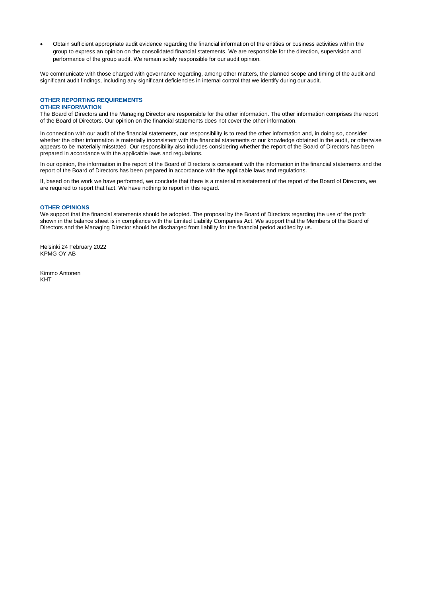• Obtain sufficient appropriate audit evidence regarding the financial information of the entities or business activities within the group to express an opinion on the consolidated financial statements. We are responsible for the direction, supervision and performance of the group audit. We remain solely responsible for our audit opinion.

We communicate with those charged with governance regarding, among other matters, the planned scope and timing of the audit and significant audit findings, including any significant deficiencies in internal control that we identify during our audit.

#### **OTHER REPORTING REQUIREMENTS OTHER INFORMATION**

The Board of Directors and the Managing Director are responsible for the other information. The other information comprises the report of the Board of Directors. Our opinion on the financial statements does not cover the other information.

In connection with our audit of the financial statements, our responsibility is to read the other information and, in doing so, consider whether the other information is materially inconsistent with the financial statements or our knowledge obtained in the audit, or otherwise appears to be materially misstated. Our responsibility also includes considering whether the report of the Board of Directors has been prepared in accordance with the applicable laws and regulations.

In our opinion, the information in the report of the Board of Directors is consistent with the information in the financial statements and the report of the Board of Directors has been prepared in accordance with the applicable laws and regulations.

If, based on the work we have performed, we conclude that there is a material misstatement of the report of the Board of Directors, we are required to report that fact. We have nothing to report in this regard.

### **OTHER OPINIONS**

We support that the financial statements should be adopted. The proposal by the Board of Directors regarding the use of the profit shown in the balance sheet is in compliance with the Limited Liability Companies Act. We support that the Members of the Board of Directors and the Managing Director should be discharged from liability for the financial period audited by us.

Helsinki 24 February 2022 KPMG OY AB

Kimmo Antonen KHT